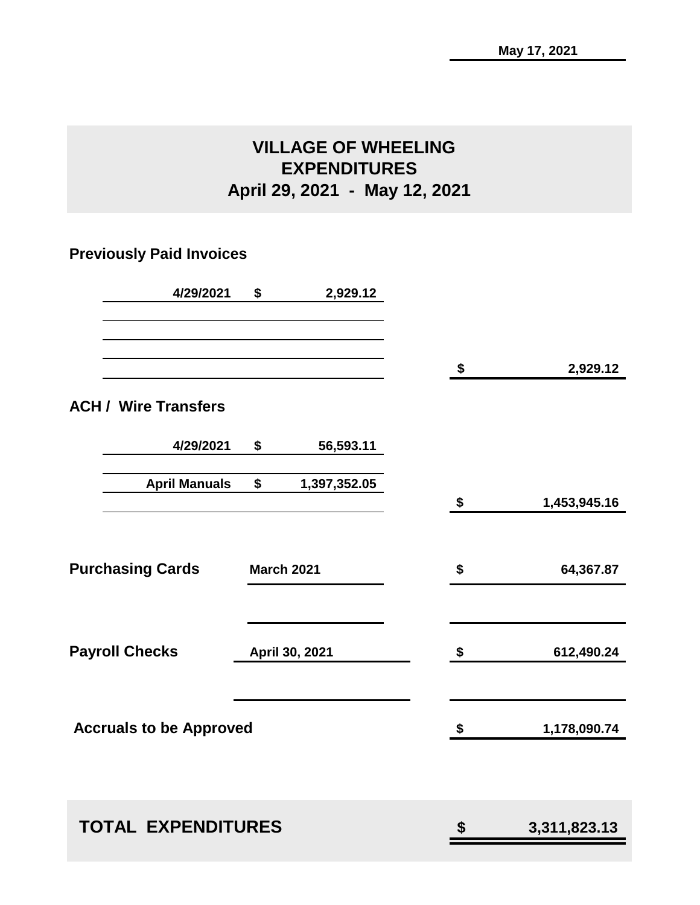# **VILLAGE OF WHEELING EXPENDITURES April 29, 2021 - May 12, 2021**

# **Previously Paid Invoices**

| 4/29/2021                      | \$<br>2,929.12     |                    |
|--------------------------------|--------------------|--------------------|
|                                |                    | \$<br>2,929.12     |
| <b>ACH / Wire Transfers</b>    |                    |                    |
| 4/29/2021                      | \$<br>56,593.11    |                    |
| <b>April Manuals</b>           | \$<br>1,397,352.05 | \$<br>1,453,945.16 |
|                                |                    |                    |
| <b>Purchasing Cards</b>        | <b>March 2021</b>  | \$<br>64,367.87    |
| <b>Payroll Checks</b>          | April 30, 2021     | \$<br>612,490.24   |
| <b>Accruals to be Approved</b> |                    | \$<br>1,178,090.74 |
|                                |                    |                    |
| <b>TOTAL EXPENDITURES</b>      |                    | \$<br>3,311,823.13 |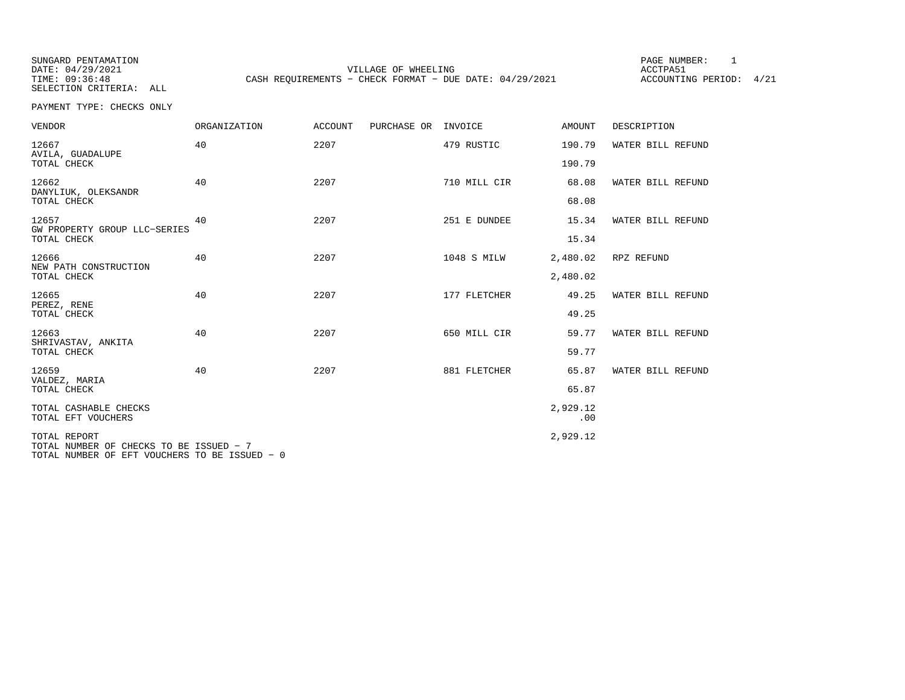SUNGARD PENTAMATION SUNGARD PENTAMATION SUNG PAGE NUMBER: 1 SELECTION CRITERIA: ALL

VILLAGE OF WHEELING **ACCTPA51** TIME: 09:36:48 CASH REQUIREMENTS - CHECK FORMAT - DUE DATE: 04/29/2021

ACCOUNTING PERIOD: 4/21

PAYMENT TYPE: CHECKS ONLY

| <b>VENDOR</b>                                           | <b>ORGANIZATION</b> | <b>ACCOUNT</b> | PURCHASE OR | INVOICE      | AMOUNT          | DESCRIPTION       |
|---------------------------------------------------------|---------------------|----------------|-------------|--------------|-----------------|-------------------|
| 12667<br>AVILA, GUADALUPE                               | 40                  | 2207           |             | 479 RUSTIC   | 190.79          | WATER BILL REFUND |
| TOTAL CHECK                                             |                     |                |             |              | 190.79          |                   |
| 12662<br>DANYLIUK, OLEKSANDR                            | 40                  | 2207           |             | 710 MILL CIR | 68.08           | WATER BILL REFUND |
| TOTAL CHECK                                             |                     |                |             |              | 68.08           |                   |
| 12657<br>GW PROPERTY GROUP LLC-SERIES                   | 40                  | 2207           |             | 251 E DUNDEE | 15.34           | WATER BILL REFUND |
| TOTAL CHECK                                             |                     |                |             |              | 15.34           |                   |
| 12666<br>NEW PATH CONSTRUCTION                          | 40                  | 2207           |             | 1048 S MILW  | 2,480.02        | RPZ REFUND        |
| TOTAL CHECK                                             |                     |                |             |              | 2,480.02        |                   |
| 12665<br>PEREZ, RENE                                    | 40                  | 2207           |             | 177 FLETCHER | 49.25           | WATER BILL REFUND |
| TOTAL CHECK                                             |                     |                |             |              | 49.25           |                   |
| 12663<br>SHRIVASTAV, ANKITA                             | 40                  | 2207           |             | 650 MILL CIR | 59.77           | WATER BILL REFUND |
| TOTAL CHECK                                             |                     |                |             |              | 59.77           |                   |
| 12659<br>VALDEZ, MARIA                                  | 40                  | 2207           |             | 881 FLETCHER | 65.87           | WATER BILL REFUND |
| TOTAL CHECK                                             |                     |                |             |              | 65.87           |                   |
| TOTAL CASHABLE CHECKS<br>TOTAL EFT VOUCHERS             |                     |                |             |              | 2,929.12<br>.00 |                   |
| TOTAL REPORT<br>TOTAL NUMBER OF CHECKS TO BE ISSUED - 7 |                     |                |             |              | 2,929.12        |                   |
| TOTAL NUMBER OF EFT VOUCHERS TO BE ISSUED - 0           |                     |                |             |              |                 |                   |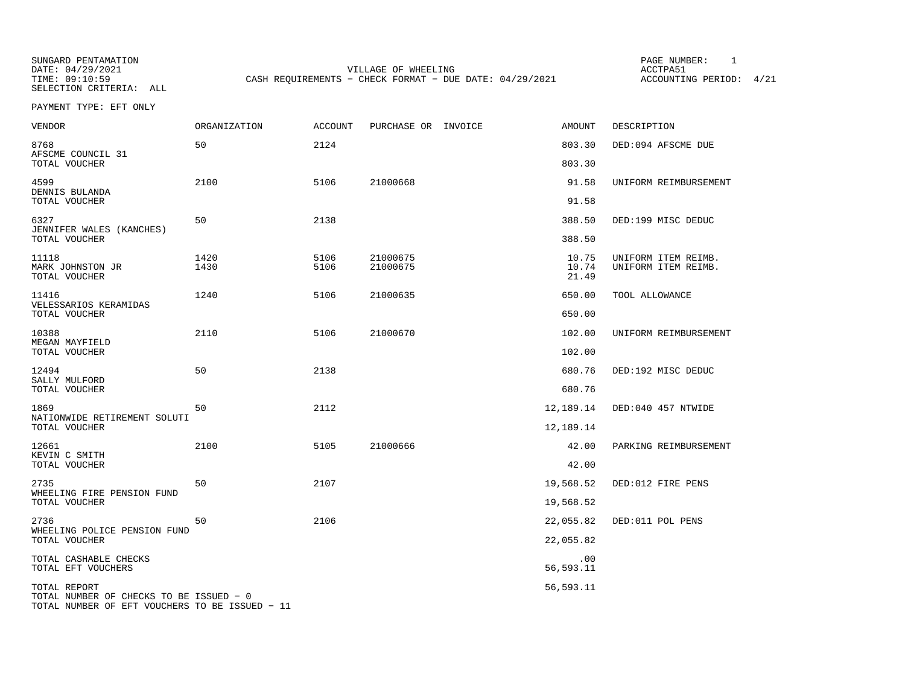SUNGARD PENTAMATION PAGE NUMBER: 1SELECTION CRITERIA: ALL

DATE: 04/29/2021 VILLAGE OF WHEELING ACCTPA51TIME: 09:10:59 CASH REQUIREMENTS - CHECK FORMAT - DUE DATE: 04/29/2021

ACCOUNTING PERIOD: 4/21

PAYMENT TYPE: EFT ONLY

| <b>VENDOR</b>                                           | <b>ORGANIZATION</b> | <b>ACCOUNT</b> | PURCHASE OR INVOICE  | AMOUNT                  | DESCRIPTION                                |
|---------------------------------------------------------|---------------------|----------------|----------------------|-------------------------|--------------------------------------------|
| 8768<br>AFSCME COUNCIL 31                               | 50                  | 2124           |                      | 803.30                  | DED:094 AFSCME DUE                         |
| TOTAL VOUCHER                                           |                     |                |                      | 803.30                  |                                            |
| 4599<br>DENNIS BULANDA<br>TOTAL VOUCHER                 | 2100                | 5106           | 21000668             | 91.58<br>91.58          | UNIFORM REIMBURSEMENT                      |
| 6327<br>JENNIFER WALES (KANCHES)                        | 50                  | 2138           |                      | 388.50                  | DED:199 MISC DEDUC                         |
| TOTAL VOUCHER                                           |                     |                |                      | 388.50                  |                                            |
| 11118<br>MARK JOHNSTON JR<br>TOTAL VOUCHER              | 1420<br>1430        | 5106<br>5106   | 21000675<br>21000675 | 10.75<br>10.74<br>21.49 | UNIFORM ITEM REIMB.<br>UNIFORM ITEM REIMB. |
| 11416                                                   | 1240                | 5106           | 21000635             | 650.00                  | TOOL ALLOWANCE                             |
| VELESSARIOS KERAMIDAS<br>TOTAL VOUCHER                  |                     |                |                      | 650.00                  |                                            |
| 10388                                                   | 2110                | 5106           | 21000670             | 102.00                  | UNIFORM REIMBURSEMENT                      |
| MEGAN MAYFIELD<br>TOTAL VOUCHER                         |                     |                |                      | 102.00                  |                                            |
| 12494                                                   | 50                  | 2138           |                      | 680.76                  | DED:192 MISC DEDUC                         |
| SALLY MULFORD<br>TOTAL VOUCHER                          |                     |                |                      | 680.76                  |                                            |
| 1869                                                    | 50                  | 2112           |                      | 12,189.14               | DED:040 457 NTWIDE                         |
| NATIONWIDE RETIREMENT SOLUTI<br>TOTAL VOUCHER           |                     |                |                      | 12,189.14               |                                            |
| 12661<br>KEVIN C SMITH                                  | 2100                | 5105           | 21000666             | 42.00                   | PARKING REIMBURSEMENT                      |
| TOTAL VOUCHER                                           |                     |                |                      | 42.00                   |                                            |
| 2735<br>WHEELING FIRE PENSION FUND                      | 50                  | 2107           |                      | 19,568.52               | DED:012 FIRE PENS                          |
| TOTAL VOUCHER                                           |                     |                |                      | 19,568.52               |                                            |
| 2736<br>WHEELING POLICE PENSION FUND                    | 50                  | 2106           |                      | 22,055.82               | DED:011 POL PENS                           |
| TOTAL VOUCHER                                           |                     |                |                      | 22,055.82               |                                            |
| TOTAL CASHABLE CHECKS<br>TOTAL EFT VOUCHERS             |                     |                |                      | .00<br>56,593.11        |                                            |
| TOTAL REPORT<br>TOTAL NUMBER OF CHECKS TO BE ISSUED - 0 |                     |                |                      | 56,593.11               |                                            |

TOTAL NUMBER OF EFT VOUCHERS TO BE ISSUED − 11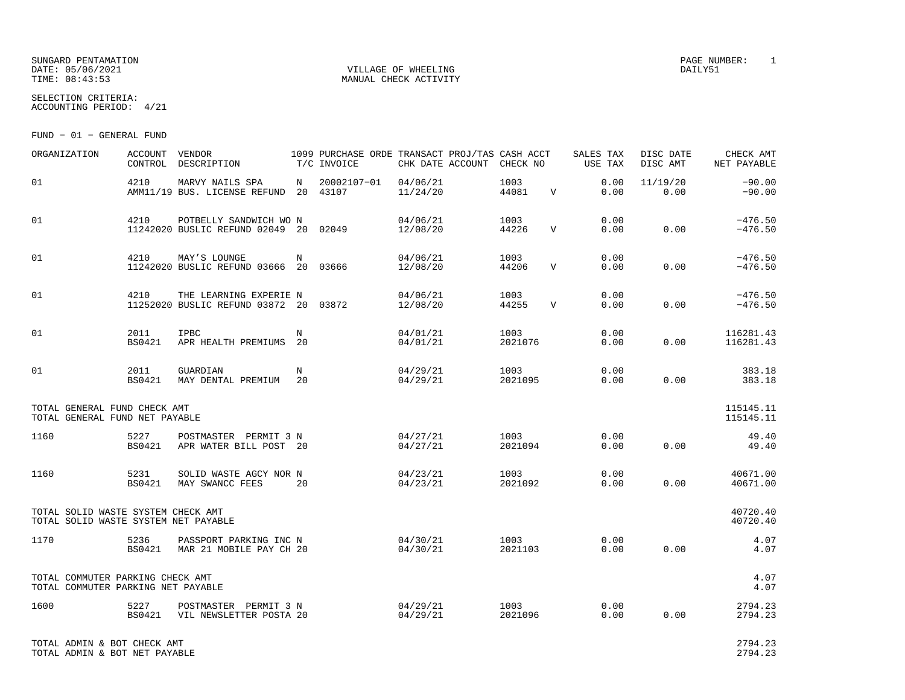SUNGARD PENTAMATION PAGE NUMBER: 1 DATE:  $05/06/2021$  DAILY51 TIME:  $08:43:53$  MANUAL CHECK ACTIVITY

SELECTION CRITERIA:ACCOUNTING PERIOD: 4/21

FUND − 01 − GENERAL FUND

| ORGANIZATION                                                               | ACCOUNT VENDOR        | CONTROL DESCRIPTION T/C INVOICE                                                                                       |    | 1099 PURCHASE ORDE TRANSACT PROJ/TAS CASH ACCT | CHK DATE ACCOUNT CHECK NO |                 |              | SALES TAX<br>USE TAX                                           | DISC DATE<br>DISC AMT | CHECK AMT<br>NET PAYABLE |
|----------------------------------------------------------------------------|-----------------------|-----------------------------------------------------------------------------------------------------------------------|----|------------------------------------------------|---------------------------|-----------------|--------------|----------------------------------------------------------------|-----------------------|--------------------------|
| 01                                                                         | 4210                  | MARVY NAILS SPA<br>AMM11/19 BUS. LICENSE REFUND 20 43107                                                              |    | N 20002107-01 04/06/21                         | 11/24/20                  | 1003<br>44081   | V            | 0.00<br>0.00                                                   | 11/19/20<br>0.00      | $-90.00$<br>$-90.00$     |
| 01                                                                         | 4210                  | POTBELLY SANDWICH WO N<br>11242020 BUSLIC REFUND 02049 20 02049                                                       |    |                                                | 04/06/21<br>12/08/20      | 1003<br>44226   | $\mathbf{V}$ | 0.00<br>0.00                                                   | 0.00                  | $-476.50$<br>$-476.50$   |
| 01                                                                         | 4210                  | MAY'S LOUNGE<br>11242020 BUSLIC REFUND 03666 20 03666                                                                 | N  |                                                | 04/06/21<br>12/08/20      | 1003<br>44206   | V            | 0.00<br>0.00                                                   | 0.00                  | $-476.50$<br>$-476.50$   |
| 01                                                                         | 4210                  | THE LEARNING EXPERIE N<br>11252020 BUSLIC REFUND 03872 20 03872                                                       |    |                                                | 04/06/21<br>12/08/20      | 1003<br>44255   | V            | 0.00<br>0.00                                                   | 0.00                  | $-476.50$<br>$-476.50$   |
| 01                                                                         | 2011<br>BS0421        | IPBC<br>APR HEALTH PREMIUMS 20                                                                                        | N  |                                                | 04/01/21<br>04/01/21      | 1003<br>2021076 |              | 0.00<br>0.00                                                   | 0.00                  | 116281.43<br>116281.43   |
| 01                                                                         | 2011<br><b>BS0421</b> | GUARDIAN<br>MAY DENTAL PREMIUM 20                                                                                     | N  |                                                | 04/29/21<br>04/29/21      | 1003<br>2021095 |              | 0.00<br>0.00                                                   | 0.00                  | 383.18<br>383.18         |
| TOTAL GENERAL FUND CHECK AMT<br>TOTAL GENERAL FUND NET PAYABLE             |                       |                                                                                                                       |    |                                                |                           |                 |              |                                                                |                       | 115145.11<br>115145.11   |
| 1160                                                                       | 5227<br>BS0421        | POSTMASTER PERMIT 3 N<br>APR WATER BILL POST 20                                                                       |    |                                                | 04/27/21<br>04/27/21      |                 |              | $\begin{array}{ccc} 1003 & 0.00 \\ 2021094 & 0.00 \end{array}$ | 0.00                  | 49.40<br>49.40           |
| 1160                                                                       | 5231<br>BS0421        | SOLID WASTE AGCY NOR N<br>MAY SWANCC FEES                                                                             | 20 |                                                | 04/23/21<br>04/23/21      | 1003<br>2021092 |              | 0.00<br>0.00                                                   | 0.00                  | 40671.00<br>40671.00     |
| TOTAL SOLID WASTE SYSTEM CHECK AMT<br>TOTAL SOLID WASTE SYSTEM NET PAYABLE |                       |                                                                                                                       |    |                                                |                           |                 |              |                                                                |                       | 40720.40<br>40720.40     |
| 1170                                                                       | 5236                  | PASSPORT PARKING INC N 04/30/21 1003 0.00<br>BS0421 MAR 21 MOBILE PAY CH 20                                           |    |                                                | 04/30/21                  | 2021103         |              | 0.00                                                           | 0.00                  | 4.07<br>4.07             |
| TOTAL COMMUTER PARKING CHECK AMT<br>TOTAL COMMUTER PARKING NET PAYABLE     |                       |                                                                                                                       |    |                                                |                           |                 |              |                                                                |                       | 4.07<br>4.07             |
| 1600                                                                       | 5227                  | POSTMASTER PERMIT 3 N $04/29/21$ 1003<br>VIL NEWSLETTER POSTA 20 $04/29/21$ 2021096<br>BS0421 VIL NEWSLETTER POSTA 20 |    |                                                |                           |                 |              | 0.00<br>0.00                                                   | 0.00                  | 2794.23<br>2794.23       |
| TOTAL ADMIN & BOT CHECK AMT                                                |                       |                                                                                                                       |    |                                                |                           |                 |              |                                                                |                       | 2794.23                  |

TOTAL ADMIN & BOT NET PAYABLE

2794.23<br>2794.23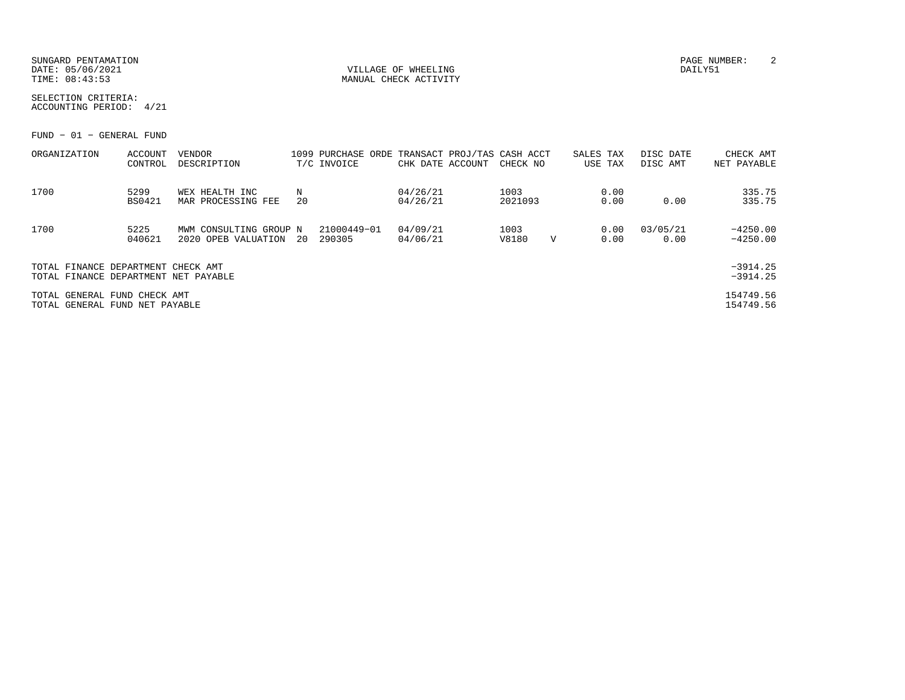SUNGARD PENTAMATION PAGE NUMBER: 2DATE:  $05/06/2021$  DAILY51 TIME:  $08:43:53$  MANUAL CHECK ACTIVITY

SELECTION CRITERIA:ACCOUNTING PERIOD: 4/21

FUND − 01 − GENERAL FUND

| ORGANIZATION                                                               | ACCOUNT<br>CONTROL | <b>VENDOR</b><br>DESCRIPTION                  |         | 1099 PURCHASE ORDE<br>T/C INVOICE | TRANSACT PROJ/TAS CASH ACCT<br>CHK DATE ACCOUNT | CHECK NO        |              | SALES TAX<br>USE TAX |              | DISC DATE<br>DISC AMT | CHECK AMT<br>NET PAYABLE |
|----------------------------------------------------------------------------|--------------------|-----------------------------------------------|---------|-----------------------------------|-------------------------------------------------|-----------------|--------------|----------------------|--------------|-----------------------|--------------------------|
| 1700                                                                       | 5299<br>BS0421     | WEX HEALTH INC<br>MAR PROCESSING FEE          | Ν<br>20 |                                   | 04/26/21<br>04/26/21                            | 1003<br>2021093 |              |                      | 0.00<br>0.00 | 0.00                  | 335.75<br>335.75         |
| 1700                                                                       | 5225<br>040621     | MWM CONSULTING GROUP N<br>2020 OPEB VALUATION | 20      | 21000449-01<br>290305             | 04/09/21<br>04/06/21                            | 1003<br>V8180   | $\mathbf{V}$ |                      | 0.00<br>0.00 | 03/05/21<br>0.00      | $-4250.00$<br>$-4250.00$ |
| TOTAL FINANCE DEPARTMENT CHECK AMT<br>TOTAL FINANCE DEPARTMENT NET PAYABLE |                    |                                               |         |                                   |                                                 |                 |              |                      |              |                       | $-3914.25$<br>$-3914.25$ |
| TOTAL GENERAL FUND CHECK AMT<br>TOTAL GENERAL FUND NET PAYABLE             |                    |                                               |         |                                   |                                                 |                 |              |                      |              |                       | 154749.56<br>154749.56   |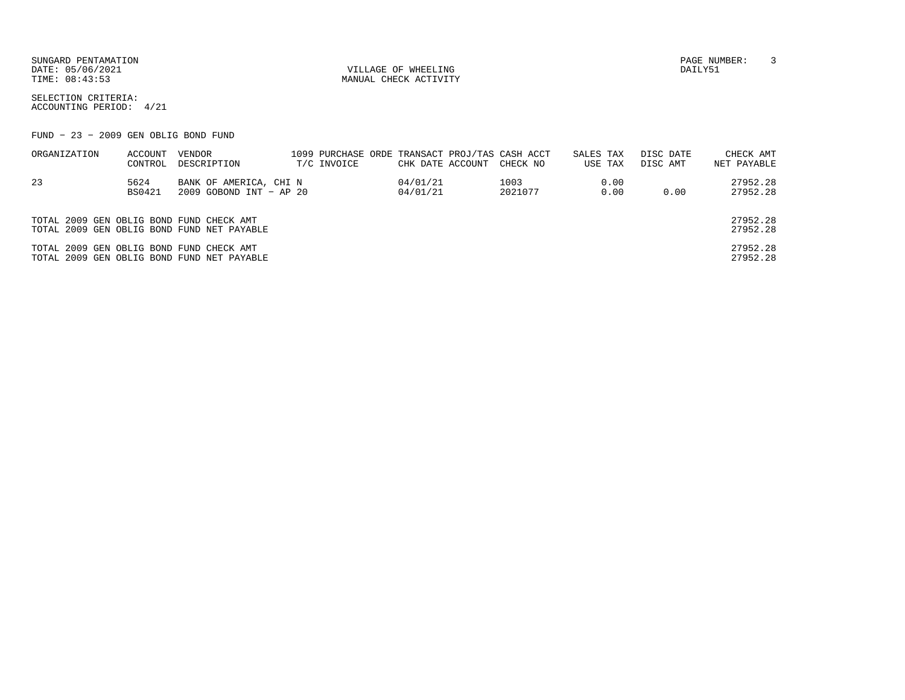SUNGARD PENTAMATION PAGE NUMBER: 3DATE:  $05/06/2021$  DAILY51

TIME:  $08:43:53$  MANUAL CHECK ACTIVITY

SELECTION CRITERIA:ACCOUNTING PERIOD: 4/21

FUND − 23 − 2009 GEN OBLIG BOND FUND

| ORGANIZATION                             | ACCOUNT | VENDOR                                     |             |                  | 1099 PURCHASE ORDE TRANSACT PROJ/TAS CASH ACCT | SALES TAX |      | DISC DATE | CHECK AMT   |
|------------------------------------------|---------|--------------------------------------------|-------------|------------------|------------------------------------------------|-----------|------|-----------|-------------|
|                                          | CONTROL | DESCRIPTION                                | T/C INVOICE | CHK DATE ACCOUNT | CHECK NO                                       | USE TAX   |      | DISC AMT  | NET PAYABLE |
| 23                                       | 5624    | BANK OF AMERICA, CHI N                     |             | 04/01/21         | 1003                                           |           | 0.00 |           | 27952.28    |
|                                          | BS0421  | 2009 GOBOND INT - AP 20                    |             | 04/01/21         | 2021077                                        |           | 0.00 | 0.00      | 27952.28    |
|                                          |         |                                            |             |                  |                                                |           |      |           |             |
| TOTAL 2009 GEN OBLIG BOND FUND CHECK AMT |         |                                            |             |                  |                                                |           |      |           | 27952.28    |
|                                          |         | TOTAL 2009 GEN OBLIG BOND FUND NET PAYABLE |             |                  |                                                |           |      |           | 27952.28    |
| TOTAL 2009 GEN OBLIG BOND FUND CHECK AMT |         |                                            |             |                  |                                                |           |      |           | 27952.28    |
|                                          |         | TOTAL 2009 GEN OBLIG BOND FUND NET PAYABLE |             |                  |                                                |           |      |           | 27952.28    |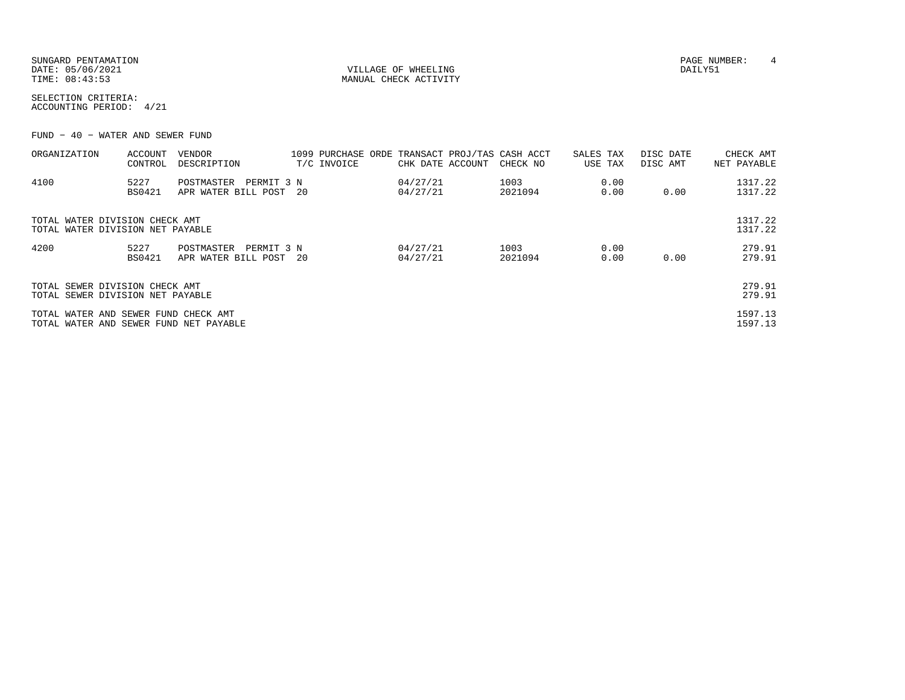| SUNGARD PENTAMATION |                       | PAGE NUMBER: |  |
|---------------------|-----------------------|--------------|--|
| DATE: 05/06/2021    | VILLAGE OF WHEELING   | DAILY51      |  |
| TIME: 08:43:53      | MANUAL CHECK ACTIVITY |              |  |

SELECTION CRITERIA:ACCOUNTING PERIOD: 4/21

FUND − 40 − WATER AND SEWER FUND

| ORGANIZATION                                                                   | ACCOUNT<br>CONTROL    | VENDOR<br>DESCRIPTION                              | T/C INVOICE | CHK DATE ACCOUNT     | 1099 PURCHASE ORDE TRANSACT PROJ/TAS CASH ACCT<br>CHECK NO | SALES TAX<br>USE TAX | DISC DATE<br>DISC AMT | CHECK AMT<br>NET PAYABLE |
|--------------------------------------------------------------------------------|-----------------------|----------------------------------------------------|-------------|----------------------|------------------------------------------------------------|----------------------|-----------------------|--------------------------|
| 4100                                                                           | 5227<br><b>BS0421</b> | PERMIT 3 N<br>POSTMASTER<br>APR WATER BILL POST 20 |             | 04/27/21<br>04/27/21 | 1003<br>2021094                                            | 0.00<br>0.00         | 0.00                  | 1317.22<br>1317.22       |
| TOTAL WATER DIVISION CHECK AMT<br>TOTAL WATER DIVISION NET PAYABLE             |                       |                                                    |             |                      |                                                            |                      |                       | 1317.22<br>1317.22       |
| 4200                                                                           | 5227<br><b>BS0421</b> | POSTMASTER<br>PERMIT 3 N<br>APR WATER BILL POST 20 |             | 04/27/21<br>04/27/21 | 1003<br>2021094                                            | 0.00<br>0.00         | 0.00                  | 279.91<br>279.91         |
| TOTAL SEWER DIVISION CHECK AMT<br>TOTAL SEWER DIVISION NET PAYABLE             |                       |                                                    |             |                      |                                                            |                      |                       | 279.91<br>279.91         |
| TOTAL WATER AND SEWER FUND CHECK AMT<br>TOTAL WATER AND SEWER FUND NET PAYABLE |                       |                                                    |             |                      |                                                            |                      |                       | 1597.13<br>1597.13       |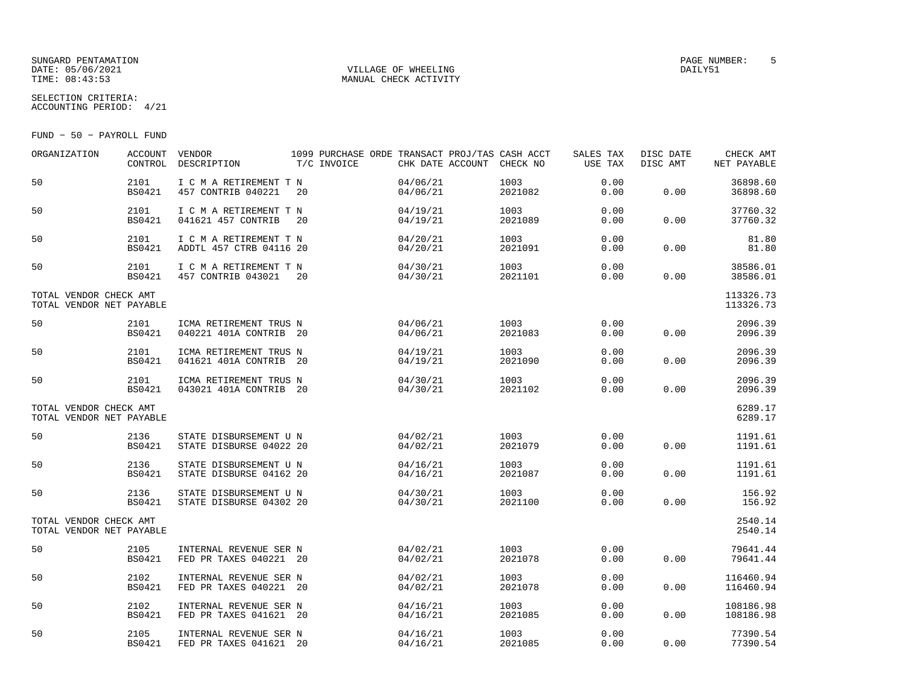### SUNGARD PENTAMATION PAGE NUMBER: 5 DATE:  $05/06/2021$  DAILY51 TIME:  $08:43:53$  MANUAL CHECK ACTIVITY

SELECTION CRITERIA:

ACCOUNTING PERIOD: 4/21

FUND − 50 − PAYROLL FUND

| ORGANIZATION                                       | ACCOUNT VENDOR<br>CONTROL | DESCRIPTION                                       | 1099 PURCHASE ORDE TRANSACT PROJ/TAS CASH ACCT<br>T/C INVOICE | CHK DATE ACCOUNT CHECK NO |                 | SALES TAX<br>USE TAX | DISC DATE<br>DISC AMT | CHECK AMT<br>NET PAYABLE |
|----------------------------------------------------|---------------------------|---------------------------------------------------|---------------------------------------------------------------|---------------------------|-----------------|----------------------|-----------------------|--------------------------|
| 50                                                 | 2101<br><b>BS0421</b>     | I C M A RETIREMENT T N<br>457 CONTRIB 040221      | 20                                                            | 04/06/21<br>04/06/21      | 1003<br>2021082 | 0.00<br>0.00         | 0.00                  | 36898.60<br>36898.60     |
| 50                                                 | 2101<br><b>BS0421</b>     | I C M A RETIREMENT T N<br>041621 457 CONTRIB      | 20                                                            | 04/19/21<br>04/19/21      | 1003<br>2021089 | 0.00<br>0.00         | 0.00                  | 37760.32<br>37760.32     |
| 50                                                 | 2101<br><b>BS0421</b>     | I C M A RETIREMENT T N<br>ADDTL 457 CTRB 04116 20 |                                                               | 04/20/21<br>04/20/21      | 1003<br>2021091 | 0.00<br>0.00         | 0.00                  | 81.80<br>81.80           |
| 50                                                 | 2101<br><b>BS0421</b>     | I C M A RETIREMENT T N<br>457 CONTRIB 043021      | 20                                                            | 04/30/21<br>04/30/21      | 1003<br>2021101 | 0.00<br>0.00         | 0.00                  | 38586.01<br>38586.01     |
| TOTAL VENDOR CHECK AMT<br>TOTAL VENDOR NET PAYABLE |                           |                                                   |                                                               |                           |                 |                      |                       | 113326.73<br>113326.73   |
| 50                                                 | 2101<br><b>BS0421</b>     | ICMA RETIREMENT TRUS N<br>040221 401A CONTRIB 20  |                                                               | 04/06/21<br>04/06/21      | 1003<br>2021083 | 0.00<br>0.00         | 0.00                  | 2096.39<br>2096.39       |
| 50                                                 | 2101<br><b>BS0421</b>     | ICMA RETIREMENT TRUS N<br>041621 401A CONTRIB 20  |                                                               | 04/19/21<br>04/19/21      | 1003<br>2021090 | 0.00<br>0.00         | 0.00                  | 2096.39<br>2096.39       |
| 50                                                 | 2101<br><b>BS0421</b>     | ICMA RETIREMENT TRUS N<br>043021 401A CONTRIB 20  |                                                               | 04/30/21<br>04/30/21      | 1003<br>2021102 | 0.00<br>0.00         | 0.00                  | 2096.39<br>2096.39       |
| TOTAL VENDOR CHECK AMT<br>TOTAL VENDOR NET PAYABLE |                           |                                                   |                                                               |                           |                 |                      |                       | 6289.17<br>6289.17       |
| 50                                                 | 2136<br><b>BS0421</b>     | STATE DISBURSEMENT U N<br>STATE DISBURSE 04022 20 |                                                               | 04/02/21<br>04/02/21      | 1003<br>2021079 | 0.00<br>0.00         | 0.00                  | 1191.61<br>1191.61       |
| 50                                                 | 2136<br><b>BS0421</b>     | STATE DISBURSEMENT U N<br>STATE DISBURSE 04162 20 |                                                               | 04/16/21<br>04/16/21      | 1003<br>2021087 | 0.00<br>0.00         | 0.00                  | 1191.61<br>1191.61       |
| 50                                                 | 2136<br><b>BS0421</b>     | STATE DISBURSEMENT U N<br>STATE DISBURSE 04302 20 |                                                               | 04/30/21<br>04/30/21      | 1003<br>2021100 | 0.00<br>0.00         | 0.00                  | 156.92<br>156.92         |
| TOTAL VENDOR CHECK AMT<br>TOTAL VENDOR NET PAYABLE |                           |                                                   |                                                               |                           |                 |                      |                       | 2540.14<br>2540.14       |
| 50                                                 | 2105<br><b>BS0421</b>     | INTERNAL REVENUE SER N<br>FED PR TAXES 040221 20  |                                                               | 04/02/21<br>04/02/21      | 1003<br>2021078 | 0.00<br>0.00         | 0.00                  | 79641.44<br>79641.44     |
| 50                                                 | 2102<br><b>BS0421</b>     | INTERNAL REVENUE SER N<br>FED PR TAXES 040221 20  |                                                               | 04/02/21<br>04/02/21      | 1003<br>2021078 | 0.00<br>0.00         | 0.00                  | 116460.94<br>116460.94   |
| 50                                                 | 2102<br><b>BS0421</b>     | INTERNAL REVENUE SER N<br>FED PR TAXES 041621 20  |                                                               | 04/16/21<br>04/16/21      | 1003<br>2021085 | 0.00<br>0.00         | 0.00                  | 108186.98<br>108186.98   |
| 50                                                 | 2105<br>BS0421            | INTERNAL REVENUE SER N<br>FED PR TAXES 041621 20  |                                                               | 04/16/21<br>04/16/21      | 1003<br>2021085 | 0.00<br>0.00         | 0.00                  | 77390.54<br>77390.54     |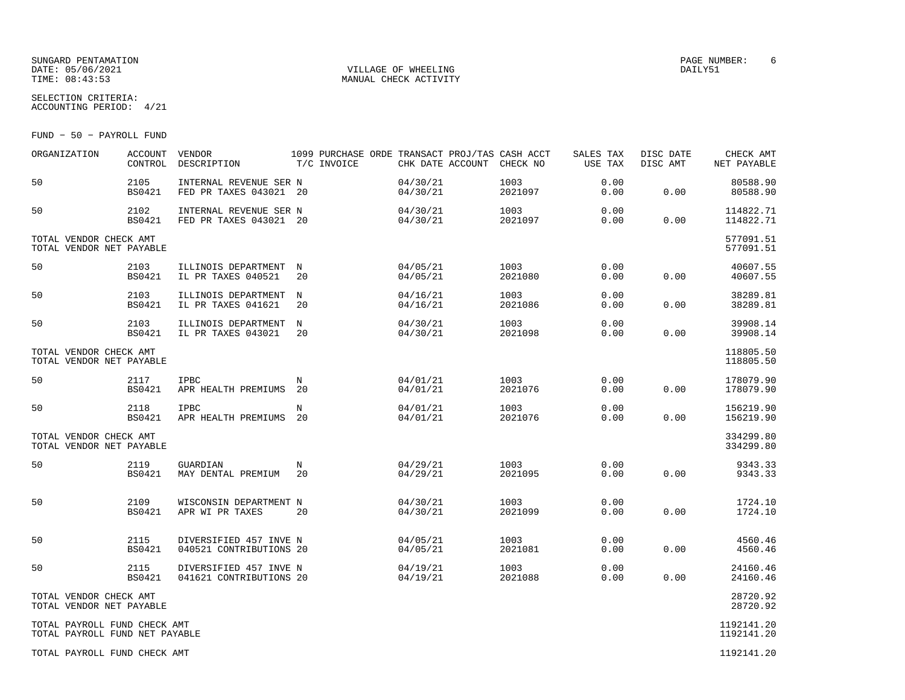## SUNGARD PENTAMATION PAGE NUMBER: 6DATE:  $05/06/2021$  DAILY51 TIME:  $08:43:53$  MANUAL CHECK ACTIVITY

SELECTION CRITERIA:

ACCOUNTING PERIOD: 4/21

FUND − 50 − PAYROLL FUND

| ORGANIZATION                                                   | <b>ACCOUNT</b><br>CONTROL | VENDOR<br>DESCRIPTION                             | 1099 PURCHASE ORDE TRANSACT PROJ/TAS CASH ACCT<br>T/C INVOICE | CHK DATE ACCOUNT     | CHECK NO        | SALES TAX<br>USE TAX | DISC DATE<br>DISC AMT | CHECK AMT<br>NET PAYABLE |
|----------------------------------------------------------------|---------------------------|---------------------------------------------------|---------------------------------------------------------------|----------------------|-----------------|----------------------|-----------------------|--------------------------|
| 50                                                             | 2105<br><b>BS0421</b>     | INTERNAL REVENUE SER N<br>FED PR TAXES 043021 20  |                                                               | 04/30/21<br>04/30/21 | 1003<br>2021097 | 0.00<br>0.00         | 0.00                  | 80588.90<br>80588.90     |
| 50                                                             | 2102<br><b>BS0421</b>     | INTERNAL REVENUE SER N<br>FED PR TAXES 043021 20  |                                                               | 04/30/21<br>04/30/21 | 1003<br>2021097 | 0.00<br>0.00         | 0.00                  | 114822.71<br>114822.71   |
| TOTAL VENDOR CHECK AMT<br>TOTAL VENDOR NET PAYABLE             |                           |                                                   |                                                               |                      |                 |                      |                       | 577091.51<br>577091.51   |
| 50                                                             | 2103<br><b>BS0421</b>     | ILLINOIS DEPARTMENT<br>IL PR TAXES 040521         | N<br>20                                                       | 04/05/21<br>04/05/21 | 1003<br>2021080 | 0.00<br>0.00         | 0.00                  | 40607.55<br>40607.55     |
| 50                                                             | 2103<br><b>BS0421</b>     | ILLINOIS DEPARTMENT<br>IL PR TAXES 041621         | N<br>20                                                       | 04/16/21<br>04/16/21 | 1003<br>2021086 | 0.00<br>0.00         | 0.00                  | 38289.81<br>38289.81     |
| 50                                                             | 2103<br><b>BS0421</b>     | ILLINOIS DEPARTMENT<br>IL PR TAXES 043021         | $_{\rm N}$<br>20                                              | 04/30/21<br>04/30/21 | 1003<br>2021098 | 0.00<br>0.00         | 0.00                  | 39908.14<br>39908.14     |
| TOTAL VENDOR CHECK AMT<br>TOTAL VENDOR NET PAYABLE             |                           |                                                   |                                                               |                      |                 |                      |                       | 118805.50<br>118805.50   |
| 50                                                             | 2117<br><b>BS0421</b>     | <b>IPBC</b><br>APR HEALTH PREMIUMS                | N<br>20                                                       | 04/01/21<br>04/01/21 | 1003<br>2021076 | 0.00<br>0.00         | 0.00                  | 178079.90<br>178079.90   |
| 50                                                             | 2118<br><b>BS0421</b>     | IPBC<br>APR HEALTH PREMIUMS                       | N<br>-20                                                      | 04/01/21<br>04/01/21 | 1003<br>2021076 | 0.00<br>0.00         | 0.00                  | 156219.90<br>156219.90   |
| TOTAL VENDOR CHECK AMT<br>TOTAL VENDOR NET PAYABLE             |                           |                                                   |                                                               |                      |                 |                      |                       | 334299.80<br>334299.80   |
| 50                                                             | 2119<br><b>BS0421</b>     | GUARDIAN<br>MAY DENTAL PREMIUM                    | N<br>20                                                       | 04/29/21<br>04/29/21 | 1003<br>2021095 | 0.00<br>0.00         | 0.00                  | 9343.33<br>9343.33       |
| 50                                                             | 2109<br><b>BS0421</b>     | WISCONSIN DEPARTMENT N<br>APR WI PR TAXES         | 20                                                            | 04/30/21<br>04/30/21 | 1003<br>2021099 | 0.00<br>0.00         | 0.00                  | 1724.10<br>1724.10       |
| 50                                                             | 2115<br><b>BS0421</b>     | DIVERSIFIED 457 INVE N<br>040521 CONTRIBUTIONS 20 |                                                               | 04/05/21<br>04/05/21 | 1003<br>2021081 | 0.00<br>0.00         | 0.00                  | 4560.46<br>4560.46       |
| 50                                                             | 2115<br><b>BS0421</b>     | DIVERSIFIED 457 INVE N<br>041621 CONTRIBUTIONS 20 |                                                               | 04/19/21<br>04/19/21 | 1003<br>2021088 | 0.00<br>0.00         | 0.00                  | 24160.46<br>24160.46     |
| TOTAL VENDOR CHECK AMT<br>TOTAL VENDOR NET PAYABLE             |                           |                                                   |                                                               |                      |                 |                      |                       | 28720.92<br>28720.92     |
| TOTAL PAYROLL FUND CHECK AMT<br>TOTAL PAYROLL FUND NET PAYABLE |                           |                                                   |                                                               |                      |                 |                      |                       | 1192141.20<br>1192141.20 |
| TOTAL PAYROLL FUND CHECK AMT                                   |                           |                                                   |                                                               |                      |                 |                      |                       | 1192141.20               |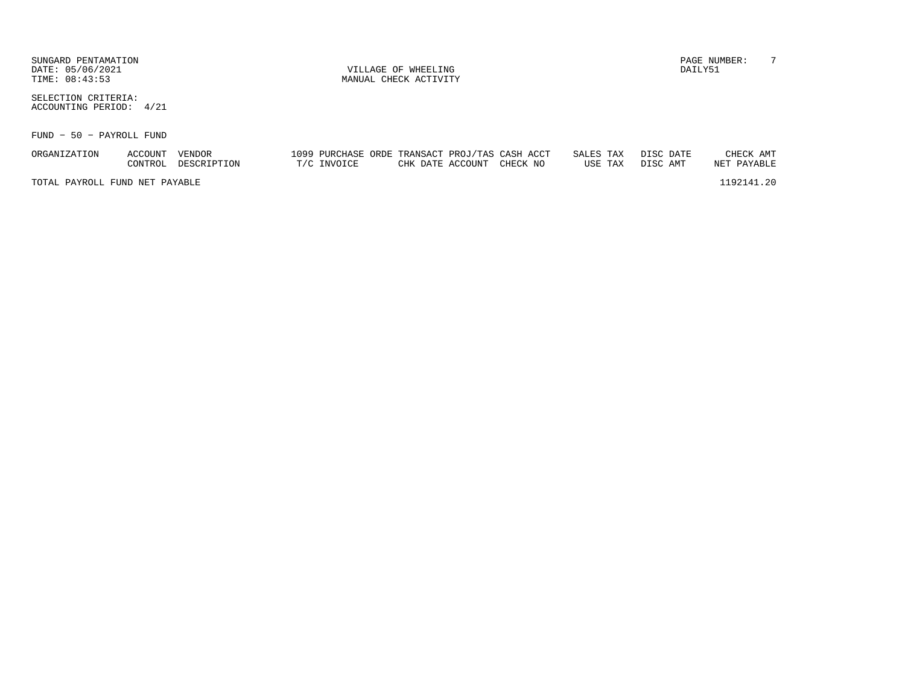SUNGARD PENTAMATION PAGE NUMBER: T DATE: 05/06/2021 VILLAGE OF WHEELING DAILY51

SELECTION CRITERIA:ACCOUNTING PERIOD: 4/21

FUND − 50 − PAYROLL FUND

| ORGANIZATION                   | ACCOUNT | VENDOR      |             | 1099 PURCHASE ORDE TRANSACT PROJ/TAS CASH ACCT |                           |  | SALES TAX DISC DATE |         |          |  | CHECK AMT   |
|--------------------------------|---------|-------------|-------------|------------------------------------------------|---------------------------|--|---------------------|---------|----------|--|-------------|
|                                | CONTROL | DESCRIPTION | T/C INVOICE |                                                | CHK DATE ACCOUNT CHECK NO |  |                     | USE TAX | DISC AMT |  | NET PAYABLE |
| TOTAL PAYROLL FUND NET PAYABLE |         |             |             |                                                |                           |  |                     |         |          |  | 1192141.20  |

TIME:  $08:43:53$  MANUAL CHECK ACTIVITY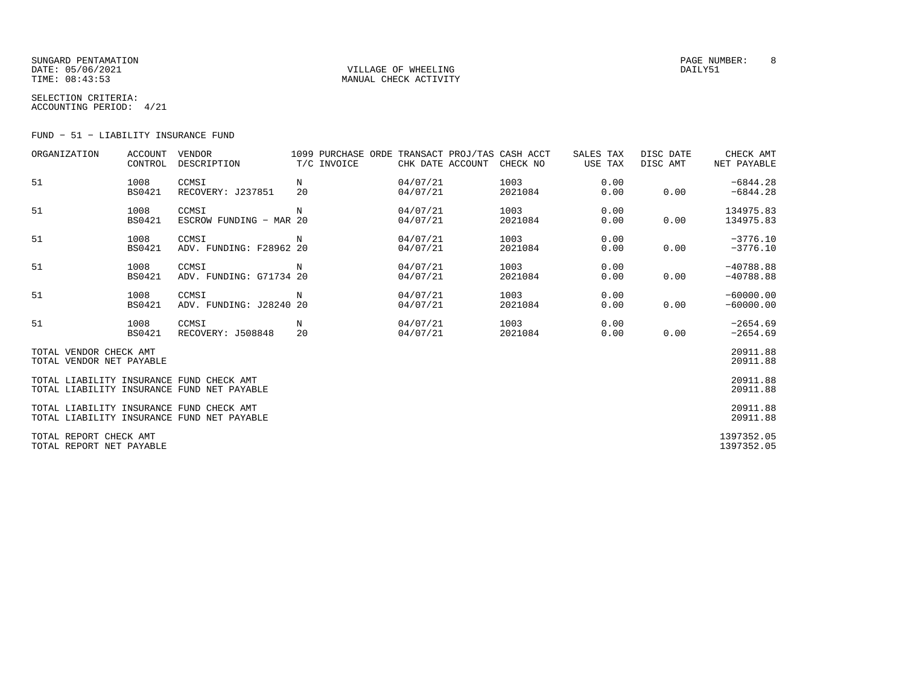## SUNGARD PENTAMATION PAGE NUMBER: 8DATE:  $05/06/2021$  DAILY51 TIME:  $08:43:53$  MANUAL CHECK ACTIVITY

SELECTION CRITERIA:ACCOUNTING PERIOD: 4/21

FUND − 51 − LIABILITY INSURANCE FUND

| ORGANIZATION                                       | ACCOUNT<br>CONTROL    | VENDOR<br>DESCRIPTION                      | 1099 PURCHASE ORDE TRANSACT PROJ/TAS CASH ACCT<br>T/C INVOICE | CHK DATE ACCOUNT     | CHECK NO        | SALES TAX<br>USE TAX | DISC DATE<br>DISC AMT | CHECK AMT<br>NET PAYABLE   |
|----------------------------------------------------|-----------------------|--------------------------------------------|---------------------------------------------------------------|----------------------|-----------------|----------------------|-----------------------|----------------------------|
| 51                                                 | 1008<br><b>BS0421</b> | CCMSI<br>RECOVERY: J237851                 | N<br>20                                                       | 04/07/21<br>04/07/21 | 1003<br>2021084 | 0.00<br>0.00         | 0.00                  | $-6844.28$<br>$-6844.28$   |
| 51                                                 | 1008<br><b>BS0421</b> | CCMSI<br>ESCROW FUNDING - MAR 20           | N                                                             | 04/07/21<br>04/07/21 | 1003<br>2021084 | 0.00<br>0.00         | 0.00                  | 134975.83<br>134975.83     |
| 51                                                 | 1008<br><b>BS0421</b> | CCMSI<br>ADV. FUNDING: F28962 20           | N                                                             | 04/07/21<br>04/07/21 | 1003<br>2021084 | 0.00<br>0.00         | 0.00                  | $-3776.10$<br>$-3776.10$   |
| 51                                                 | 1008<br><b>BS0421</b> | CCMSI<br>ADV. FUNDING: G71734 20           | N                                                             | 04/07/21<br>04/07/21 | 1003<br>2021084 | 0.00<br>0.00         | 0.00                  | $-40788.88$<br>$-40788.88$ |
| 51                                                 | 1008<br><b>BS0421</b> | CCMSI<br>ADV. FUNDING: J28240 20           | N                                                             | 04/07/21<br>04/07/21 | 1003<br>2021084 | 0.00<br>0.00         | 0.00                  | $-60000.00$<br>$-60000.00$ |
| 51                                                 | 1008<br><b>BS0421</b> | CCMSI<br>RECOVERY: J508848                 | N<br>20                                                       | 04/07/21<br>04/07/21 | 1003<br>2021084 | 0.00<br>0.00         | 0.00                  | $-2654.69$<br>$-2654.69$   |
| TOTAL VENDOR CHECK AMT<br>TOTAL VENDOR NET PAYABLE |                       |                                            |                                                               |                      |                 |                      |                       | 20911.88<br>20911.88       |
| TOTAL LIABILITY INSURANCE FUND CHECK AMT           |                       | TOTAL LIABILITY INSURANCE FUND NET PAYABLE |                                                               |                      |                 |                      |                       | 20911.88<br>20911.88       |
| TOTAL LIABILITY INSURANCE FUND CHECK AMT           |                       | TOTAL LIABILITY INSURANCE FUND NET PAYABLE |                                                               |                      |                 |                      |                       | 20911.88<br>20911.88       |
| TOTAL REPORT CHECK AMT<br>TOTAL REPORT NET PAYABLE |                       |                                            |                                                               |                      |                 |                      |                       | 1397352.05<br>1397352.05   |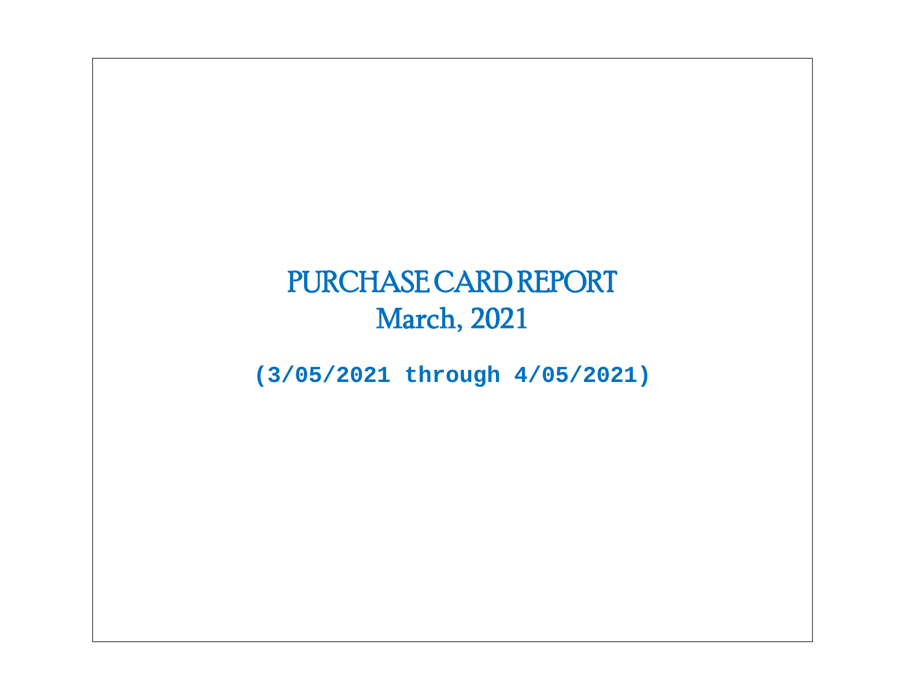# PURCHASE CARD REPORT March, 2021

**(3/05/2021 through 4/05/2021)**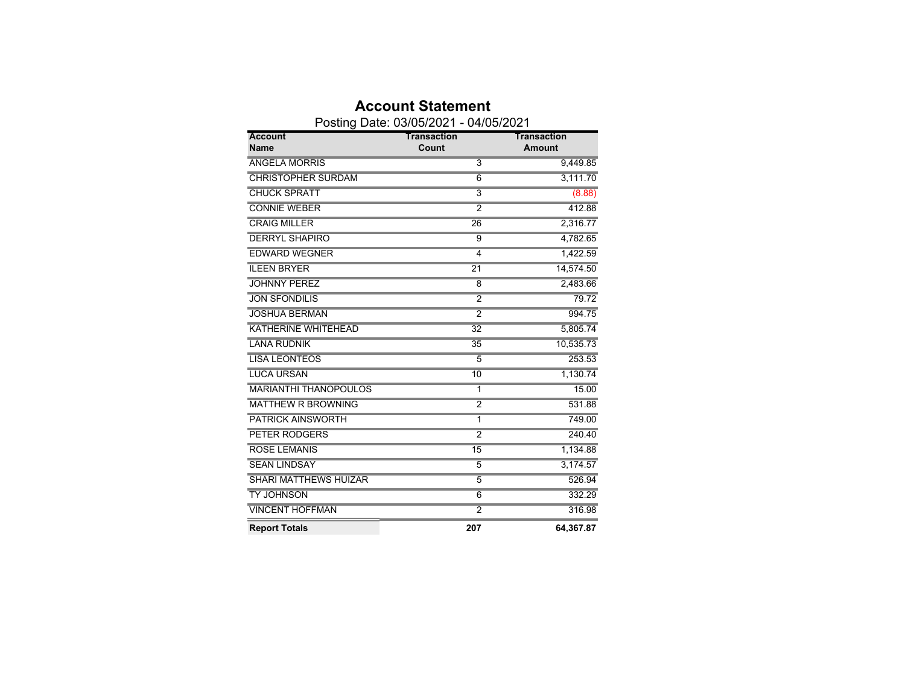|                              | Posting Date: 03/05/2021 - 04/05/2021 |                    |
|------------------------------|---------------------------------------|--------------------|
| <b>Account</b>               | <b>Transaction</b>                    | <b>Transaction</b> |
| <b>Name</b>                  | Count                                 | <b>Amount</b>      |
| <b>ANGELA MORRIS</b>         | $\overline{3}$                        | 9,449.85           |
| <b>CHRISTOPHER SURDAM</b>    | $\overline{6}$                        | 3,111.70           |
| <b>CHUCK SPRATT</b>          | $\overline{3}$                        | (8.88)             |
| <b>CONNIE WEBER</b>          | $\overline{2}$                        | 412.88             |
| <b>CRAIG MILLER</b>          | 26                                    | 2,316.77           |
| <b>DERRYL SHAPIRO</b>        | 9                                     | 4,782.65           |
| <b>EDWARD WEGNER</b>         | $\overline{4}$                        | 1,422.59           |
| <b>ILEEN BRYER</b>           | $\overline{21}$                       | 14,574.50          |
| <b>JOHNNY PEREZ</b>          | 8                                     | 2,483.66           |
| <b>JON SFONDILIS</b>         | $\overline{2}$                        | 79.72              |
| <b>JOSHUA BERMAN</b>         | $\overline{2}$                        | 994.75             |
| <b>KATHERINE WHITEHEAD</b>   | $\overline{32}$                       | 5,805.74           |
| <b>LANA RUDNIK</b>           | 35                                    | 10,535.73          |
| <b>LISA LEONTEOS</b>         | 5                                     | 253.53             |
| <b>LUCA URSAN</b>            | 10                                    | 1,130.74           |
| <b>MARIANTHI THANOPOULOS</b> | 1                                     | 15.00              |
| <b>MATTHEW R BROWNING</b>    | $\overline{2}$                        | 531.88             |
| <b>PATRICK AINSWORTH</b>     | 1                                     | 749.00             |
| <b>PETER RODGERS</b>         | $\overline{2}$                        | 240.40             |
| <b>ROSE LEMANIS</b>          | 15                                    | 1,134.88           |
| <b>SEAN LINDSAY</b>          | $\overline{5}$                        | 3,174.57           |
| <b>SHARI MATTHEWS HUIZAR</b> | $\overline{5}$                        | 526.94             |
| <b>TY JOHNSON</b>            | 6                                     | 332.29             |
| <b>VINCENT HOFFMAN</b>       | $\overline{2}$                        | 316.98             |
| <b>Report Totals</b>         | 207                                   | 64,367.87          |

**Account Statement**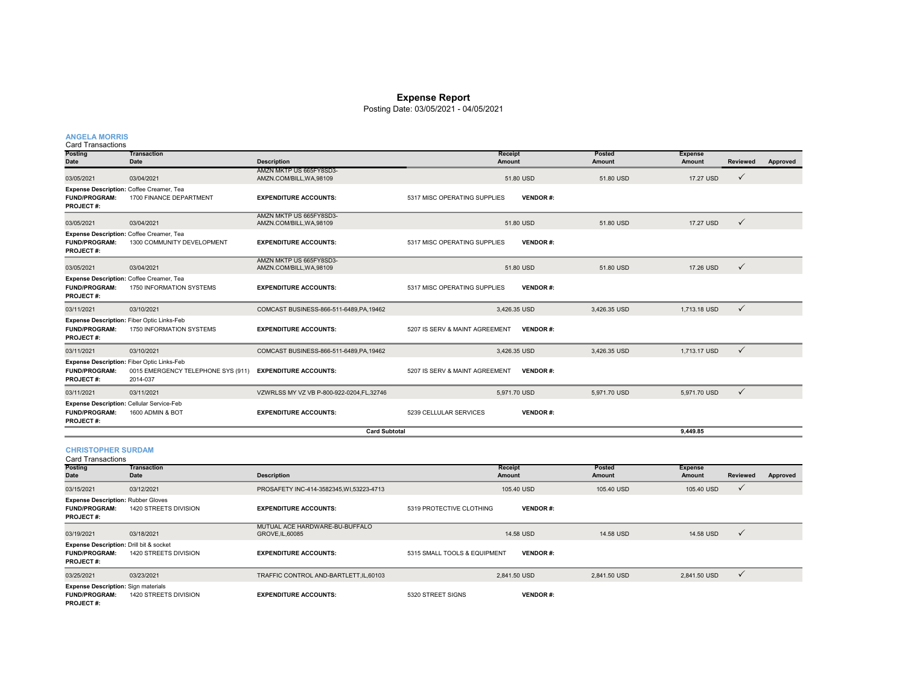#### **Expense Report**

Posting Date: 03/05/2021 - 04/05/2021

#### **ANGELA MORRIS**

| <b>Posting</b>                           | <b>Transaction</b>                                                                                  |                                          | <b>Receipt</b>                                    | Posted       | <b>Expense</b> |                 |          |
|------------------------------------------|-----------------------------------------------------------------------------------------------------|------------------------------------------|---------------------------------------------------|--------------|----------------|-----------------|----------|
| Date                                     | Date                                                                                                | <b>Description</b>                       | Amount                                            | Amount       | Amount         | <b>Reviewed</b> | Approved |
|                                          |                                                                                                     | AMZN MKTP US 665FY8SD3-                  |                                                   |              |                |                 |          |
| 03/05/2021                               | 03/04/2021                                                                                          | AMZN.COM/BILL, WA, 98109                 | 51.80 USD                                         | 51.80 USD    | 17.27 USD      | $\checkmark$    |          |
|                                          | Expense Description: Coffee Creamer, Tea                                                            |                                          |                                                   |              |                |                 |          |
| <b>FUND/PROGRAM:</b><br><b>PROJECT#:</b> | 1700 FINANCE DEPARTMENT                                                                             | <b>EXPENDITURE ACCOUNTS:</b>             | <b>VENDOR#:</b><br>5317 MISC OPERATING SUPPLIES   |              |                |                 |          |
|                                          |                                                                                                     | AMZN MKTP US 665FY8SD3-                  |                                                   |              |                |                 |          |
| 03/05/2021                               | 03/04/2021                                                                                          | AMZN.COM/BILL, WA, 98109                 | 51.80 USD                                         | 51.80 USD    | 17.27 USD      | $\checkmark$    |          |
|                                          | Expense Description: Coffee Creamer, Tea                                                            |                                          |                                                   |              |                |                 |          |
| <b>FUND/PROGRAM:</b><br><b>PROJECT#:</b> | 1300 COMMUNITY DEVELOPMENT                                                                          | <b>EXPENDITURE ACCOUNTS:</b>             | <b>VENDOR#:</b><br>5317 MISC OPERATING SUPPLIES   |              |                |                 |          |
|                                          |                                                                                                     | AMZN MKTP US 665FY8SD3-                  |                                                   |              |                |                 |          |
| 03/05/2021                               | 03/04/2021                                                                                          | AMZN.COM/BILL, WA, 98109                 | 51.80 USD                                         | 51.80 USD    | 17.26 USD      | $\checkmark$    |          |
|                                          | Expense Description: Coffee Creamer, Tea                                                            |                                          |                                                   |              |                |                 |          |
| <b>FUND/PROGRAM:</b><br><b>PROJECT#:</b> | 1750 INFORMATION SYSTEMS                                                                            | <b>EXPENDITURE ACCOUNTS:</b>             | 5317 MISC OPERATING SUPPLIES<br><b>VENDOR#:</b>   |              |                |                 |          |
| 03/11/2021                               | 03/10/2021                                                                                          | COMCAST BUSINESS-866-511-6489.PA.19462   | 3,426.35 USD                                      | 3.426.35 USD | 1,713.18 USD   | $\checkmark$    |          |
| <b>FUND/PROGRAM:</b><br><b>PROJECT#:</b> | Expense Description: Fiber Optic Links-Feb<br>1750 INFORMATION SYSTEMS                              | <b>EXPENDITURE ACCOUNTS:</b>             | 5207 IS SERV & MAINT AGREEMENT<br><b>VENDOR#:</b> |              |                |                 |          |
| 03/11/2021                               | 03/10/2021                                                                                          | COMCAST BUSINESS-866-511-6489, PA, 19462 | 3,426.35 USD                                      | 3,426.35 USD | 1.713.17 USD   | $\checkmark$    |          |
| <b>FUND/PROGRAM:</b><br><b>PROJECT#:</b> | <b>Expense Description: Fiber Optic Links-Feb</b><br>0015 EMERGENCY TELEPHONE SYS (911)<br>2014-037 | <b>EXPENDITURE ACCOUNTS:</b>             | 5207 IS SERV & MAINT AGREEMENT<br><b>VENDOR#:</b> |              |                |                 |          |
| 03/11/2021                               | 03/11/2021                                                                                          | VZWRLSS MY VZ VB P-800-922-0204.FL.32746 | 5.971.70 USD                                      | 5.971.70 USD | 5.971.70 USD   | $\checkmark$    |          |
| <b>FUND/PROGRAM:</b><br><b>PROJECT#:</b> | Expense Description: Cellular Service-Feb<br>1600 ADMIN & BOT                                       | <b>EXPENDITURE ACCOUNTS:</b>             | 5239 CELLULAR SERVICES<br><b>VENDOR#:</b>         |              |                |                 |          |
|                                          |                                                                                                     | <b>Card Subtotal</b>                     |                                                   |              | 9.449.85       |                 |          |

# **CHRISTOPHER SURDAM**

| <b>Card Transactions</b>                                                               |                                   |                                                    |                              |                          |                         |                          |              |          |
|----------------------------------------------------------------------------------------|-----------------------------------|----------------------------------------------------|------------------------------|--------------------------|-------------------------|--------------------------|--------------|----------|
| <b>Posting</b><br>Date                                                                 | <b>Transaction</b><br><b>Date</b> | <b>Description</b>                                 |                              | <b>Receipt</b><br>Amount | <b>Posted</b><br>Amount | <b>Expense</b><br>Amount | Reviewed     | Approved |
| 03/15/2021                                                                             | 03/12/2021                        | PROSAFETY INC-414-3582345, WI, 53223-4713          |                              | 105.40 USD               | 105.40 USD              | 105.40 USD               | v            |          |
| <b>Expense Description: Rubber Gloves</b><br><b>FUND/PROGRAM:</b><br><b>PROJECT#:</b>  | 1420 STREETS DIVISION             | <b>EXPENDITURE ACCOUNTS:</b>                       | 5319 PROTECTIVE CLOTHING     | <b>VENDOR#:</b>          |                         |                          |              |          |
| 03/19/2021                                                                             | 03/18/2021                        | MUTUAL ACE HARDWARE-BU-BUFFALO<br>GROVE, IL, 60085 |                              | 14.58 USD                | 14.58 USD               | 14.58 USD                | $\checkmark$ |          |
| Expense Description: Drill bit & socket<br><b>FUND/PROGRAM:</b><br><b>PROJECT#:</b>    | 1420 STREETS DIVISION             | <b>EXPENDITURE ACCOUNTS:</b>                       | 5315 SMALL TOOLS & EQUIPMENT | <b>VENDOR#:</b>          |                         |                          |              |          |
| 03/25/2021                                                                             | 03/23/2021                        | TRAFFIC CONTROL AND-BARTLETT, IL, 60103            |                              | 2.841.50 USD             | 2,841.50 USD            | 2,841.50 USD             | v            |          |
| <b>Expense Description: Sign materials</b><br><b>FUND/PROGRAM:</b><br><b>PROJECT#:</b> | 1420 STREETS DIVISION             | <b>EXPENDITURE ACCOUNTS:</b>                       | 5320 STREET SIGNS            | <b>VENDOR#:</b>          |                         |                          |              |          |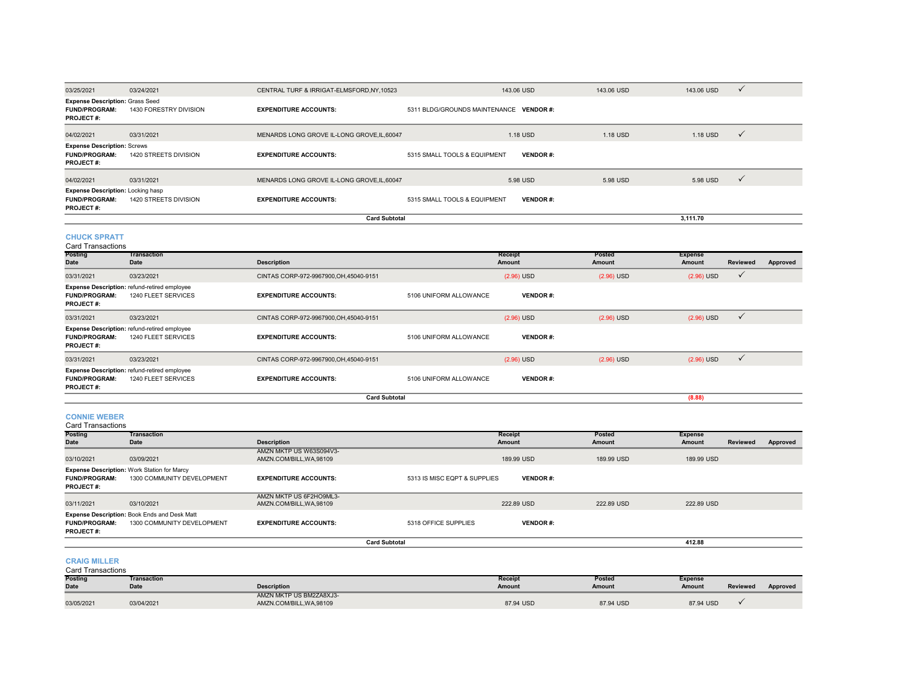| 03/25/2021                                                                           | 03/24/2021             | CENTRAL TURF & IRRIGAT-ELMSFORD, NY, 10523  | 143.06 USD                    | 143.06 USD      | 143.06 USD | $\checkmark$ |
|--------------------------------------------------------------------------------------|------------------------|---------------------------------------------|-------------------------------|-----------------|------------|--------------|
| <b>Expense Description: Grass Seed</b><br><b>FUND/PROGRAM:</b><br><b>PROJECT#:</b>   | 1430 FORESTRY DIVISION | <b>EXPENDITURE ACCOUNTS:</b>                | 5311 BLDG/GROUNDS MAINTENANCE | <b>VENDOR#:</b> |            |              |
| 04/02/2021                                                                           | 03/31/2021             | MENARDS LONG GROVE IL-LONG GROVE.IL.60047   | 1.18 USD                      | 1.18 USD        | 1.18 USD   | $\checkmark$ |
| <b>Expense Description: Screws</b><br><b>FUND/PROGRAM:</b><br><b>PROJECT#:</b>       | 1420 STREETS DIVISION  | <b>EXPENDITURE ACCOUNTS:</b>                | 5315 SMALL TOOLS & EQUIPMENT  | <b>VENDOR#:</b> |            |              |
| 04/02/2021                                                                           | 03/31/2021             | MENARDS LONG GROVE IL-LONG GROVE, IL, 60047 | 5.98 USD                      | 5.98 USD        | 5.98 USD   | $\checkmark$ |
| <b>Expense Description: Locking hasp</b><br><b>FUND/PROGRAM:</b><br><b>PROJECT#:</b> | 1420 STREETS DIVISION  | <b>EXPENDITURE ACCOUNTS:</b>                | 5315 SMALL TOOLS & EQUIPMENT  | <b>VENDOR#:</b> |            |              |
|                                                                                      |                        | <b>Card Subtotal</b>                        |                               |                 | 3.111.70   |              |

**3,111.70**

#### **CHUCK SPRATT**

**Posting Date TransactionDate Description Receipt Amount PostedAmount Expense Amount Reviewed Approved** 03/31/2021 03/23/2021 CINTAS CORP-972-9967900,OH,45040-9151 (2.96) USD (2.96) USD (2.96) USD **FUND/PROGRAM:** 1240 FLEET SERVICES **EXPENDITURE ACCOUNTS:** 5106 UNIFORM ALLOWANCE **VENDOR #: PROJECT #:**03/31/2021 03/23/2021 CINTAS CORP-972-9967900,OH,45040-9151 (2.96) USD (2.96) USD (2.96) USD (2.96) USD √ **FUND/PROGRAM:** 1240 FLEET SERVICES **EXPENDITURE ACCOUNTS:** 5106 UNIFORM ALLOWANCE **VENDOR #: PROJECT #:** 03/31/2021 03/23/2021 CINTAS CORP-972-9967900,OH,45040-9151 (2.96) USD (2.96) USD (2.96) USD **FUND/PROGRAM:** 1240 FLEET SERVICES **EXPENDITURE ACCOUNTS:** 5106 UNIFORM ALLOWANCE **VENDOR #: PROJECT #:** Card Transactions**Expense Description:** refund-retired employee **Expense Description:** refund-retired employee **Expense Description:** refund-retired employee **Card Subtotal(8.88)**

#### **CONNIE WEBER**

Card Transactions

| <b>Posting</b>       | <b>Transaction</b>                           |                                                   |                              | Receipt         | Posted     | <b>Expense</b> |          |          |
|----------------------|----------------------------------------------|---------------------------------------------------|------------------------------|-----------------|------------|----------------|----------|----------|
| Date                 | Date                                         | <b>Description</b>                                |                              | Amount          | Amount     | Amount         | Reviewed | Approved |
| 03/10/2021           | 03/09/2021                                   | AMZN MKTP US W63S094V3-<br>AMZN.COM/BILL.WA.98109 |                              | 189.99 USD      | 189.99 USD | 189.99 USD     |          |          |
|                      | Expense Description: Work Station for Marcy  |                                                   |                              |                 |            |                |          |          |
| <b>FUND/PROGRAM:</b> | 1300 COMMUNITY DEVELOPMENT                   | <b>EXPENDITURE ACCOUNTS:</b>                      | 5313 IS MISC EQPT & SUPPLIES | <b>VENDOR#:</b> |            |                |          |          |
| <b>PROJECT#:</b>     |                                              |                                                   |                              |                 |            |                |          |          |
|                      |                                              | AMZN MKTP US 6F2HO9ML3-                           |                              |                 |            |                |          |          |
| 03/11/2021           | 03/10/2021                                   | AMZN.COM/BILL, WA, 98109                          |                              | 222.89 USD      | 222.89 USD | 222.89 USD     |          |          |
|                      | Expense Description: Book Ends and Desk Matt |                                                   |                              |                 |            |                |          |          |
| <b>FUND/PROGRAM:</b> | 1300 COMMUNITY DEVELOPMENT                   | <b>EXPENDITURE ACCOUNTS:</b>                      | 5318 OFFICE SUPPLIES         | <b>VENDOR#:</b> |            |                |          |          |
| <b>PROJECT#:</b>     |                                              |                                                   |                              |                 |            |                |          |          |
|                      |                                              |                                                   | <b>Card Subtotal</b>         |                 |            | 412.88         |          |          |

#### **CRAIG MILLER**

**Posting Date TransactionDate Description Receipt Amount Posted Amount Expense Amount Reviewed Approved** 03/05/2021 03/04/2021 AMZN MKTP US BM2ZA8XJ3- AMZN.COM/BILL,WA,98109 87.94 USD 87.94 USD 87.94 USD Card Transactions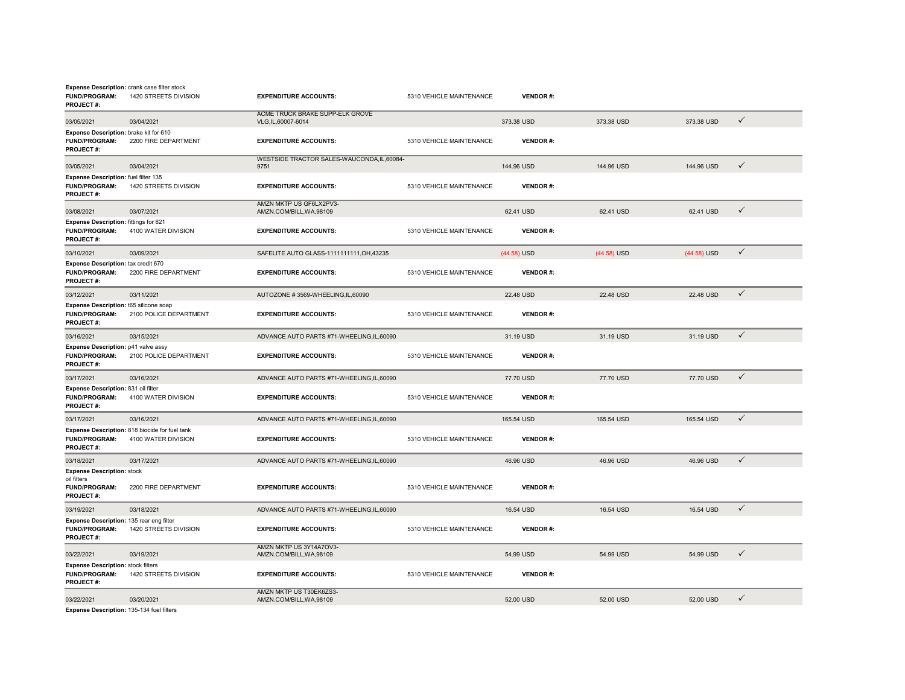| <b>Expense Description:</b> crank case filter stock<br><b>FUND/PROGRAM:</b><br><b>PROJECT#:</b> | 1420 STREETS DIVISION                                                 | <b>EXPENDITURE ACCOUNTS:</b>                         | 5310 VEHICLE MAINTENANCE | <b>VENDOR#:</b> |               |             |              |
|-------------------------------------------------------------------------------------------------|-----------------------------------------------------------------------|------------------------------------------------------|--------------------------|-----------------|---------------|-------------|--------------|
| 03/05/2021                                                                                      | 03/04/2021                                                            | ACME TRUCK BRAKE SUPP-ELK GROVE<br>VLG,IL,60007-6014 |                          | 373.38 USD      | 373.38 USD    | 373.38 USD  | $\checkmark$ |
| Expense Description: brake kit for 610<br><b>FUND/PROGRAM:</b><br>PROJECT#:                     | 2200 FIRE DEPARTMENT                                                  | <b>EXPENDITURE ACCOUNTS:</b>                         | 5310 VEHICLE MAINTENANCE | <b>VENDOR#:</b> |               |             |              |
| 03/05/2021                                                                                      | 03/04/2021                                                            | WESTSIDE TRACTOR SALES-WAUCONDA, IL, 60084-<br>9751  |                          | 144.96 USD      | 144.96 USD    | 144.96 USD  | $\checkmark$ |
| Expense Description: fuel filter 135<br><b>FUND/PROGRAM:</b><br><b>PROJECT#:</b>                | 1420 STREETS DIVISION                                                 | <b>EXPENDITURE ACCOUNTS:</b>                         | 5310 VEHICLE MAINTENANCE | <b>VENDOR#:</b> |               |             |              |
| 03/08/2021                                                                                      | 03/07/2021                                                            | AMZN MKTP US GF6LX2PV3-<br>AMZN.COM/BILL, WA, 98109  |                          | 62.41 USD       | 62.41 USD     | 62.41 USD   | ✓            |
| <b>Expense Description: fittings for 821</b><br><b>FUND/PROGRAM:</b><br><b>PROJECT#:</b>        | 4100 WATER DIVISION                                                   | <b>EXPENDITURE ACCOUNTS:</b>                         | 5310 VEHICLE MAINTENANCE | <b>VENDOR#:</b> |               |             |              |
| 03/10/2021                                                                                      | 03/09/2021                                                            | SAFELITE AUTO GLASS-1111111111, OH, 43235            |                          | $(44.58)$ USD   | $(44.58)$ USD | (44.58) USD | $\checkmark$ |
| Expense Description: tax credit 670<br><b>FUND/PROGRAM:</b><br><b>PROJECT#:</b>                 | 2200 FIRE DEPARTMENT                                                  | <b>EXPENDITURE ACCOUNTS:</b>                         | 5310 VEHICLE MAINTENANCE | <b>VENDOR#:</b> |               |             |              |
| 03/12/2021                                                                                      | 03/11/2021                                                            | AUTOZONE #3569-WHEELING,IL,60090                     |                          | 22.48 USD       | 22.48 USD     | 22.48 USD   | $\checkmark$ |
| Expense Description: t65 silicone soap<br>FUND/PROGRAM:<br>PROJECT#:                            | 2100 POLICE DEPARTMENT                                                | <b>EXPENDITURE ACCOUNTS:</b>                         | 5310 VEHICLE MAINTENANCE | <b>VENDOR#:</b> |               |             |              |
| 03/16/2021                                                                                      | 03/15/2021                                                            | ADVANCE AUTO PARTS #71-WHEELING,IL,60090             |                          | 31.19 USD       | 31.19 USD     | 31.19 USD   | $\checkmark$ |
| <b>Expense Description: p41 valve assy</b><br>FUND/PROGRAM:<br><b>PROJECT#:</b>                 | 2100 POLICE DEPARTMENT                                                | <b>EXPENDITURE ACCOUNTS:</b>                         | 5310 VEHICLE MAINTENANCE | <b>VENDOR#:</b> |               |             |              |
| 03/17/2021                                                                                      | 03/16/2021                                                            | ADVANCE AUTO PARTS #71-WHEELING, IL, 60090           |                          | 77.70 USD       | 77.70 USD     | 77.70 USD   | $\checkmark$ |
| Expense Description: 831 oil filter<br><b>FUND/PROGRAM:</b><br><b>PROJECT#:</b>                 | 4100 WATER DIVISION                                                   | <b>EXPENDITURE ACCOUNTS:</b>                         | 5310 VEHICLE MAINTENANCE | <b>VENDOR#:</b> |               |             |              |
| 03/17/2021                                                                                      | 03/16/2021                                                            | ADVANCE AUTO PARTS #71-WHEELING,IL,60090             |                          | 165.54 USD      | 165.54 USD    | 165.54 USD  | $\checkmark$ |
| <b>FUND/PROGRAM:</b><br>PROJECT#:                                                               | Expense Description: 818 biocide for fuel tank<br>4100 WATER DIVISION | <b>EXPENDITURE ACCOUNTS:</b>                         | 5310 VEHICLE MAINTENANCE | <b>VENDOR#:</b> |               |             |              |
| 03/18/2021                                                                                      | 03/17/2021                                                            | ADVANCE AUTO PARTS #71-WHEELING,IL,60090             |                          | 46.96 USD       | 46.96 USD     | 46.96 USD   | $\checkmark$ |
| <b>Expense Description: stock</b><br>oil filters                                                |                                                                       |                                                      |                          |                 |               |             |              |
| FUND/PROGRAM:<br>PROJECT#:                                                                      | 2200 FIRE DEPARTMENT                                                  | <b>EXPENDITURE ACCOUNTS:</b>                         | 5310 VEHICLE MAINTENANCE | <b>VENDOR#:</b> |               |             |              |
| 03/19/2021                                                                                      | 03/18/2021                                                            | ADVANCE AUTO PARTS #71-WHEELING.IL.60090             |                          | 16.54 USD       | 16.54 USD     | 16.54 USD   | $\checkmark$ |
| Expense Description: 135 rear eng filter<br><b>FUND/PROGRAM:</b><br><b>PROJECT#:</b>            | 1420 STREETS DIVISION                                                 | <b>EXPENDITURE ACCOUNTS:</b>                         | 5310 VEHICLE MAINTENANCE | <b>VENDOR#:</b> |               |             |              |
| 03/22/2021                                                                                      | 03/19/2021                                                            | AMZN MKTP US 3Y14A7OV3-<br>AMZN.COM/BILL, WA, 98109  |                          | 54.99 USD       | 54.99 USD     | 54.99 USD   | $\checkmark$ |
| <b>Expense Description: stock filters</b><br><b>FUND/PROGRAM:</b><br>PROJECT#:                  | 1420 STREETS DIVISION                                                 | <b>EXPENDITURE ACCOUNTS:</b>                         | 5310 VEHICLE MAINTENANCE | <b>VENDOR#:</b> |               |             |              |
| 03/22/2021                                                                                      | 03/20/2021                                                            | AMZN MKTP US T30EK6ZS3-<br>AMZN.COM/BILL, WA, 98109  |                          | 52.00 USD       | 52.00 USD     | 52.00 USD   | ✓            |
| Expense Description: 135-134 fuel filters                                                       |                                                                       |                                                      |                          |                 |               |             |              |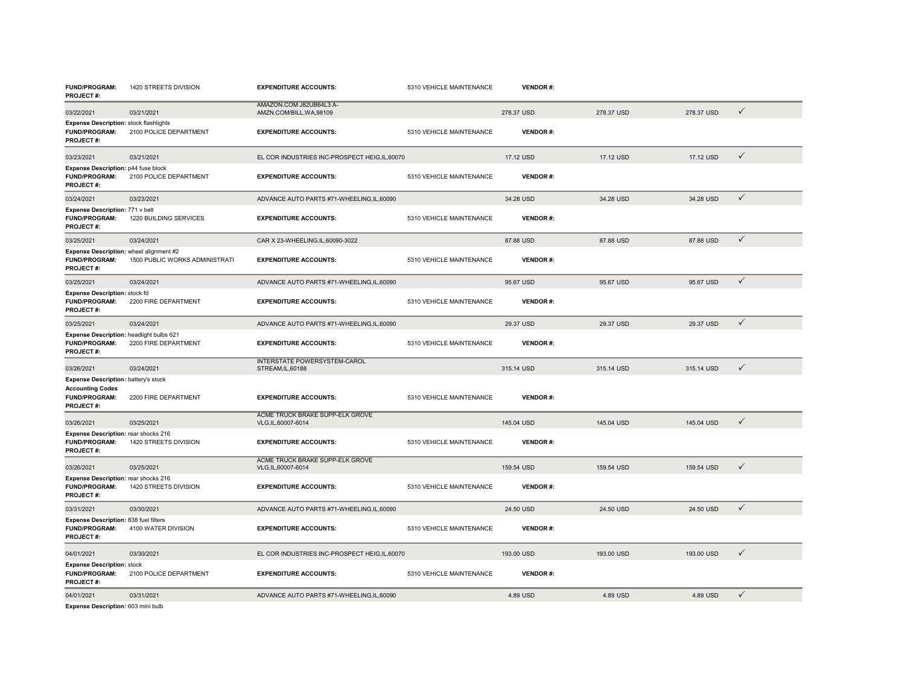| <b>FUND/PROGRAM:</b><br><b>PROJECT#:</b>                                                                    | 1420 STREETS DIVISION          | <b>EXPENDITURE ACCOUNTS:</b>                           | 5310 VEHICLE MAINTENANCE | <b>VENDOR#:</b> |            |            |              |
|-------------------------------------------------------------------------------------------------------------|--------------------------------|--------------------------------------------------------|--------------------------|-----------------|------------|------------|--------------|
| 03/22/2021                                                                                                  | 03/21/2021                     | AMAZON.COM J82UB64L3 A-<br>AMZN.COM/BILL, WA, 98109    |                          | 278.37 USD      | 278.37 USD | 278.37 USD | $\checkmark$ |
| <b>Expense Description: stock flashlights</b><br><b>FUND/PROGRAM:</b><br><b>PROJECT#:</b>                   | 2100 POLICE DEPARTMENT         | <b>EXPENDITURE ACCOUNTS:</b>                           | 5310 VEHICLE MAINTENANCE | <b>VENDOR#:</b> |            |            |              |
| 03/23/2021                                                                                                  | 03/21/2021                     | EL COR INDUSTRIES INC-PROSPECT HEIG, IL, 60070         |                          | 17.12 USD       | 17.12 USD  | 17.12 USD  | $\checkmark$ |
| Expense Description: p44 fuse block<br><b>FUND/PROGRAM:</b><br><b>PROJECT#:</b>                             | 2100 POLICE DEPARTMENT         | <b>EXPENDITURE ACCOUNTS:</b>                           | 5310 VEHICLE MAINTENANCE | <b>VENDOR#:</b> |            |            |              |
| 03/24/2021                                                                                                  | 03/23/2021                     | ADVANCE AUTO PARTS #71-WHEELING,IL,60090               |                          | 34.28 USD       | 34.28 USD  | 34.28 USD  | $\checkmark$ |
| Expense Description: 771 v belt<br><b>FUND/PROGRAM:</b><br>PROJECT#:                                        | 1220 BUILDING SERVICES         | <b>EXPENDITURE ACCOUNTS:</b>                           | 5310 VEHICLE MAINTENANCE | <b>VENDOR#:</b> |            |            |              |
| 03/25/2021                                                                                                  | 03/24/2021                     | CAR X 23-WHEELING.IL.60090-3022                        |                          | 87.88 USD       | 87.88 USD  | 87.88 USD  | $\checkmark$ |
| Expense Description: wheel alignment #2<br><b>FUND/PROGRAM:</b><br>PROJECT#:                                | 1500 PUBLIC WORKS ADMINISTRATI | <b>EXPENDITURE ACCOUNTS:</b>                           | 5310 VEHICLE MAINTENANCE | <b>VENDOR#:</b> |            |            |              |
| 03/25/2021                                                                                                  | 03/24/2021                     | ADVANCE AUTO PARTS #71-WHEELING,IL,60090               |                          | 95.67 USD       | 95.67 USD  | 95.67 USD  | $\checkmark$ |
| Expense Description: stock fd<br><b>FUND/PROGRAM:</b><br>PROJECT#:                                          | 2200 FIRE DEPARTMENT           | <b>EXPENDITURE ACCOUNTS:</b>                           | 5310 VEHICLE MAINTENANCE | <b>VENDOR#:</b> |            |            |              |
| 03/25/2021                                                                                                  | 03/24/2021                     | ADVANCE AUTO PARTS #71-WHEELING,IL,60090               |                          | 29.37 USD       | 29.37 USD  | 29.37 USD  | $\checkmark$ |
| Expense Description: headlight bulbs 621<br><b>FUND/PROGRAM:</b><br><b>PROJECT#:</b>                        | 2200 FIRE DEPARTMENT           | <b>EXPENDITURE ACCOUNTS:</b>                           | 5310 VEHICLE MAINTENANCE | <b>VENDOR#:</b> |            |            |              |
| 03/26/2021                                                                                                  | 03/24/2021                     | <b>INTERSTATE POWERSYSTEM-CAROL</b><br>STREAM.IL.60188 |                          | 315.14 USD      | 315.14 USD | 315.14 USD | ✓            |
| Expense Description: battery's stock<br><b>Accounting Codes</b><br><b>FUND/PROGRAM:</b><br><b>PROJECT#:</b> | 2200 FIRE DEPARTMENT           | <b>EXPENDITURE ACCOUNTS:</b>                           | 5310 VEHICLE MAINTENANCE | <b>VENDOR#:</b> |            |            |              |
| 03/26/2021                                                                                                  | 03/25/2021                     | ACME TRUCK BRAKE SUPP-ELK GROVE<br>VLG,IL,60007-6014   |                          | 145.04 USD      | 145.04 USD | 145.04 USD | $\checkmark$ |
| Expense Description: rear shocks 216<br><b>FUND/PROGRAM:</b><br>PROJECT#:                                   | 1420 STREETS DIVISION          | <b>EXPENDITURE ACCOUNTS:</b>                           | 5310 VEHICLE MAINTENANCE | <b>VENDOR#:</b> |            |            |              |
| 03/26/2021                                                                                                  | 03/25/2021                     | ACME TRUCK BRAKE SUPP-ELK GROVE<br>VLG,IL,60007-6014   |                          | 159.54 USD      | 159.54 USD | 159.54 USD | $\checkmark$ |
| Expense Description: rear shocks 216<br><b>FUND/PROGRAM:</b><br><b>PROJECT#:</b>                            | 1420 STREETS DIVISION          | <b>EXPENDITURE ACCOUNTS:</b>                           | 5310 VEHICLE MAINTENANCE | <b>VENDOR#:</b> |            |            |              |
| 03/31/2021                                                                                                  | 03/30/2021                     | ADVANCE AUTO PARTS #71-WHEELING,IL,60090               |                          | 24.50 USD       | 24.50 USD  | 24.50 USD  | $\checkmark$ |
| Expense Description: 838 fuel filters<br><b>FUND/PROGRAM:</b><br><b>PROJECT#:</b>                           | 4100 WATER DIVISION            | <b>EXPENDITURE ACCOUNTS:</b>                           | 5310 VEHICLE MAINTENANCE | <b>VENDOR#:</b> |            |            |              |
| 04/01/2021                                                                                                  | 03/30/2021                     | EL COR INDUSTRIES INC-PROSPECT HEIG,IL,60070           |                          | 193.00 USD      | 193.00 USD | 193.00 USD | $\checkmark$ |
| <b>Expense Description: stock</b><br>FUND/PROGRAM:<br>PROJECT#:                                             | 2100 POLICE DEPARTMENT         | <b>EXPENDITURE ACCOUNTS:</b>                           | 5310 VEHICLE MAINTENANCE | <b>VENDOR#:</b> |            |            |              |
| 04/01/2021                                                                                                  | 03/31/2021                     | ADVANCE AUTO PARTS #71-WHEELING,IL,60090               |                          | 4.89 USD        | 4.89 USD   | 4.89 USD   | $\checkmark$ |
| Expense Description: 603 mini bulb                                                                          |                                |                                                        |                          |                 |            |            |              |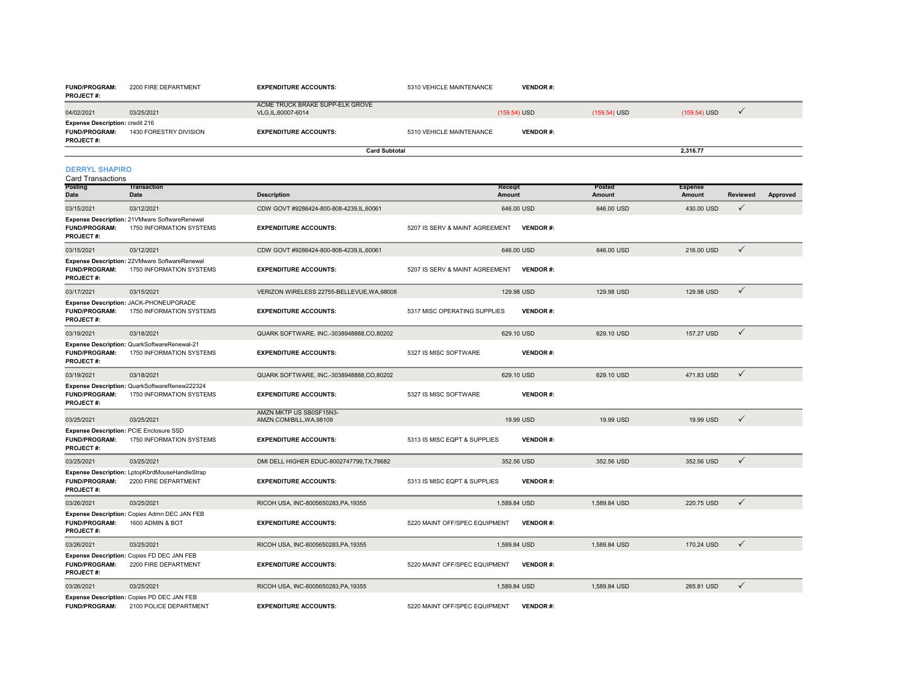| <b>PROJECT#:</b>                                                            |                                                                           |                                                      |                                |                 |                  |                          |                 |          |
|-----------------------------------------------------------------------------|---------------------------------------------------------------------------|------------------------------------------------------|--------------------------------|-----------------|------------------|--------------------------|-----------------|----------|
| 04/02/2021                                                                  | 03/25/2021                                                                | ACME TRUCK BRAKE SUPP-ELK GROVE<br>VLG,IL,60007-6014 |                                | $(159.54)$ USD  | $(159.54)$ USD   | $(159.54)$ USD           | $\checkmark$    |          |
| Expense Description: credit 216<br><b>FUND/PROGRAM:</b><br><b>PROJECT#:</b> | 1430 FORESTRY DIVISION                                                    | <b>EXPENDITURE ACCOUNTS:</b>                         | 5310 VEHICLE MAINTENANCE       | <b>VENDOR#:</b> |                  |                          |                 |          |
|                                                                             |                                                                           | <b>Card Subtotal</b>                                 |                                |                 |                  | 2,316.77                 |                 |          |
| <b>DERRYL SHAPIRO</b><br><b>Card Transactions</b>                           |                                                                           |                                                      |                                |                 |                  |                          |                 |          |
| Posting<br>Date                                                             | <b>Transaction</b><br>Date                                                | <b>Description</b>                                   | Receipt<br>Amount              |                 | Posted<br>Amount | <b>Expense</b><br>Amount | <b>Reviewed</b> | Approved |
| 03/15/2021                                                                  | 03/12/2021                                                                | CDW GOVT #9286424-800-808-4239.IL.60061              |                                | 646.00 USD      | 646.00 USD       | 430.00 USD               | $\checkmark$    |          |
| <b>FUND/PROGRAM:</b><br><b>PROJECT#:</b>                                    | Expense Description: 21VMware SoftwareRenewal<br>1750 INFORMATION SYSTEMS | <b>EXPENDITURE ACCOUNTS:</b>                         | 5207 IS SERV & MAINT AGREEMENT | <b>VENDOR#:</b> |                  |                          |                 |          |
| 03/15/2021                                                                  | 03/12/2021                                                                | CDW GOVT #9286424-800-808-4239.IL.60061              |                                | 646.00 USD      | 646.00 USD       | 216,00 USD               | $\checkmark$    |          |
| <b>FUND/PROGRAM:</b><br><b>PROJECT#:</b>                                    | Expense Description: 22VMware SoftwareRenewal<br>1750 INFORMATION SYSTEMS | <b>EXPENDITURE ACCOUNTS:</b>                         | 5207 IS SERV & MAINT AGREEMENT | <b>VENDOR#:</b> |                  |                          |                 |          |
| 03/17/2021                                                                  | 03/15/2021                                                                | VERIZON WIRELESS 22755-BELLEVUE.WA.98008             |                                | 129.98 USD      | 129.98 USD       | 129.98 USD               | $\checkmark$    |          |
| <b>FUND/PROGRAM:</b><br><b>PROJECT#:</b>                                    | Expense Description: JACK-PHONEUPGRADE<br>1750 INFORMATION SYSTEMS        | <b>EXPENDITURE ACCOUNTS:</b>                         | 5317 MISC OPERATING SUPPLIES   | <b>VENDOR#:</b> |                  |                          |                 |          |
| 03/19/2021                                                                  | 03/18/2021                                                                | QUARK SOFTWARE, INC.-3038948888,CO,80202             |                                | 629.10 USD      | 629.10 USD       | 157.27 USD               | $\checkmark$    |          |
| <b>FUND/PROGRAM:</b><br>PROJECT#:                                           | Expense Description: QuarkSoftwareRenewal-21<br>1750 INFORMATION SYSTEMS  | <b>EXPENDITURE ACCOUNTS:</b>                         | 5327 IS MISC SOFTWARE          | <b>VENDOR#:</b> |                  |                          |                 |          |
| 03/19/2021                                                                  | 03/18/2021                                                                | QUARK SOFTWARE, INC.-3038948888.CO.80202             |                                | 629.10 USD      | 629.10 USD       | 471.83 USD               | $\checkmark$    |          |
| <b>FUND/PROGRAM:</b><br>PROJECT#:                                           | Expense Description: QuarkSoftwareRenew222324<br>1750 INFORMATION SYSTEMS | <b>EXPENDITURE ACCOUNTS:</b>                         | 5327 IS MISC SOFTWARE          | <b>VENDOR#:</b> |                  |                          |                 |          |
| 03/25/2021                                                                  | 03/25/2021                                                                | AMZN MKTP US SB0SF15N3-<br>AMZN.COM/BILL, WA, 98109  |                                | 19.99 USD       | 19.99 USD        | 19.99 USD                | $\checkmark$    |          |
| <b>FUND/PROGRAM:</b><br>PROJECT#:                                           | Expense Description: PCIE Enclosure SSD<br>1750 INFORMATION SYSTEMS       | <b>EXPENDITURE ACCOUNTS:</b>                         | 5313 IS MISC EQPT & SUPPLIES   | <b>VENDOR#:</b> |                  |                          |                 |          |
| 03/25/2021                                                                  | 03/25/2021                                                                | DMI DELL HIGHER EDUC-8002747799.TX.78682             |                                | 352.56 USD      | 352.56 USD       | 352.56 USD               | $\checkmark$    |          |
| <b>FUND/PROGRAM:</b><br>PROJECT#:                                           | Expense Description: LptopKbrdMouseHandleStrap<br>2200 FIRE DEPARTMENT    | <b>EXPENDITURE ACCOUNTS:</b>                         | 5313 IS MISC EQPT & SUPPLIES   | <b>VENDOR#:</b> |                  |                          |                 |          |
| 03/26/2021                                                                  | 03/25/2021                                                                | RICOH USA, INC-8005650283, PA.19355                  |                                | 1.589.84 USD    | 1.589.84 USD     | 220.75 USD               | $\checkmark$    |          |
| <b>FUND/PROGRAM:</b><br><b>PROJECT#:</b>                                    | Expense Description: Copies Admn DEC JAN FEB<br>1600 ADMIN & BOT          | <b>EXPENDITURE ACCOUNTS:</b>                         | 5220 MAINT OFF/SPEC EQUIPMENT  | <b>VENDOR#:</b> |                  |                          |                 |          |
| 03/26/2021                                                                  | 03/25/2021                                                                | RICOH USA, INC-8005650283, PA.19355                  |                                | 1.589.84 USD    | 1.589.84 USD     | 170.24 USD               | $\checkmark$    |          |
| FUND/PROGRAM:<br><b>PROJECT#:</b>                                           | Expense Description: Copies FD DEC JAN FEB<br>2200 FIRE DEPARTMENT        | <b>EXPENDITURE ACCOUNTS:</b>                         | 5220 MAINT OFF/SPEC EQUIPMENT  | <b>VENDOR#:</b> |                  |                          |                 |          |
| 03/26/2021                                                                  | 03/25/2021                                                                | RICOH USA, INC-8005650283, PA, 19355                 |                                | 1,589.84 USD    | 1,589.84 USD     | 265.81 USD               | $\checkmark$    |          |

**EXPENDITURE ACCOUNTS:** 5310 VEHICLE MAINTENANCE

**FUND/PROGRAM:** 2100 POLICE DEPARTMENT**Expense Description:** Copies PD DEC JAN FEB

**FUND/PROGRAM:** 2200 FIRE DEPARTMENT

**EXPENDITURE ACCOUNTS:** 5220 MAINT OFF/SPEC EQUIPMENT **VENDOR** #:

**VENDOR #:**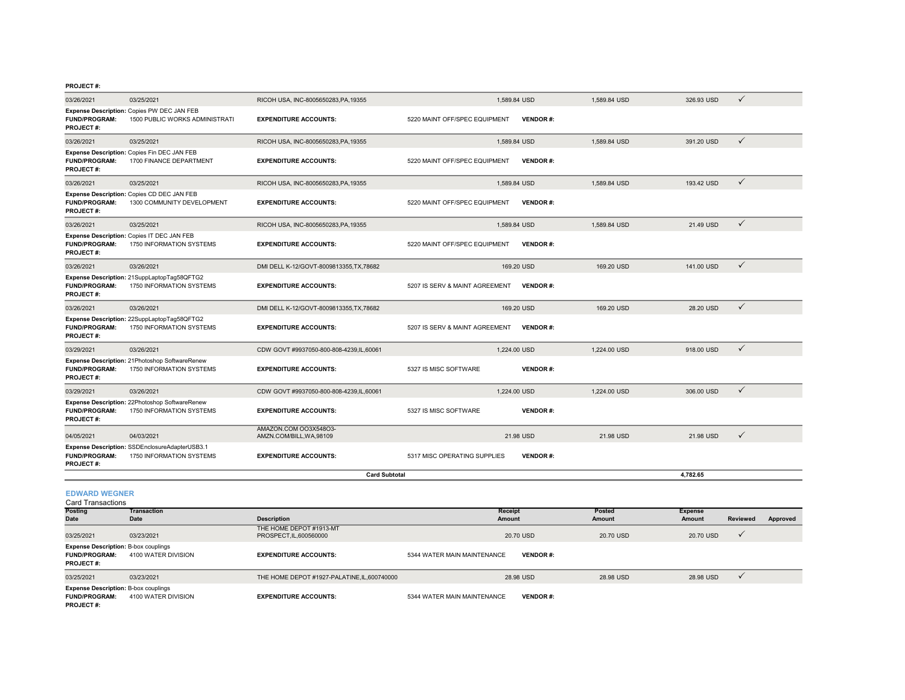| <b>EDWARD WEGNER</b>                     |                                                                              |                                                   |                                |                 |              |            |              |
|------------------------------------------|------------------------------------------------------------------------------|---------------------------------------------------|--------------------------------|-----------------|--------------|------------|--------------|
|                                          |                                                                              | <b>Card Subtotal</b>                              |                                |                 |              | 4.782.65   |              |
| <b>FUND/PROGRAM:</b><br><b>PROJECT#:</b> | Expense Description: SSDEnclosureAdapterUSB3.1<br>1750 INFORMATION SYSTEMS   | <b>EXPENDITURE ACCOUNTS:</b>                      | 5317 MISC OPERATING SUPPLIES   | <b>VENDOR#:</b> |              |            |              |
| 04/05/2021                               | 04/03/2021                                                                   | AMAZON.COM OO3X548O3-<br>AMZN.COM/BILL, WA, 98109 |                                | 21.98 USD       | 21.98 USD    | 21.98 USD  | $\checkmark$ |
| <b>FUND/PROGRAM:</b><br><b>PROJECT#:</b> | Expense Description: 22Photoshop SoftwareRenew<br>1750 INFORMATION SYSTEMS   | <b>EXPENDITURE ACCOUNTS:</b>                      | 5327 IS MISC SOFTWARE          | <b>VENDOR#:</b> |              |            |              |
| 03/29/2021                               | 03/26/2021                                                                   | CDW GOVT #9937050-800-808-4239,IL,60061           | 1,224.00 USD                   |                 | 1,224.00 USD | 306.00 USD | $\checkmark$ |
| <b>FUND/PROGRAM:</b><br>PROJECT#:        | Expense Description: 21Photoshop SoftwareRenew<br>1750 INFORMATION SYSTEMS   | <b>EXPENDITURE ACCOUNTS:</b>                      | 5327 IS MISC SOFTWARE          | <b>VENDOR#:</b> |              |            |              |
| 03/29/2021                               | 03/26/2021                                                                   | CDW GOVT #9937050-800-808-4239,IL,60061           | 1.224.00 USD                   |                 | 1.224.00 USD | 918.00 USD | $\checkmark$ |
| <b>FUND/PROGRAM:</b><br><b>PROJECT#:</b> | Expense Description: 22SuppLaptopTag58QFTG2<br>1750 INFORMATION SYSTEMS      | <b>EXPENDITURE ACCOUNTS:</b>                      | 5207 IS SERV & MAINT AGREEMENT | <b>VENDOR#:</b> |              |            |              |
| 03/26/2021                               | 03/26/2021                                                                   | DMI DELL K-12/GOVT-8009813355, TX, 78682          |                                | 169.20 USD      | 169.20 USD   | 28.20 USD  | $\checkmark$ |
| <b>FUND/PROGRAM:</b><br><b>PROJECT#:</b> | Expense Description: 21SuppLaptopTag58QFTG2<br>1750 INFORMATION SYSTEMS      | <b>EXPENDITURE ACCOUNTS:</b>                      | 5207 IS SERV & MAINT AGREEMENT | <b>VENDOR#:</b> |              |            |              |
| 03/26/2021                               | 03/26/2021                                                                   | DMI DELL K-12/GOVT-8009813355, TX, 78682          |                                | 169.20 USD      | 169.20 USD   | 141.00 USD | $\checkmark$ |
| <b>FUND/PROGRAM:</b><br><b>PROJECT#:</b> | Expense Description: Copies IT DEC JAN FEB<br>1750 INFORMATION SYSTEMS       | <b>EXPENDITURE ACCOUNTS:</b>                      | 5220 MAINT OFF/SPEC EQUIPMENT  | <b>VENDOR#:</b> |              |            |              |
| 03/26/2021                               | 03/25/2021                                                                   | RICOH USA, INC-8005650283, PA, 19355              | 1,589.84 USD                   |                 | 1,589.84 USD | 21.49 USD  | $\checkmark$ |
| <b>FUND/PROGRAM:</b><br><b>PROJECT#:</b> | Expense Description: Copies CD DEC JAN FEB<br>1300 COMMUNITY DEVELOPMENT     | <b>EXPENDITURE ACCOUNTS:</b>                      | 5220 MAINT OFF/SPEC EQUIPMENT  | <b>VENDOR#:</b> |              |            |              |
| 03/26/2021                               | 03/25/2021                                                                   | RICOH USA, INC-8005650283, PA, 19355              | 1.589.84 USD                   |                 | 1.589.84 USD | 193.42 USD | $\checkmark$ |
| <b>FUND/PROGRAM:</b><br><b>PROJECT#:</b> | Expense Description: Copies Fin DEC JAN FEB<br>1700 FINANCE DEPARTMENT       | <b>EXPENDITURE ACCOUNTS:</b>                      | 5220 MAINT OFF/SPEC EQUIPMENT  | <b>VENDOR#:</b> |              |            |              |
| 03/26/2021                               | 03/25/2021                                                                   | RICOH USA, INC-8005650283, PA, 19355              | 1.589.84 USD                   |                 | 1.589.84 USD | 391.20 USD | $\checkmark$ |
| <b>FUND/PROGRAM:</b><br><b>PROJECT#:</b> | Expense Description: Copies PW DEC JAN FEB<br>1500 PUBLIC WORKS ADMINISTRATI | <b>EXPENDITURE ACCOUNTS:</b>                      | 5220 MAINT OFF/SPEC EQUIPMENT  | <b>VENDOR#:</b> |              |            |              |
| 03/26/2021                               | 03/25/2021                                                                   | RICOH USA, INC-8005650283, PA, 19355              | 1,589.84 USD                   |                 | 1,589.84 USD | 326.93 USD | $\checkmark$ |

| Card Transactions |  |
|-------------------|--|
|                   |  |

| <b>Posting</b>                                                                          | <b>Transaction</b>  |                                                    | Receipt                                        | Posted    | <b>Expense</b>     |          |
|-----------------------------------------------------------------------------------------|---------------------|----------------------------------------------------|------------------------------------------------|-----------|--------------------|----------|
| <b>Date</b>                                                                             | Date                | <b>Description</b>                                 | Amount                                         | Amount    | Reviewed<br>Amount | Approved |
| 03/25/2021                                                                              | 03/23/2021          | THE HOME DEPOT #1913-MT<br>PROSPECT, IL, 600560000 | 20.70 USD                                      | 20.70 USD | 20.70 USD          |          |
| <b>Expense Description: B-box couplings</b><br><b>FUND/PROGRAM:</b><br><b>PROJECT#:</b> | 4100 WATER DIVISION | <b>EXPENDITURE ACCOUNTS:</b>                       | 5344 WATER MAIN MAINTENANCE<br><b>VENDOR#:</b> |           |                    |          |
| 03/25/2021                                                                              | 03/23/2021          | THE HOME DEPOT #1927-PALATINE, IL, 600740000       | 28.98 USD                                      | 28.98 USD | 28.98 USD          |          |
| <b>Expense Description: B-box couplings</b><br><b>FUND/PROGRAM:</b><br><b>PROJECT#:</b> | 4100 WATER DIVISION | <b>EXPENDITURE ACCOUNTS:</b>                       | 5344 WATER MAIN MAINTENANCE<br><b>VENDOR#:</b> |           |                    |          |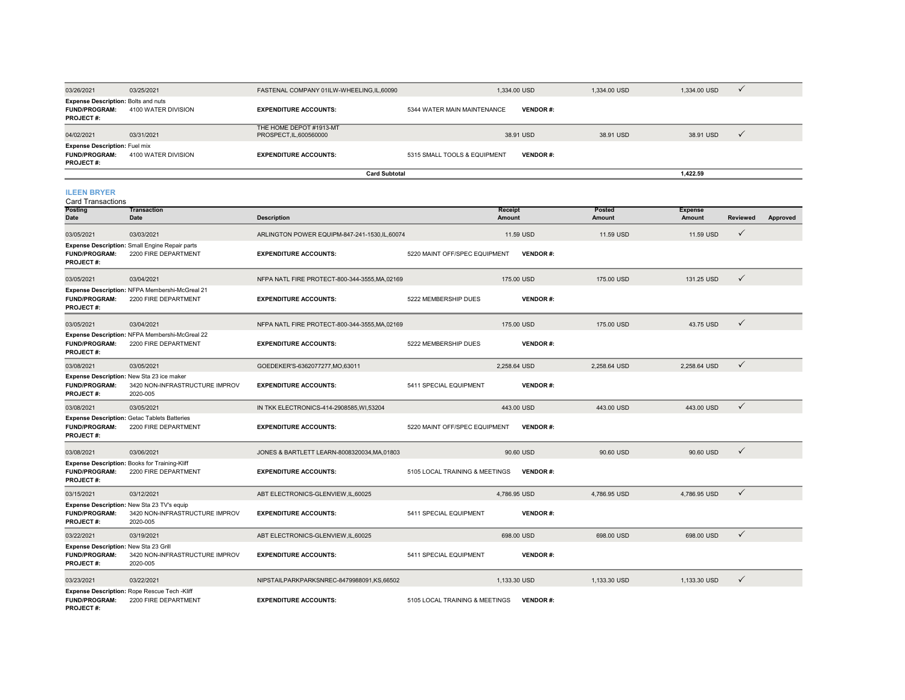| 03/26/2021                                                                      | 03/25/2021                                                                               | FASTENAL COMPANY 01ILW-WHEELING.IL.60090           |                                | 1,334.00 USD    | 1,334.00 USD     | 1,334.00 USD             | ✓            |          |
|---------------------------------------------------------------------------------|------------------------------------------------------------------------------------------|----------------------------------------------------|--------------------------------|-----------------|------------------|--------------------------|--------------|----------|
| Expense Description: Bolts and nuts<br><b>FUND/PROGRAM:</b><br><b>PROJECT#:</b> | 4100 WATER DIVISION                                                                      | <b>EXPENDITURE ACCOUNTS:</b>                       | 5344 WATER MAIN MAINTENANCE    | <b>VENDOR#:</b> |                  |                          |              |          |
| 04/02/2021                                                                      | 03/31/2021                                                                               | THE HOME DEPOT #1913-MT<br>PROSPECT, IL, 600560000 |                                | 38.91 USD       | 38.91 USD        | 38.91 USD                | $\checkmark$ |          |
| <b>Expense Description: Fuel mix</b><br><b>FUND/PROGRAM:</b><br>PROJECT#:       | 4100 WATER DIVISION                                                                      | <b>EXPENDITURE ACCOUNTS:</b>                       | 5315 SMALL TOOLS & EQUIPMENT   | <b>VENDOR#:</b> |                  |                          |              |          |
|                                                                                 |                                                                                          | <b>Card Subtotal</b>                               |                                |                 |                  | 1.422.59                 |              |          |
| <b>ILEEN BRYER</b><br><b>Card Transactions</b>                                  |                                                                                          |                                                    |                                |                 |                  |                          |              |          |
| Posting<br>Date                                                                 | <b>Transaction</b><br><b>Date</b>                                                        | <b>Description</b>                                 | Receipt<br>Amount              |                 | Posted<br>Amount | <b>Expense</b><br>Amount | Reviewed     | Approved |
| 03/05/2021                                                                      | 03/03/2021                                                                               | ARLINGTON POWER EQUIPM-847-241-1530.IL.60074       |                                | 11.59 USD       | 11.59 USD        | 11.59 USD                | ✓            |          |
| <b>FUND/PROGRAM:</b><br><b>PROJECT#:</b>                                        | Expense Description: Small Engine Repair parts<br>2200 FIRE DEPARTMENT                   | <b>EXPENDITURE ACCOUNTS:</b>                       | 5220 MAINT OFF/SPEC EQUIPMENT  | <b>VENDOR#:</b> |                  |                          |              |          |
| 03/05/2021                                                                      | 03/04/2021                                                                               | NFPA NATL FIRE PROTECT-800-344-3555, MA, 02169     |                                | 175,00 USD      | 175,00 USD       | 131.25 USD               | ✓            |          |
| FUND/PROGRAM:<br><b>PROJECT#:</b>                                               | Expense Description: NFPA Membershi-McGreal 21<br>2200 FIRE DEPARTMENT                   | <b>EXPENDITURE ACCOUNTS:</b>                       | 5222 MEMBERSHIP DUES           | <b>VENDOR#:</b> |                  |                          |              |          |
| 03/05/2021                                                                      | 03/04/2021                                                                               | NFPA NATL FIRE PROTECT-800-344-3555, MA, 02169     |                                | 175.00 USD      | 175.00 USD       | 43.75 USD                | $\checkmark$ |          |
| <b>FUND/PROGRAM:</b><br>PROJECT#:                                               | Expense Description: NFPA Membershi-McGreal 22<br>2200 FIRE DEPARTMENT                   | <b>EXPENDITURE ACCOUNTS:</b>                       | 5222 MEMBERSHIP DUES           | <b>VENDOR#:</b> |                  |                          |              |          |
| 03/08/2021                                                                      | 03/05/2021                                                                               | GOEDEKER'S-6362077277, MO, 63011                   | 2,258.64 USD                   |                 | 2,258.64 USD     | 2,258.64 USD             | $\checkmark$ |          |
| <b>FUND/PROGRAM:</b><br>PROJECT#:                                               | Expense Description: New Sta 23 ice maker<br>3420 NON-INFRASTRUCTURE IMPROV<br>2020-005  | <b>EXPENDITURE ACCOUNTS:</b>                       | 5411 SPECIAL EQUIPMENT         | <b>VENDOR#:</b> |                  |                          |              |          |
| 03/08/2021                                                                      | 03/05/2021                                                                               | IN TKK ELECTRONICS-414-2908585, WI,53204           |                                | 443.00 USD      | 443.00 USD       | 443.00 USD               | $\checkmark$ |          |
| FUND/PROGRAM:<br><b>PROJECT#:</b>                                               | Expense Description: Getac Tablets Batteries<br>2200 FIRE DEPARTMENT                     | <b>EXPENDITURE ACCOUNTS:</b>                       | 5220 MAINT OFF/SPEC EQUIPMENT  | <b>VENDOR#:</b> |                  |                          |              |          |
| 03/08/2021                                                                      | 03/06/2021                                                                               | JONES & BARTLETT LEARN-8008320034, MA, 01803       |                                | 90.60 USD       | 90.60 USD        | 90.60 USD                | $\checkmark$ |          |
| FUND/PROGRAM:<br><b>PROJECT#:</b>                                               | Expense Description: Books for Training-Kliff<br>2200 FIRE DEPARTMENT                    | <b>EXPENDITURE ACCOUNTS:</b>                       | 5105 LOCAL TRAINING & MEETINGS | <b>VENDOR#:</b> |                  |                          |              |          |
| 03/15/2021                                                                      | 03/12/2021                                                                               | ABT ELECTRONICS-GLENVIEW.IL.60025                  | 4.786.95 USD                   |                 | 4.786.95 USD     | 4.786.95 USD             | $\checkmark$ |          |
| FUND/PROGRAM:<br>PROJECT#:                                                      | Expense Description: New Sta 23 TV's equip<br>3420 NON-INFRASTRUCTURE IMPROV<br>2020-005 | <b>EXPENDITURE ACCOUNTS:</b>                       | 5411 SPECIAL EQUIPMENT         | <b>VENDOR#:</b> |                  |                          |              |          |
| 03/22/2021                                                                      | 03/19/2021                                                                               | ABT ELECTRONICS-GLENVIEW, IL, 60025                |                                | 698.00 USD      | 698.00 USD       | 698.00 USD               | $\checkmark$ |          |
| Expense Description: New Sta 23 Grill<br><b>FUND/PROGRAM:</b><br>PROJECT#:      | 3420 NON-INFRASTRUCTURE IMPROV<br>2020-005                                               | <b>EXPENDITURE ACCOUNTS:</b>                       | 5411 SPECIAL EQUIPMENT         | <b>VENDOR#:</b> |                  |                          |              |          |
| 03/23/2021                                                                      | 03/22/2021                                                                               | NIPSTAILPARKPARKSNREC-8479988091,KS,66502          |                                | 1,133.30 USD    | 1,133.30 USD     | 1,133.30 USD             | $\checkmark$ |          |
| <b>FUND/PROGRAM:</b><br>PROJECT#:                                               | Expense Description: Rope Rescue Tech -Kliff<br>2200 FIRE DEPARTMENT                     | <b>EXPENDITURE ACCOUNTS:</b>                       | 5105 LOCAL TRAINING & MEETINGS | <b>VENDOR#:</b> |                  |                          |              |          |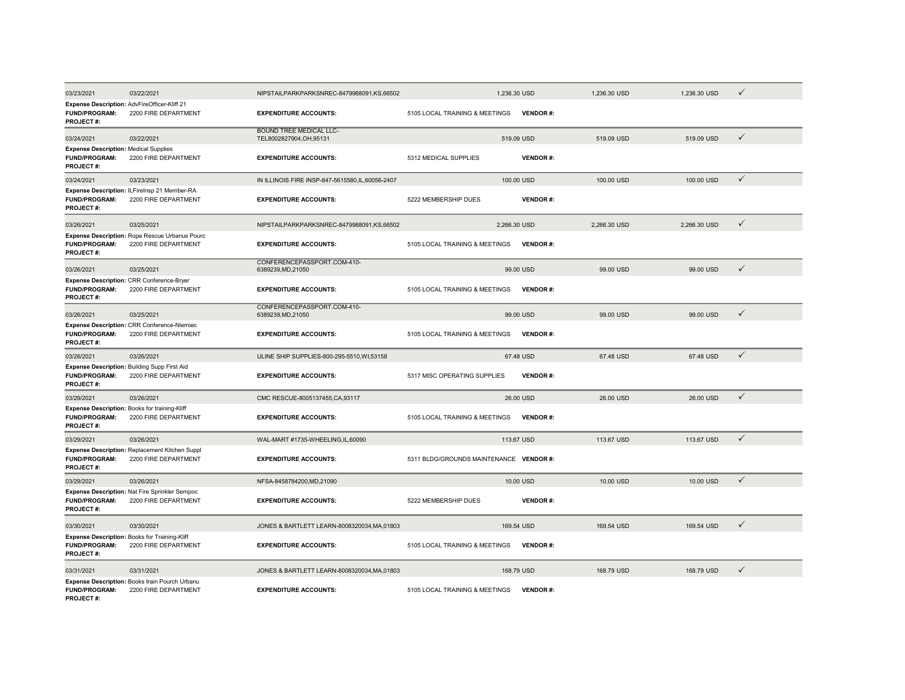| 03/23/2021                                                                                | 03/22/2021                                                                 | NIPSTAILPARKPARKSNREC-8479988091,KS,66502                | 1,236.30 USD                            |                 | 1,236.30 USD | 1,236.30 USD | ✓            |
|-------------------------------------------------------------------------------------------|----------------------------------------------------------------------------|----------------------------------------------------------|-----------------------------------------|-----------------|--------------|--------------|--------------|
| Expense Description: AdvFireOfficer-Kliff 21<br><b>FUND/PROGRAM:</b><br><b>PROJECT#:</b>  | 2200 FIRE DEPARTMENT                                                       | <b>EXPENDITURE ACCOUNTS:</b>                             | 5105 LOCAL TRAINING & MEETINGS          | <b>VENDOR#:</b> |              |              |              |
| 03/24/2021                                                                                | 03/22/2021                                                                 | <b>BOUND TREE MEDICAL LLC-</b><br>TEL8002827904,OH,95131 |                                         | 519.09 USD      | 519.09 USD   | 519.09 USD   | ✓            |
| <b>Expense Description: Medical Supplies</b><br><b>FUND/PROGRAM:</b><br><b>PROJECT#:</b>  | 2200 FIRE DEPARTMENT                                                       | <b>EXPENDITURE ACCOUNTS:</b>                             | 5312 MEDICAL SUPPLIES                   | <b>VENDOR#:</b> |              |              |              |
| 03/24/2021                                                                                | 03/23/2021                                                                 | IN ILLINOIS FIRE INSP-847-5615580.IL.60056-2407          |                                         | 100.00 USD      | 100,00 USD   | 100.00 USD   | $\checkmark$ |
| <b>FUND/PROGRAM:</b><br><b>PROJECT#:</b>                                                  | Expense Description: ILFireInsp 21 Member-RA<br>2200 FIRE DEPARTMENT       | <b>EXPENDITURE ACCOUNTS:</b>                             | 5222 MEMBERSHIP DUES                    | <b>VENDOR#:</b> |              |              |              |
| 03/26/2021                                                                                | 03/25/2021                                                                 | NIPSTAILPARKPARKSNREC-8479988091.KS.66502                | 2.266.30 USD                            |                 | 2.266.30 USD | 2.266.30 USD | $\checkmark$ |
| <b>FUND/PROGRAM:</b><br><b>PROJECT#:</b>                                                  | Expense Description: Rope Rescue Urbanus Pourc<br>2200 FIRE DEPARTMENT     | <b>EXPENDITURE ACCOUNTS:</b>                             | 5105 LOCAL TRAINING & MEETINGS          | <b>VENDOR#:</b> |              |              |              |
| 03/26/2021                                                                                | 03/25/2021                                                                 | CONFERENCEPASSPORT.COM-410-<br>6389239, MD, 21050        |                                         | 99.00 USD       | 99.00 USD    | 99.00 USD    | ✓            |
| FUND/PROGRAM:<br><b>PROJECT#:</b>                                                         | Expense Description: CRR Conference-Bryer<br>2200 FIRE DEPARTMENT          | <b>EXPENDITURE ACCOUNTS:</b>                             | 5105 LOCAL TRAINING & MEETINGS          | <b>VENDOR#:</b> |              |              |              |
| 03/26/2021                                                                                | 03/25/2021                                                                 | CONFERENCEPASSPORT.COM-410-<br>6389239, MD, 21050        |                                         | 99.00 USD       | 99.00 USD    | 99.00 USD    | $\checkmark$ |
| <b>FUND/PROGRAM:</b><br>PROJECT#:                                                         | <b>Expense Description: CRR Conference-Niemiec</b><br>2200 FIRE DEPARTMENT | <b>EXPENDITURE ACCOUNTS:</b>                             | 5105 LOCAL TRAINING & MEETINGS          | <b>VENDOR#:</b> |              |              |              |
| 03/26/2021                                                                                | 03/26/2021                                                                 | ULINE SHIP SUPPLIES-800-295-5510, WI, 53158              |                                         | 67.48 USD       | 67.48 USD    | 67.48 USD    | $\checkmark$ |
| <b>FUND/PROGRAM:</b><br>PROJECT#:                                                         | Expense Description: Building Supp First Aid<br>2200 FIRE DEPARTMENT       | <b>EXPENDITURE ACCOUNTS:</b>                             | 5317 MISC OPERATING SUPPLIES            | <b>VENDOR#:</b> |              |              |              |
| 03/29/2021                                                                                | 03/26/2021                                                                 | CMC RESCUE-8005137455, CA, 93117                         |                                         | 26.00 USD       | 26.00 USD    | 26.00 USD    | $\checkmark$ |
| Expense Description: Books for training-Kliff<br><b>FUND/PROGRAM:</b><br><b>PROJECT#:</b> | 2200 FIRE DEPARTMENT                                                       | <b>EXPENDITURE ACCOUNTS:</b>                             | 5105 LOCAL TRAINING & MEETINGS          | <b>VENDOR#:</b> |              |              |              |
| 03/29/2021                                                                                | 03/26/2021                                                                 | WAL-MART #1735-WHEELING.IL.60090                         |                                         | 113,67 USD      | 113.67 USD   | 113,67 USD   | $\checkmark$ |
| <b>FUND/PROGRAM:</b><br>PROJECT#:                                                         | Expense Description: Replacement Kitchen Suppl<br>2200 FIRE DEPARTMENT     | <b>EXPENDITURE ACCOUNTS:</b>                             | 5311 BLDG/GROUNDS MAINTENANCE VENDOR #: |                 |              |              |              |
| 03/29/2021                                                                                | 03/26/2021                                                                 | NFSA-8458784200,MD,21090                                 |                                         | 10.00 USD       | 10.00 USD    | 10.00 USD    | $\checkmark$ |
| FUND/PROGRAM:<br>PROJECT#:                                                                | Expense Description: Nat Fire Sprinkler Sempoc<br>2200 FIRE DEPARTMENT     | <b>EXPENDITURE ACCOUNTS:</b>                             | 5222 MEMBERSHIP DUES                    | <b>VENDOR#:</b> |              |              |              |
| 03/30/2021                                                                                | 03/30/2021                                                                 | JONES & BARTLETT LEARN-8008320034, MA, 01803             |                                         | 169.54 USD      | 169.54 USD   | 169.54 USD   | ✓            |
| FUND/PROGRAM:<br>PROJECT#:                                                                | Expense Description: Books for Training-Kliff<br>2200 FIRE DEPARTMENT      | <b>EXPENDITURE ACCOUNTS:</b>                             | 5105 LOCAL TRAINING & MEETINGS          | <b>VENDOR#:</b> |              |              |              |
| 03/31/2021                                                                                | 03/31/2021                                                                 | JONES & BARTLETT LEARN-8008320034, MA, 01803             |                                         | 168.79 USD      | 168.79 USD   | 168,79 USD   | ✓            |
| FUND/PROGRAM:<br><b>PROJECT#:</b>                                                         | Expense Description: Books train Pourch Urbanu<br>2200 FIRE DEPARTMENT     | <b>EXPENDITURE ACCOUNTS:</b>                             | 5105 LOCAL TRAINING & MEETINGS          | <b>VENDOR#:</b> |              |              |              |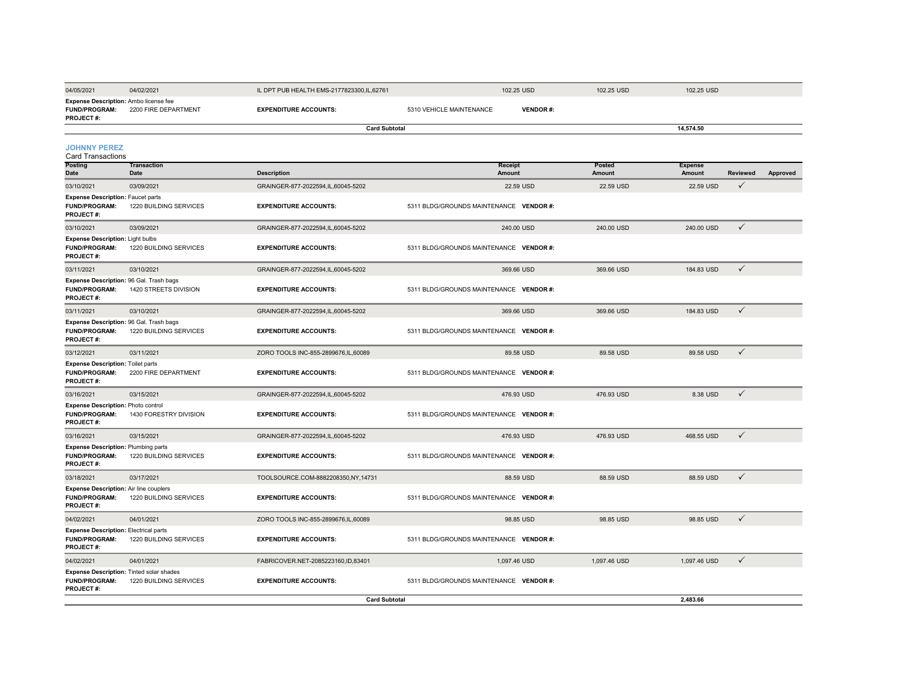| 04/05/2021                                                                             | 04/02/2021                        | IL DPT PUB HEALTH EMS-2177823300, IL, 62761 |                                         | 102.25 USD      | 102.25 USD              | 102.25 USD               |                 |          |
|----------------------------------------------------------------------------------------|-----------------------------------|---------------------------------------------|-----------------------------------------|-----------------|-------------------------|--------------------------|-----------------|----------|
| Expense Description: Ambo license fee<br><b>FUND/PROGRAM:</b><br><b>PROJECT#:</b>      | 2200 FIRE DEPARTMENT              | <b>EXPENDITURE ACCOUNTS:</b>                | 5310 VEHICLE MAINTENANCE                | <b>VENDOR#:</b> |                         |                          |                 |          |
|                                                                                        |                                   | <b>Card Subtotal</b>                        |                                         |                 |                         | 14,574.50                |                 |          |
| <b>JOHNNY PEREZ</b><br><b>Card Transactions</b>                                        |                                   |                                             |                                         |                 |                         |                          |                 |          |
| <b>Posting</b><br><b>Date</b>                                                          | <b>Transaction</b><br><b>Date</b> | <b>Description</b>                          | <b>Receipt</b><br>Amount                |                 | <b>Posted</b><br>Amount | <b>Expense</b><br>Amount | <b>Reviewed</b> | Approved |
| 03/10/2021                                                                             | 03/09/2021                        | GRAINGER-877-2022594,IL,60045-5202          |                                         | 22.59 USD       | 22.59 USD               | 22.59 USD                | $\checkmark$    |          |
| <b>Expense Description: Faucet parts</b><br><b>FUND/PROGRAM:</b><br><b>PROJECT#:</b>   | 1220 BUILDING SERVICES            | <b>EXPENDITURE ACCOUNTS:</b>                | 5311 BLDG/GROUNDS MAINTENANCE VENDOR #: |                 |                         |                          |                 |          |
| 03/10/2021                                                                             | 03/09/2021                        | GRAINGER-877-2022594,IL,60045-5202          |                                         | 240.00 USD      | 240.00 USD              | 240.00 USD               | $\checkmark$    |          |
| <b>Expense Description: Light bulbs</b><br><b>FUND/PROGRAM:</b><br><b>PROJECT#:</b>    | 1220 BUILDING SERVICES            | <b>EXPENDITURE ACCOUNTS:</b>                | 5311 BLDG/GROUNDS MAINTENANCE VENDOR #: |                 |                         |                          |                 |          |
| 03/11/2021                                                                             | 03/10/2021                        | GRAINGER-877-2022594,IL,60045-5202          |                                         | 369.66 USD      | 369.66 USD              | 184.83 USD               | $\checkmark$    |          |
| Expense Description: 96 Gal. Trash bags<br><b>FUND/PROGRAM:</b><br><b>PROJECT#:</b>    | 1420 STREETS DIVISION             | <b>EXPENDITURE ACCOUNTS:</b>                | 5311 BLDG/GROUNDS MAINTENANCE VENDOR #: |                 |                         |                          |                 |          |
| 03/11/2021                                                                             | 03/10/2021                        | GRAINGER-877-2022594,IL,60045-5202          |                                         | 369.66 USD      | 369.66 USD              | 184.83 USD               | $\checkmark$    |          |
| Expense Description: 96 Gal. Trash bags<br><b>FUND/PROGRAM:</b><br>PROJECT#:           | 1220 BUILDING SERVICES            | <b>EXPENDITURE ACCOUNTS:</b>                | 5311 BLDG/GROUNDS MAINTENANCE VENDOR #: |                 |                         |                          |                 |          |
| 03/12/2021                                                                             | 03/11/2021                        | ZORO TOOLS INC-855-2899676,IL,60089         |                                         | 89.58 USD       | 89.58 USD               | 89.58 USD                | $\checkmark$    |          |
| <b>Expense Description: Toilet parts</b><br><b>FUND/PROGRAM:</b><br><b>PROJECT#:</b>   | 2200 FIRE DEPARTMENT              | <b>EXPENDITURE ACCOUNTS:</b>                | 5311 BLDG/GROUNDS MAINTENANCE VENDOR #: |                 |                         |                          |                 |          |
| 03/16/2021                                                                             | 03/15/2021                        | GRAINGER-877-2022594,IL,60045-5202          |                                         | 476.93 USD      | 476.93 USD              | 8.38 USD                 | $\checkmark$    |          |
| <b>Expense Description: Photo control</b><br><b>FUND/PROGRAM:</b><br><b>PROJECT#:</b>  | 1430 FORESTRY DIVISION            | <b>EXPENDITURE ACCOUNTS:</b>                | 5311 BLDG/GROUNDS MAINTENANCE VENDOR #: |                 |                         |                          |                 |          |
| 03/16/2021                                                                             | 03/15/2021                        | GRAINGER-877-2022594,IL,60045-5202          |                                         | 476.93 USD      | 476.93 USD              | 468.55 USD               | $\checkmark$    |          |
| <b>Expense Description: Plumbing parts</b><br><b>FUND/PROGRAM:</b><br><b>PROJECT#:</b> | 1220 BUILDING SERVICES            | <b>EXPENDITURE ACCOUNTS:</b>                | 5311 BLDG/GROUNDS MAINTENANCE VENDOR #: |                 |                         |                          |                 |          |
| 03/18/2021<br><b>Expense Description: Air line couplers</b>                            | 03/17/2021                        | TOOLSOURCE.COM-8882208350,NY,14731          |                                         | 88.59 USD       | 88.59 USD               | 88.59 USD                | $\checkmark$    |          |

**EXPENDITURE ACCOUNTS:** 5311 BLDG/GROUNDS MAINTENANCE **VENDOR** #:

04/02/2021 04/01/2021 ZORO TOOLS INC-855-2899676,IL,60089 98.85 USD 98.85 USD 98.85 USD

**EXPENDITURE ACCOUNTS:** 5311 BLDG/GROUNDS MAINTENANCE **VENDOR** #:

04/02/2021 04/01/2021 FABRICOVER.NET-2085223160,ID,83401 1,097.46 USD 1,097.46 USD 1,097.46 USD √

**EXPENDITURE ACCOUNTS:** 5311 BLDG/GROUNDS MAINTENANCE **VENDOR** #:

**2,483.66**

**Card Subtotal**

**FUND/PROGRAM:** 1220 BUILDING SERVICES

**FUND/PROGRAM:** 1220 BUILDING SERVICES

**Expense Description:** Electrical parts

**FUND/PROGRAM:** 1220 BUILDING SERVICES

**Expense Description:** Tinted solar shades

**PROJECT #:**

**PROJECT #:**

**PROJECT #:**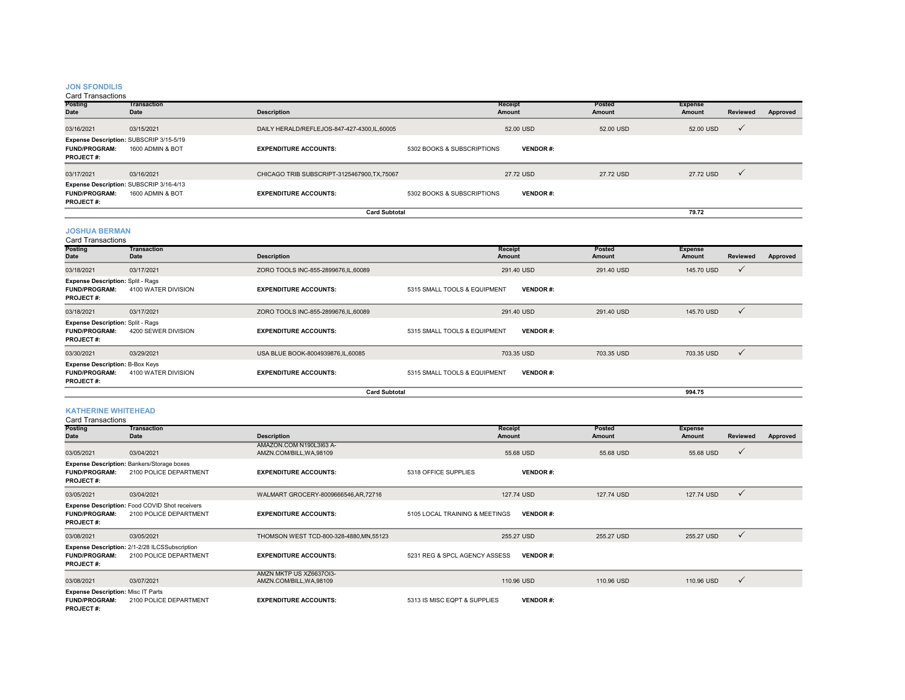# **JON SFONDILIS**

Card Transactions

| Posting<br><b>Date</b>                                                              | <b>Transaction</b><br>Date | <b>Description</b>                           |                            | Receipt<br>Amount | <b>Posted</b><br>Amount | <b>Expense</b><br>Amount | Reviewed     | Approved |
|-------------------------------------------------------------------------------------|----------------------------|----------------------------------------------|----------------------------|-------------------|-------------------------|--------------------------|--------------|----------|
| 03/16/2021                                                                          | 03/15/2021                 | DAILY HERALD/REFLEJOS-847-427-4300,IL,60005  |                            | 52.00 USD         | 52.00 USD               | 52.00 USD                | $\checkmark$ |          |
| Expense Description: SUBSCRIP 3/15-5/19<br><b>FUND/PROGRAM:</b><br><b>PROJECT#:</b> | 1600 ADMIN & BOT           | <b>EXPENDITURE ACCOUNTS:</b>                 | 5302 BOOKS & SUBSCRIPTIONS | <b>VENDOR#:</b>   |                         |                          |              |          |
| 03/17/2021                                                                          | 03/16/2021                 | CHICAGO TRIB SUBSCRIPT-3125467900, TX, 75067 |                            | 27.72 USD         | 27.72 USD               | 27.72 USD                | $\checkmark$ |          |
| Expense Description: SUBSCRIP 3/16-4/13<br><b>FUND/PROGRAM:</b><br><b>PROJECT#:</b> | 1600 ADMIN & BOT           | <b>EXPENDITURE ACCOUNTS:</b>                 | 5302 BOOKS & SUBSCRIPTIONS | <b>VENDOR#:</b>   |                         |                          |              |          |
|                                                                                     |                            | <b>Card Subtotal</b>                         |                            |                   |                         | 79.72                    |              |          |

# **JOSHUA BERMAN**

Card Transactions

| <b>Posting</b><br>Date                                                               | Transaction<br>Date | <b>Description</b>                  | Receipt<br><b>Amount</b>     | Posted<br>Amount | <b>Expense</b><br>Amount | <b>Reviewed</b> | Approved |
|--------------------------------------------------------------------------------------|---------------------|-------------------------------------|------------------------------|------------------|--------------------------|-----------------|----------|
| 03/18/2021                                                                           | 03/17/2021          | ZORO TOOLS INC-855-2899676,IL,60089 | 291.40 USD                   | 291.40 USD       | 145.70 USD               | $\checkmark$    |          |
| <b>Expense Description: Split - Rags</b><br><b>FUND/PROGRAM:</b><br><b>PROJECT#:</b> | 4100 WATER DIVISION | <b>EXPENDITURE ACCOUNTS:</b>        | 5315 SMALL TOOLS & EQUIPMENT | <b>VENDOR#:</b>  |                          |                 |          |
| 03/18/2021                                                                           | 03/17/2021          | ZORO TOOLS INC-855-2899676,IL,60089 | 291.40 USD                   | 291.40 USD       | 145.70 USD               | $\checkmark$    |          |
| <b>Expense Description: Split - Rags</b><br><b>FUND/PROGRAM:</b><br><b>PROJECT#:</b> | 4200 SEWER DIVISION | <b>EXPENDITURE ACCOUNTS:</b>        | 5315 SMALL TOOLS & EQUIPMENT | <b>VENDOR#:</b>  |                          |                 |          |
| 03/30/2021                                                                           | 03/29/2021          | USA BLUE BOOK-8004939876, IL, 60085 | 703.35 USD                   |                  | 703.35 USD<br>703.35 USD | $\checkmark$    |          |
| <b>Expense Description: B-Box Keys</b><br><b>FUND/PROGRAM:</b><br><b>PROJECT#:</b>   | 4100 WATER DIVISION | <b>EXPENDITURE ACCOUNTS:</b>        | 5315 SMALL TOOLS & EQUIPMENT | <b>VENDOR#:</b>  |                          |                 |          |
|                                                                                      |                     | <b>Card Subtotal</b>                |                              |                  | 994.75                   |                 |          |

## **KATHERINE WHITEHEAD**

| <b>Card Transactions</b>                                                              |                                                                             |                                                     |                                |                          |                         |                          |                 |          |  |
|---------------------------------------------------------------------------------------|-----------------------------------------------------------------------------|-----------------------------------------------------|--------------------------------|--------------------------|-------------------------|--------------------------|-----------------|----------|--|
| <b>Posting</b><br>Date                                                                | <b>Transaction</b><br>Date                                                  | <b>Description</b>                                  |                                | <b>Receipt</b><br>Amount | <b>Posted</b><br>Amount | <b>Expense</b><br>Amount | <b>Reviewed</b> | Approved |  |
| 03/05/2021                                                                            | 03/04/2021                                                                  | AMAZON.COM N190L3I63 A-<br>AMZN.COM/BILL, WA, 98109 |                                | 55.68 USD                | 55.68 USD               | 55.68 USD                | $\checkmark$    |          |  |
| <b>FUND/PROGRAM:</b><br><b>PROJECT#:</b>                                              | <b>Expense Description: Bankers/Storage boxes</b><br>2100 POLICE DEPARTMENT | <b>EXPENDITURE ACCOUNTS:</b>                        | 5318 OFFICE SUPPLIES           | <b>VENDOR#:</b>          |                         |                          |                 |          |  |
| 03/05/2021                                                                            | 03/04/2021                                                                  | WALMART GROCERY-8009666546,AR,72716                 |                                | 127,74 USD               | 127,74 USD              | 127.74 USD               | $\checkmark$    |          |  |
| <b>FUND/PROGRAM:</b><br><b>PROJECT#:</b>                                              | Expense Description: Food COVID Shot receivers<br>2100 POLICE DEPARTMENT    | <b>EXPENDITURE ACCOUNTS:</b>                        | 5105 LOCAL TRAINING & MEETINGS | <b>VENDOR#:</b>          |                         |                          |                 |          |  |
| 03/08/2021                                                                            | 03/05/2021                                                                  | THOMSON WEST TCD-800-328-4880, MN, 55123            |                                | 255.27 USD               | 255.27 USD              | 255.27 USD               | $\checkmark$    |          |  |
| <b>FUND/PROGRAM:</b><br><b>PROJECT#:</b>                                              | Expense Description: 2/1-2/28 ILCSSubscription<br>2100 POLICE DEPARTMENT    | <b>EXPENDITURE ACCOUNTS:</b>                        | 5231 REG & SPCL AGENCY ASSESS  | <b>VENDOR#:</b>          |                         |                          |                 |          |  |
| 03/08/2021                                                                            | 03/07/2021                                                                  | AMZN MKTP US XZ6637OI3-<br>AMZN.COM/BILL, WA, 98109 |                                | 110.96 USD               | 110.96 USD              | 110.96 USD               | $\checkmark$    |          |  |
| <b>Expense Description: Misc IT Parts</b><br><b>FUND/PROGRAM:</b><br><b>PROJECT#:</b> | 2100 POLICE DEPARTMENT                                                      | <b>EXPENDITURE ACCOUNTS:</b>                        | 5313 IS MISC EQPT & SUPPLIES   | <b>VENDOR#:</b>          |                         |                          |                 |          |  |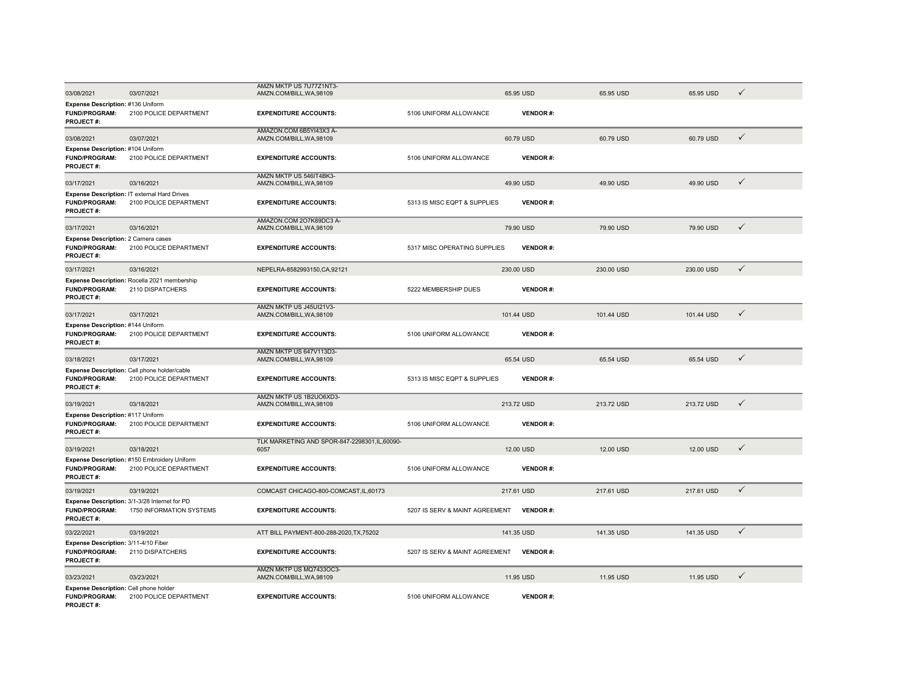|                                                                                  |                                                                           | AMZN MKTP US 7U77Z1NT3-                              |                                |                 |            |            |              |
|----------------------------------------------------------------------------------|---------------------------------------------------------------------------|------------------------------------------------------|--------------------------------|-----------------|------------|------------|--------------|
| 03/08/2021                                                                       | 03/07/2021                                                                | AMZN.COM/BILL, WA, 98109                             |                                | 65.95 USD       | 65.95 USD  | 65.95 USD  | ✓            |
| Expense Description: #136 Uniform<br><b>FUND/PROGRAM:</b><br>PROJECT#:           | 2100 POLICE DEPARTMENT                                                    | <b>EXPENDITURE ACCOUNTS:</b>                         | 5106 UNIFORM ALLOWANCE         | <b>VENDOR#:</b> |            |            |              |
| 03/08/2021                                                                       | 03/07/2021                                                                | AMAZON.COM 6B5YI43X3 A-<br>AMZN.COM/BILL.WA.98109    |                                | 60.79 USD       | 60.79 USD  | 60.79 USD  | $\checkmark$ |
| Expense Description: #104 Uniform<br><b>FUND/PROGRAM:</b><br><b>PROJECT#:</b>    | 2100 POLICE DEPARTMENT                                                    | <b>EXPENDITURE ACCOUNTS:</b>                         | 5106 UNIFORM ALLOWANCE         | <b>VENDOR#:</b> |            |            |              |
| 03/17/2021                                                                       | 03/16/2021                                                                | AMZN MKTP US 546IT4BK3-<br>AMZN.COM/BILL, WA, 98109  |                                | 49.90 USD       | 49.90 USD  | 49.90 USD  | $\checkmark$ |
| <b>FUND/PROGRAM:</b><br>PROJECT#:                                                | Expense Description: IT external Hard Drives<br>2100 POLICE DEPARTMENT    | <b>EXPENDITURE ACCOUNTS:</b>                         | 5313 IS MISC EQPT & SUPPLIES   | <b>VENDOR#:</b> |            |            |              |
| 03/17/2021                                                                       | 03/16/2021                                                                | AMAZON.COM 2O7K89DC3 A-<br>AMZN.COM/BILL, WA, 98109  |                                | 79.90 USD       | 79.90 USD  | 79.90 USD  | $\checkmark$ |
| Expense Description: 2 Camera cases<br><b>FUND/PROGRAM:</b><br><b>PROJECT#:</b>  | 2100 POLICE DEPARTMENT                                                    | <b>EXPENDITURE ACCOUNTS:</b>                         | 5317 MISC OPERATING SUPPLIES   | <b>VENDOR#:</b> |            |            |              |
| 03/17/2021                                                                       | 03/16/2021                                                                | NEPELRA-8582993150, CA, 92121                        |                                | 230.00 USD      | 230.00 USD | 230.00 USD | $\checkmark$ |
| <b>FUND/PROGRAM:</b><br>PROJECT#:                                                | Expense Description: Rocella 2021 membership<br>2110 DISPATCHERS          | <b>EXPENDITURE ACCOUNTS:</b>                         | 5222 MEMBERSHIP DUES           | <b>VENDOR#:</b> |            |            |              |
| 03/17/2021                                                                       | 03/17/2021                                                                | AMZN MKTP US J45UI21V3-<br>AMZN.COM/BILL, WA, 98109  |                                | 101.44 USD      | 101.44 USD | 101.44 USD | $\checkmark$ |
| Expense Description: #144 Uniform<br><b>FUND/PROGRAM:</b><br>PROJECT#:           | 2100 POLICE DEPARTMENT                                                    | <b>EXPENDITURE ACCOUNTS:</b>                         | 5106 UNIFORM ALLOWANCE         | <b>VENDOR#:</b> |            |            |              |
| 03/18/2021                                                                       | 03/17/2021                                                                | AMZN MKTP US 647V113D3-<br>AMZN.COM/BILL, WA, 98109  |                                | 65.54 USD       | 65.54 USD  | 65.54 USD  | $\checkmark$ |
| <b>FUND/PROGRAM:</b><br>PROJECT#:                                                | Expense Description: Cell phone holder/cable<br>2100 POLICE DEPARTMENT    | <b>EXPENDITURE ACCOUNTS:</b>                         | 5313 IS MISC EQPT & SUPPLIES   | <b>VENDOR#:</b> |            |            |              |
| 03/19/2021                                                                       | 03/18/2021                                                                | AMZN MKTP US 1B2UO6XD3-<br>AMZN.COM/BILL, WA, 98109  |                                | 213.72 USD      | 213.72 USD | 213.72 USD | $\checkmark$ |
| Expense Description: #117 Uniform<br><b>FUND/PROGRAM:</b><br>PROJECT#:           | 2100 POLICE DEPARTMENT                                                    | <b>EXPENDITURE ACCOUNTS:</b>                         | 5106 UNIFORM ALLOWANCE         | <b>VENDOR#:</b> |            |            |              |
| 03/19/2021                                                                       | 03/18/2021                                                                | TLK MARKETING AND SPOR-847-2298301,IL,60090-<br>6057 |                                | 12.00 USD       | 12.00 USD  | 12.00 USD  | $\checkmark$ |
| <b>FUND/PROGRAM:</b><br>PROJECT#:                                                | Expense Description: #150 Embroidery Uniform<br>2100 POLICE DEPARTMENT    | <b>EXPENDITURE ACCOUNTS:</b>                         | 5106 UNIFORM ALLOWANCE         | VENDOR#:        |            |            |              |
| 03/19/2021                                                                       | 03/19/2021                                                                | COMCAST CHICAGO-800-COMCAST, IL, 60173               |                                | 217.61 USD      | 217.61 USD | 217.61 USD | $\checkmark$ |
| <b>FUND/PROGRAM:</b><br>PROJECT#:                                                | Expense Description: 3/1-3/28 Internet for PD<br>1750 INFORMATION SYSTEMS | <b>EXPENDITURE ACCOUNTS:</b>                         | 5207 IS SERV & MAINT AGREEMENT | <b>VENDOR#:</b> |            |            |              |
| 03/22/2021                                                                       | 03/19/2021                                                                | ATT BILL PAYMENT-800-288-2020, TX, 75202             |                                | 141.35 USD      | 141.35 USD | 141.35 USD | $\checkmark$ |
| Expense Description: 3/11-4/10 Fiber<br><b>FUND/PROGRAM:</b><br><b>PROJECT#:</b> | 2110 DISPATCHERS                                                          | <b>EXPENDITURE ACCOUNTS:</b>                         | 5207 IS SERV & MAINT AGREEMENT | <b>VENDOR#:</b> |            |            |              |
| 03/23/2021                                                                       | 03/23/2021                                                                | AMZN MKTP US MQ7433OC3-<br>AMZN.COM/BILL, WA, 98109  |                                | 11.95 USD       | 11.95 USD  | 11.95 USD  | $\checkmark$ |
| Expense Description: Cell phone holder<br><b>FUND/PROGRAM:</b><br>PROJECT#:      | 2100 POLICE DEPARTMENT                                                    | <b>EXPENDITURE ACCOUNTS:</b>                         | 5106 UNIFORM ALLOWANCE         | <b>VENDOR#:</b> |            |            |              |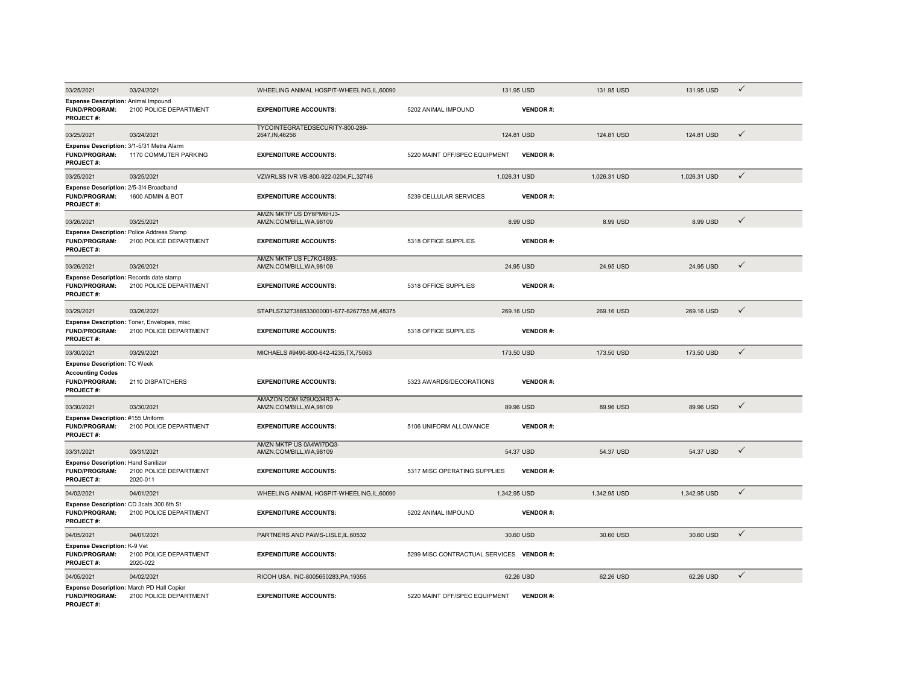| 03/25/2021                                                                                          | 03/24/2021                                                            | WHEELING ANIMAL HOSPIT-WHEELING,IL,60090            |                                          | 131.95 USD      | 131.95 USD   | 131.95 USD   | $\checkmark$ |
|-----------------------------------------------------------------------------------------------------|-----------------------------------------------------------------------|-----------------------------------------------------|------------------------------------------|-----------------|--------------|--------------|--------------|
| Expense Description: Animal Impound<br><b>FUND/PROGRAM:</b><br>PROJECT#:                            | 2100 POLICE DEPARTMENT                                                | <b>EXPENDITURE ACCOUNTS:</b>                        | 5202 ANIMAL IMPOUND                      | <b>VENDOR#:</b> |              |              |              |
| 03/25/2021                                                                                          | 03/24/2021                                                            | TYCOINTEGRATEDSECURITY-800-289-<br>2647, IN, 46256  |                                          | 124.81 USD      | 124.81 USD   | 124.81 USD   | $\checkmark$ |
| FUND/PROGRAM:<br><b>PROJECT#:</b>                                                                   | Expense Description: 3/1-5/31 Metra Alarm<br>1170 COMMUTER PARKING    | <b>EXPENDITURE ACCOUNTS:</b>                        | 5220 MAINT OFF/SPEC EQUIPMENT            | <b>VENDOR#:</b> |              |              |              |
| 03/25/2021                                                                                          | 03/25/2021                                                            | VZWRLSS IVR VB-800-922-0204, FL, 32746              |                                          | 1,026.31 USD    | 1,026.31 USD | 1,026.31 USD | $\checkmark$ |
| Expense Description: 2/5-3/4 Broadband<br><b>FUND/PROGRAM:</b><br>PROJECT#:                         | 1600 ADMIN & BOT                                                      | <b>EXPENDITURE ACCOUNTS:</b>                        | 5239 CELLULAR SERVICES                   | <b>VENDOR#:</b> |              |              |              |
| 03/26/2021                                                                                          | 03/25/2021                                                            | AMZN MKTP US DY6PM6HJ3-<br>AMZN.COM/BILL, WA, 98109 |                                          | 8.99 USD        | 8.99 USD     | 8.99 USD     | $\checkmark$ |
| <b>FUND/PROGRAM:</b><br>PROJECT#:                                                                   | Expense Description: Police Address Stamp<br>2100 POLICE DEPARTMENT   | <b>EXPENDITURE ACCOUNTS:</b>                        | 5318 OFFICE SUPPLIES                     | <b>VENDOR#:</b> |              |              |              |
| 03/26/2021                                                                                          | 03/26/2021                                                            | AMZN MKTP US FL7KO4893-<br>AMZN.COM/BILL, WA, 98109 |                                          | 24.95 USD       | 24.95 USD    | 24.95 USD    | $\checkmark$ |
| Expense Description: Records date stamp<br><b>FUND/PROGRAM:</b><br><b>PROJECT#:</b>                 | 2100 POLICE DEPARTMENT                                                | <b>EXPENDITURE ACCOUNTS:</b>                        | 5318 OFFICE SUPPLIES                     | <b>VENDOR#:</b> |              |              |              |
| 03/29/2021                                                                                          | 03/26/2021                                                            | STAPLS7327388533000001-877-8267755,MI,48375         |                                          | 269.16 USD      | 269.16 USD   | 269.16 USD   | $\checkmark$ |
| <b>FUND/PROGRAM:</b><br><b>PROJECT#:</b>                                                            | Expense Description: Toner, Envelopes, misc<br>2100 POLICE DEPARTMENT | <b>EXPENDITURE ACCOUNTS:</b>                        | 5318 OFFICE SUPPLIES                     | <b>VENDOR#:</b> |              |              |              |
| 03/30/2021                                                                                          | 03/29/2021                                                            | MICHAELS #9490-800-642-4235, TX, 75063              |                                          | 173.50 USD      | 173.50 USD   | 173.50 USD   | $\checkmark$ |
| <b>Expense Description: TC Week</b><br><b>Accounting Codes</b><br><b>FUND/PROGRAM:</b><br>PROJECT#: | 2110 DISPATCHERS                                                      | <b>EXPENDITURE ACCOUNTS:</b>                        | 5323 AWARDS/DECORATIONS                  | <b>VENDOR#:</b> |              |              |              |
| 03/30/2021                                                                                          | 03/30/2021                                                            | AMAZON.COM 9Z9UQ34R3 A-<br>AMZN.COM/BILL, WA, 98109 |                                          | 89.96 USD       | 89.96 USD    | 89.96 USD    | $\checkmark$ |
| Expense Description: #155 Uniform<br>FUND/PROGRAM:<br><b>PROJECT#:</b>                              | 2100 POLICE DEPARTMENT                                                | <b>EXPENDITURE ACCOUNTS:</b>                        | 5106 UNIFORM ALLOWANCE                   | <b>VENDOR#:</b> |              |              |              |
| 03/31/2021                                                                                          | 03/31/2021                                                            | AMZN MKTP US 0A4WI7DQ3-<br>AMZN.COM/BILL, WA, 98109 |                                          | 54.37 USD       | 54.37 USD    | 54.37 USD    | $\checkmark$ |
| Expense Description: Hand Sanitizer<br><b>FUND/PROGRAM:</b><br>PROJECT#:                            | 2100 POLICE DEPARTMENT<br>2020-011                                    | <b>EXPENDITURE ACCOUNTS:</b>                        | 5317 MISC OPERATING SUPPLIES             | <b>VENDOR#:</b> |              |              |              |
| 04/02/2021                                                                                          | 04/01/2021                                                            | WHEELING ANIMAL HOSPIT-WHEELING, IL, 60090          |                                          | 1,342.95 USD    | 1,342.95 USD | 1,342.95 USD | $\checkmark$ |
| Expense Description: CD 3cats 300 6th St<br><b>FUND/PROGRAM:</b><br>PROJECT#:                       | 2100 POLICE DEPARTMENT                                                | <b>EXPENDITURE ACCOUNTS:</b>                        | 5202 ANIMAL IMPOUND                      | <b>VENDOR#:</b> |              |              |              |
| 04/05/2021                                                                                          | 04/01/2021                                                            | PARTNERS AND PAWS-LISLE, IL, 60532                  |                                          | 30.60 USD       | 30.60 USD    | 30.60 USD    | $\checkmark$ |
| Expense Description: K-9 Vet<br>FUND/PROGRAM:<br><b>PROJECT#:</b>                                   | 2100 POLICE DEPARTMENT<br>2020-022                                    | <b>EXPENDITURE ACCOUNTS:</b>                        | 5299 MISC CONTRACTUAL SERVICES VENDOR #: |                 |              |              |              |
| 04/05/2021                                                                                          | 04/02/2021                                                            | RICOH USA, INC-8005650283, PA, 19355                |                                          | 62.26 USD       | 62.26 USD    | 62.26 USD    | $\checkmark$ |
| <b>FUND/PROGRAM:</b><br>PROJECT#:                                                                   | Expense Description: March PD Hall Copier<br>2100 POLICE DEPARTMENT   | <b>EXPENDITURE ACCOUNTS:</b>                        | 5220 MAINT OFF/SPEC EQUIPMENT            | <b>VENDOR#:</b> |              |              |              |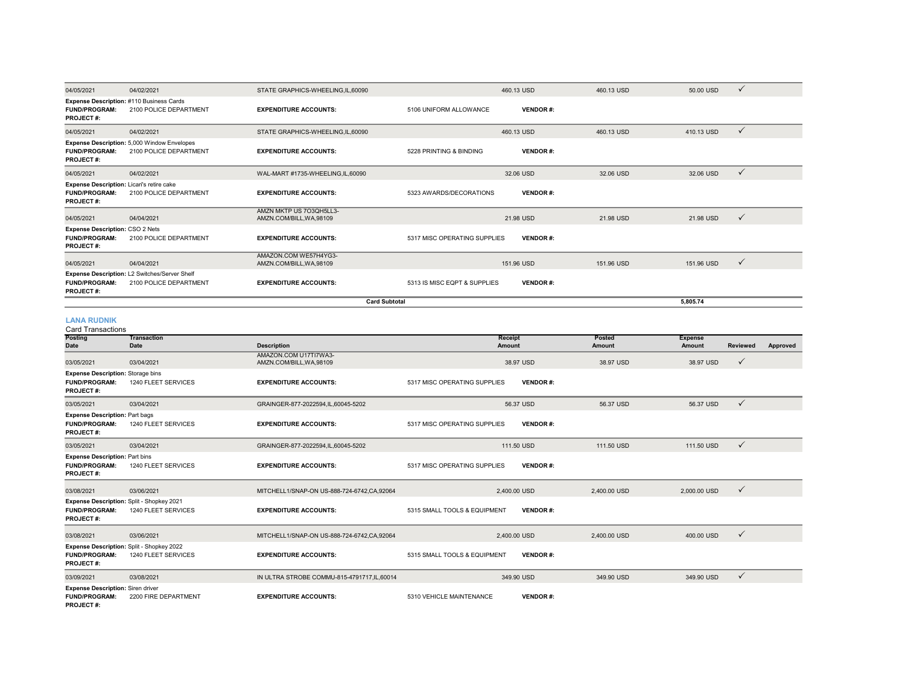| 04/05/2021                                                                            | 04/02/2021                                                              | STATE GRAPHICS-WHEELING.IL.60090                    |                              | 460.13 USD      | 460.13 USD | 50.00 USD<br>$\checkmark$  |  |
|---------------------------------------------------------------------------------------|-------------------------------------------------------------------------|-----------------------------------------------------|------------------------------|-----------------|------------|----------------------------|--|
| <b>FUND/PROGRAM:</b><br><b>PROJECT#:</b>                                              | Expense Description: #110 Business Cards<br>2100 POLICE DEPARTMENT      | <b>EXPENDITURE ACCOUNTS:</b>                        | 5106 UNIFORM ALLOWANCE       | <b>VENDOR#:</b> |            |                            |  |
| 04/05/2021                                                                            | 04/02/2021                                                              | STATE GRAPHICS-WHEELING.IL.60090                    |                              | 460.13 USD      | 460.13 USD | 410.13 USD<br>$\checkmark$ |  |
| <b>FUND/PROGRAM:</b><br><b>PROJECT#:</b>                                              | Expense Description: 5,000 Window Envelopes<br>2100 POLICE DEPARTMENT   | <b>EXPENDITURE ACCOUNTS:</b>                        | 5228 PRINTING & BINDING      | <b>VENDOR#:</b> |            |                            |  |
| 04/05/2021                                                                            | 04/02/2021                                                              | WAL-MART #1735-WHEELING,IL,60090                    |                              | 32.06 USD       | 32.06 USD  | 32.06 USD<br>$\checkmark$  |  |
| Expense Description: Licari's retire cake<br><b>FUND/PROGRAM:</b><br><b>PROJECT#:</b> | 2100 POLICE DEPARTMENT                                                  | <b>EXPENDITURE ACCOUNTS:</b>                        | 5323 AWARDS/DECORATIONS      | <b>VENDOR#:</b> |            |                            |  |
| 04/05/2021                                                                            | 04/04/2021                                                              | AMZN MKTP US 703QH5LL3-<br>AMZN.COM/BILL, WA, 98109 |                              | 21.98 USD       | 21.98 USD  | 21.98 USD<br>$\checkmark$  |  |
| <b>Expense Description: CSO 2 Nets</b><br><b>FUND/PROGRAM:</b><br>PROJECT#:           | 2100 POLICE DEPARTMENT                                                  | <b>EXPENDITURE ACCOUNTS:</b>                        | 5317 MISC OPERATING SUPPLIES | <b>VENDOR#:</b> |            |                            |  |
| 04/05/2021                                                                            | 04/04/2021                                                              | AMAZON.COM WE57H4YG3-<br>AMZN.COM/BILL.WA.98109     |                              | 151.96 USD      | 151.96 USD | 151.96 USD<br>$\checkmark$ |  |
| <b>FUND/PROGRAM:</b><br><b>PROJECT#:</b>                                              | Expense Description: L2 Switches/Server Shelf<br>2100 POLICE DEPARTMENT | <b>EXPENDITURE ACCOUNTS:</b>                        | 5313 IS MISC EQPT & SUPPLIES | <b>VENDOR#:</b> |            |                            |  |
|                                                                                       | <b>Card Subtotal</b>                                                    |                                                     |                              |                 |            | 5.805.74                   |  |

**5,805.74**

#### **LANA RUDNIK**

| <b>Card Transactions</b>                                                              |                                                                  |                                                 |                              |                 |                  |                          |              |          |
|---------------------------------------------------------------------------------------|------------------------------------------------------------------|-------------------------------------------------|------------------------------|-----------------|------------------|--------------------------|--------------|----------|
| <b>Posting</b><br>Date                                                                | <b>Transaction</b><br>Date                                       | <b>Description</b>                              | Receipt<br>Amount            |                 | Posted<br>Amount | <b>Expense</b><br>Amount | Reviewed     | Approved |
| 03/05/2021                                                                            | 03/04/2021                                                       | AMAZON.COM U17TI7WA3-<br>AMZN.COM/BILL.WA.98109 |                              | 38.97 USD       | 38.97 USD        | 38.97 USD                | $\checkmark$ |          |
| <b>Expense Description: Storage bins</b><br><b>FUND/PROGRAM:</b><br><b>PROJECT#:</b>  | 1240 FLEET SERVICES                                              | <b>EXPENDITURE ACCOUNTS:</b>                    | 5317 MISC OPERATING SUPPLIES | <b>VENDOR#:</b> |                  |                          |              |          |
| 03/05/2021                                                                            | 03/04/2021                                                       | GRAINGER-877-2022594,IL,60045-5202              |                              | 56.37 USD       | 56.37 USD        | 56.37 USD                | $\checkmark$ |          |
| <b>Expense Description: Part bags</b><br><b>FUND/PROGRAM:</b><br><b>PROJECT#:</b>     | 1240 FLEET SERVICES                                              | <b>EXPENDITURE ACCOUNTS:</b>                    | 5317 MISC OPERATING SUPPLIES | <b>VENDOR#:</b> |                  |                          |              |          |
| 03/05/2021                                                                            | 03/04/2021                                                       | GRAINGER-877-2022594,IL,60045-5202              |                              | 111.50 USD      | 111.50 USD       | 111.50 USD               | $\checkmark$ |          |
| <b>Expense Description: Part bins</b><br><b>FUND/PROGRAM:</b><br><b>PROJECT#:</b>     | 1240 FLEET SERVICES                                              | <b>EXPENDITURE ACCOUNTS:</b>                    | 5317 MISC OPERATING SUPPLIES | <b>VENDOR#:</b> |                  |                          |              |          |
| 03/08/2021                                                                            | 03/06/2021                                                       | MITCHELL1/SNAP-ON US-888-724-6742.CA.92064      |                              | 2.400.00 USD    | 2,400.00 USD     | 2,000.00 USD             | $\checkmark$ |          |
| Expense Description: Split - Shopkey 2021<br><b>FUND/PROGRAM:</b><br><b>PROJECT#:</b> | 1240 FLEET SERVICES                                              | <b>EXPENDITURE ACCOUNTS:</b>                    | 5315 SMALL TOOLS & EQUIPMENT | <b>VENDOR#:</b> |                  |                          |              |          |
| 03/08/2021                                                                            | 03/06/2021                                                       | MITCHELL1/SNAP-ON US-888-724-6742.CA.92064      |                              | 2.400.00 USD    | 2,400.00 USD     | 400.00 USD               | $\checkmark$ |          |
| <b>FUND/PROGRAM:</b><br>PROJECT#:                                                     | Expense Description: Split - Shopkey 2022<br>1240 FLEET SERVICES | <b>EXPENDITURE ACCOUNTS:</b>                    | 5315 SMALL TOOLS & EQUIPMENT | <b>VENDOR#:</b> |                  |                          |              |          |
| 03/09/2021                                                                            | 03/08/2021                                                       | IN ULTRA STROBE COMMU-815-4791717, IL, 60014    |                              | 349.90 USD      | 349.90 USD       | 349.90 USD               | $\checkmark$ |          |
| <b>Expense Description: Siren driver</b><br><b>FUND/PROGRAM:</b><br><b>PROJECT#:</b>  | 2200 FIRE DEPARTMENT                                             | <b>EXPENDITURE ACCOUNTS:</b>                    | 5310 VEHICLE MAINTENANCE     | <b>VENDOR#:</b> |                  |                          |              |          |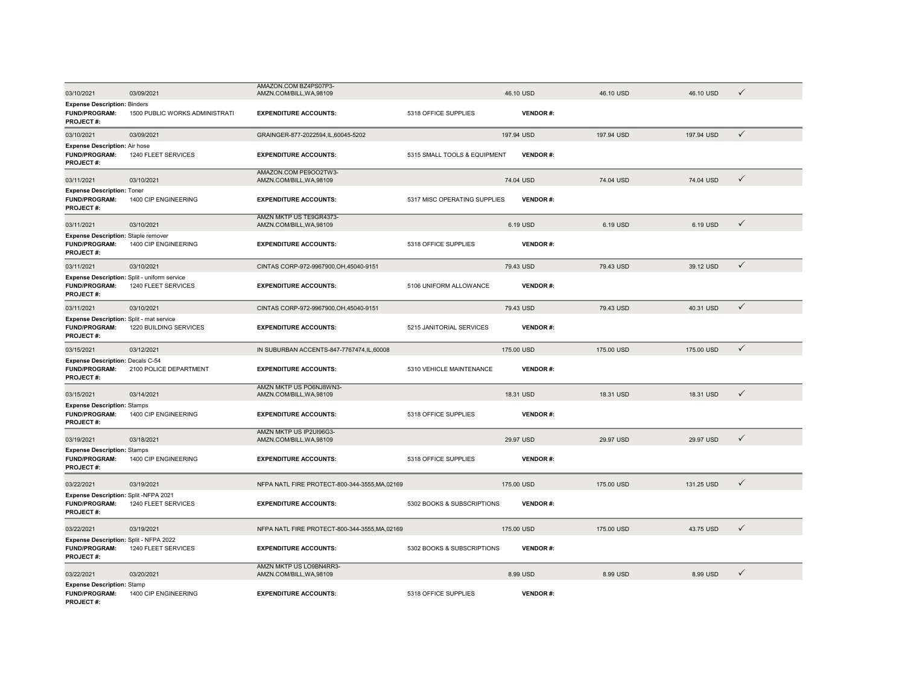| 03/10/2021                                                                               | 03/09/2021                     | AMAZON.COM BZ4PS07P3-<br>AMZN.COM/BILL, WA, 98109   |                              | 46.10 USD       | 46.10 USD  | 46.10 USD  | $\checkmark$ |
|------------------------------------------------------------------------------------------|--------------------------------|-----------------------------------------------------|------------------------------|-----------------|------------|------------|--------------|
| <b>Expense Description: Binders</b><br><b>FUND/PROGRAM:</b><br><b>PROJECT#:</b>          | 1500 PUBLIC WORKS ADMINISTRATI | <b>EXPENDITURE ACCOUNTS:</b>                        | 5318 OFFICE SUPPLIES         | <b>VENDOR#:</b> |            |            |              |
| 03/10/2021                                                                               | 03/09/2021                     | GRAINGER-877-2022594,IL,60045-5202                  |                              | 197.94 USD      | 197.94 USD | 197.94 USD | $\checkmark$ |
| <b>Expense Description: Air hose</b><br>FUND/PROGRAM:<br><b>PROJECT#:</b>                | 1240 FLEET SERVICES            | <b>EXPENDITURE ACCOUNTS:</b>                        | 5315 SMALL TOOLS & EQUIPMENT | <b>VENDOR#:</b> |            |            |              |
| 03/11/2021                                                                               | 03/10/2021                     | AMAZON.COM PE9OO2TW3-<br>AMZN.COM/BILL, WA, 98109   |                              | 74.04 USD       | 74.04 USD  | 74.04 USD  | $\checkmark$ |
| <b>Expense Description: Toner</b><br>FUND/PROGRAM:<br>PROJECT#:                          | 1400 CIP ENGINEERING           | <b>EXPENDITURE ACCOUNTS:</b>                        | 5317 MISC OPERATING SUPPLIES | <b>VENDOR#:</b> |            |            |              |
| 03/11/2021                                                                               | 03/10/2021                     | AMZN MKTP US TE9GR4373-<br>AMZN.COM/BILL, WA, 98109 |                              | 6.19 USD        | 6.19 USD   | 6.19 USD   | $\checkmark$ |
| Expense Description: Staple remover<br><b>FUND/PROGRAM:</b><br><b>PROJECT#:</b>          | 1400 CIP ENGINEERING           | <b>EXPENDITURE ACCOUNTS:</b>                        | 5318 OFFICE SUPPLIES         | <b>VENDOR#:</b> |            |            |              |
| 03/11/2021                                                                               | 03/10/2021                     | CINTAS CORP-972-9967900, OH, 45040-9151             |                              | 79.43 USD       | 79.43 USD  | 39.12 USD  | $\checkmark$ |
| <b>Expense Description:</b> Split - uniform service<br><b>FUND/PROGRAM:</b><br>PROJECT#: | 1240 FLEET SERVICES            | <b>EXPENDITURE ACCOUNTS:</b>                        | 5106 UNIFORM ALLOWANCE       | <b>VENDOR#:</b> |            |            |              |
| 03/11/2021                                                                               | 03/10/2021                     | CINTAS CORP-972-9967900.OH.45040-9151               |                              | 79.43 USD       | 79.43 USD  | 40.31 USD  | $\checkmark$ |
| Expense Description: Split - mat service<br>FUND/PROGRAM:<br><b>PROJECT#:</b>            | 1220 BUILDING SERVICES         | <b>EXPENDITURE ACCOUNTS:</b>                        | 5215 JANITORIAL SERVICES     | <b>VENDOR#:</b> |            |            |              |
| 03/15/2021                                                                               | 03/12/2021                     | IN SUBURBAN ACCENTS-847-7767474.IL.60008            |                              | 175,00 USD      | 175,00 USD | 175.00 USD | $\checkmark$ |
| Expense Description: Decals C-54<br>FUND/PROGRAM:<br>PROJECT#:                           | 2100 POLICE DEPARTMENT         | <b>EXPENDITURE ACCOUNTS:</b>                        | 5310 VEHICLE MAINTENANCE     | <b>VENDOR#:</b> |            |            |              |
| 03/15/2021                                                                               | 03/14/2021                     | AMZN MKTP US PO6NJ8WN3-<br>AMZN.COM/BILL, WA, 98109 |                              | 18.31 USD       | 18.31 USD  | 18.31 USD  | $\checkmark$ |
| <b>Expense Description: Stamps</b><br><b>FUND/PROGRAM:</b><br><b>PROJECT#:</b>           | 1400 CIP ENGINEERING           | <b>EXPENDITURE ACCOUNTS:</b>                        | 5318 OFFICE SUPPLIES         | <b>VENDOR#:</b> |            |            |              |
| 03/19/2021                                                                               | 03/18/2021                     | AMZN MKTP US IP2UI96G3-<br>AMZN.COM/BILL, WA, 98109 |                              | 29.97 USD       | 29.97 USD  | 29.97 USD  | $\checkmark$ |
| <b>Expense Description: Stamps</b><br><b>FUND/PROGRAM:</b><br>PROJECT#:                  | 1400 CIP ENGINEERING           | <b>EXPENDITURE ACCOUNTS:</b>                        | 5318 OFFICE SUPPLIES         | <b>VENDOR#:</b> |            |            |              |
| 03/22/2021                                                                               | 03/19/2021                     | NFPA NATL FIRE PROTECT-800-344-3555, MA, 02169      |                              | 175.00 USD      | 175,00 USD | 131.25 USD | $\checkmark$ |
| Expense Description: Split -NFPA 2021<br><b>FUND/PROGRAM:</b><br>PROJECT#:               | 1240 FLEET SERVICES            | <b>EXPENDITURE ACCOUNTS:</b>                        | 5302 BOOKS & SUBSCRIPTIONS   | <b>VENDOR#:</b> |            |            |              |
| 03/22/2021                                                                               | 03/19/2021                     | NFPA NATL FIRE PROTECT-800-344-3555, MA, 02169      |                              | 175.00 USD      | 175.00 USD | 43.75 USD  | $\checkmark$ |
| Expense Description: Split - NFPA 2022<br>FUND/PROGRAM:<br><b>PROJECT#:</b>              | 1240 FLEET SERVICES            | <b>EXPENDITURE ACCOUNTS:</b>                        | 5302 BOOKS & SUBSCRIPTIONS   | <b>VENDOR#:</b> |            |            |              |
| 03/22/2021                                                                               | 03/20/2021                     | AMZN MKTP US LO9BN4RR3-<br>AMZN.COM/BILL, WA, 98109 |                              | 8.99 USD        | 8.99 USD   | 8.99 USD   | $\checkmark$ |
| <b>Expense Description: Stamp</b><br><b>FUND/PROGRAM:</b><br><b>PROJECT#:</b>            | 1400 CIP ENGINEERING           | <b>EXPENDITURE ACCOUNTS:</b>                        | 5318 OFFICE SUPPLIES         | <b>VENDOR#:</b> |            |            |              |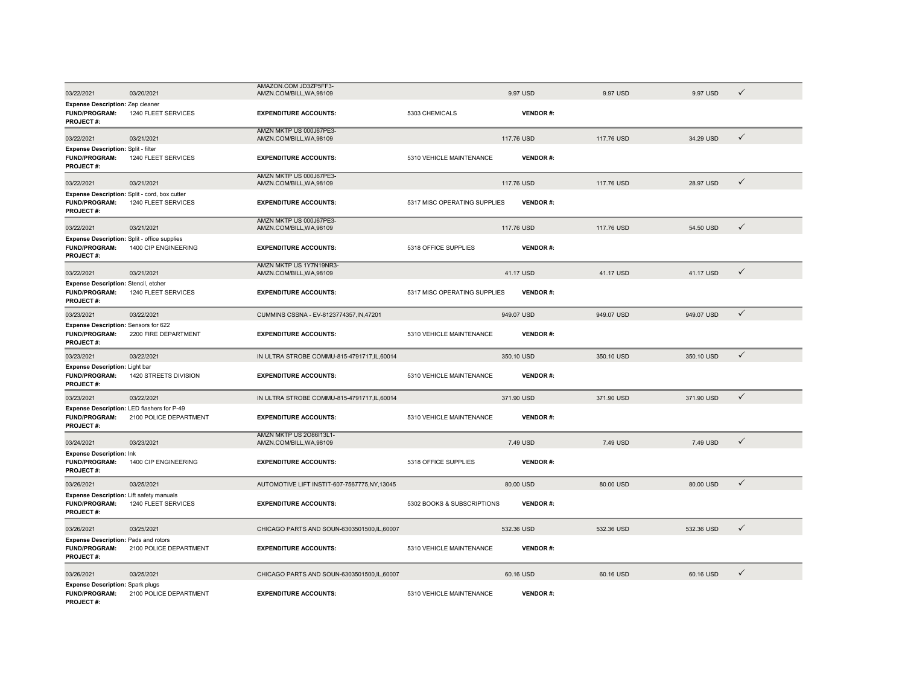| 03/22/2021                                                                                | 03/20/2021             | AMAZON.COM JD3ZP5FF3-<br>AMZN.COM/BILL, WA, 98109        |                              | 9.97 USD   |                 | 9.97 USD   | 9.97 USD   | $\checkmark$ |  |
|-------------------------------------------------------------------------------------------|------------------------|----------------------------------------------------------|------------------------------|------------|-----------------|------------|------------|--------------|--|
| Expense Description: Zep cleaner<br><b>FUND/PROGRAM:</b>                                  | 1240 FLEET SERVICES    | <b>EXPENDITURE ACCOUNTS:</b>                             | 5303 CHEMICALS               |            | <b>VENDOR#:</b> |            |            |              |  |
| <b>PROJECT#:</b>                                                                          |                        |                                                          |                              |            |                 |            |            |              |  |
| 03/22/2021                                                                                | 03/21/2021             | AMZN MKTP US 000J67PE3-<br>AMZN.COM/BILL, WA, 98109      |                              | 117.76 USD |                 | 117.76 USD | 34.29 USD  | $\checkmark$ |  |
| Expense Description: Split - filter<br>FUND/PROGRAM:<br>PROJECT#:                         | 1240 FLEET SERVICES    | <b>EXPENDITURE ACCOUNTS:</b>                             | 5310 VEHICLE MAINTENANCE     |            | <b>VENDOR#:</b> |            |            |              |  |
| 03/22/2021                                                                                | 03/21/2021             | AMZN MKTP US 000J67PE3-<br>AMZN.COM/BILL, WA, 98109      |                              | 117,76 USD |                 | 117.76 USD | 28.97 USD  | $\checkmark$ |  |
| Expense Description: Split - cord, box cutter<br><b>FUND/PROGRAM:</b><br><b>PROJECT#:</b> | 1240 FLEET SERVICES    | <b>EXPENDITURE ACCOUNTS:</b>                             | 5317 MISC OPERATING SUPPLIES |            | <b>VENDOR#:</b> |            |            |              |  |
| 03/22/2021                                                                                | 03/21/2021             | AMZN MKTP US 000J67PE3-<br>AMZN.COM/BILL, WA, 98109      |                              | 117.76 USD |                 | 117.76 USD | 54.50 USD  | $\checkmark$ |  |
| Expense Description: Split - office supplies<br><b>FUND/PROGRAM:</b><br>PROJECT#:         | 1400 CIP ENGINEERING   | <b>EXPENDITURE ACCOUNTS:</b>                             | 5318 OFFICE SUPPLIES         |            | <b>VENDOR#:</b> |            |            |              |  |
| 03/22/2021                                                                                | 03/21/2021             | AMZN MKTP US 1Y7N19NR3-<br>AMZN.COM/BILL, WA, 98109      |                              | 41.17 USD  |                 | 41.17 USD  | 41.17 USD  | $\checkmark$ |  |
| Expense Description: Stencil, etcher<br>FUND/PROGRAM:<br>PROJECT#:                        | 1240 FLEET SERVICES    | <b>EXPENDITURE ACCOUNTS:</b>                             | 5317 MISC OPERATING SUPPLIES |            | <b>VENDOR#:</b> |            |            |              |  |
| 03/23/2021                                                                                | 03/22/2021             | CUMMINS CSSNA - EV-8123774357, IN, 47201                 |                              | 949.07 USD |                 | 949.07 USD | 949.07 USD | $\checkmark$ |  |
| Expense Description: Sensors for 622<br><b>FUND/PROGRAM:</b><br>PROJECT#:                 | 2200 FIRE DEPARTMENT   | <b>EXPENDITURE ACCOUNTS:</b>                             | 5310 VEHICLE MAINTENANCE     |            | <b>VENDOR#:</b> |            |            |              |  |
| 03/23/2021                                                                                | 03/22/2021             | IN ULTRA STROBE COMMU-815-4791717, IL, 60014             |                              | 350.10 USD |                 | 350.10 USD | 350.10 USD | $\checkmark$ |  |
| Expense Description: Light bar<br><b>FUND/PROGRAM:</b><br>PROJECT#:                       | 1420 STREETS DIVISION  | <b>EXPENDITURE ACCOUNTS:</b>                             | 5310 VEHICLE MAINTENANCE     |            | <b>VENDOR#:</b> |            |            |              |  |
| 03/23/2021                                                                                | 03/22/2021             | IN ULTRA STROBE COMMU-815-4791717,IL,60014               |                              | 371.90 USD |                 | 371.90 USD | 371.90 USD | $\checkmark$ |  |
| Expense Description: LED flashers for P-49<br><b>FUND/PROGRAM:</b><br>PROJECT#:           | 2100 POLICE DEPARTMENT | <b>EXPENDITURE ACCOUNTS:</b>                             | 5310 VEHICLE MAINTENANCE     |            | <b>VENDOR#:</b> |            |            |              |  |
| 03/24/2021                                                                                | 03/23/2021             | <b>AMZN MKTP US 2086113L1-</b><br>AMZN.COM/BILL.WA.98109 |                              | 7.49 USD   |                 | 7.49 USD   | 7.49 USD   | $\checkmark$ |  |
| <b>Expense Description: Ink</b><br><b>FUND/PROGRAM:</b><br>PROJECT#:                      | 1400 CIP ENGINEERING   | <b>EXPENDITURE ACCOUNTS:</b>                             | 5318 OFFICE SUPPLIES         |            | <b>VENDOR#:</b> |            |            |              |  |
| 03/26/2021                                                                                | 03/25/2021             | AUTOMOTIVE LIFT INSTIT-607-7567775,NY,13045              |                              | 80.00 USD  |                 | 80.00 USD  | 80.00 USD  | $\checkmark$ |  |
| Expense Description: Lift safety manuals<br><b>FUND/PROGRAM:</b><br>PROJECT#:             | 1240 FLEET SERVICES    | <b>EXPENDITURE ACCOUNTS:</b>                             | 5302 BOOKS & SUBSCRIPTIONS   |            | <b>VENDOR#:</b> |            |            |              |  |
| 03/26/2021                                                                                | 03/25/2021             | CHICAGO PARTS AND SOUN-6303501500,IL,60007               |                              | 532.36 USD |                 | 532.36 USD | 532.36 USD | $\checkmark$ |  |
| Expense Description: Pads and rotors<br>FUND/PROGRAM:<br><b>PROJECT#:</b>                 | 2100 POLICE DEPARTMENT | <b>EXPENDITURE ACCOUNTS:</b>                             | 5310 VEHICLE MAINTENANCE     |            | <b>VENDOR#:</b> |            |            |              |  |
| 03/26/2021                                                                                | 03/25/2021             | CHICAGO PARTS AND SOUN-6303501500.IL.60007               |                              | 60.16 USD  |                 | 60.16 USD  | 60.16 USD  | ✓            |  |
| Expense Description: Spark plugs<br><b>FUND/PROGRAM:</b><br><b>PROJECT#:</b>              | 2100 POLICE DEPARTMENT | <b>EXPENDITURE ACCOUNTS:</b>                             | 5310 VEHICLE MAINTENANCE     |            | <b>VENDOR#:</b> |            |            |              |  |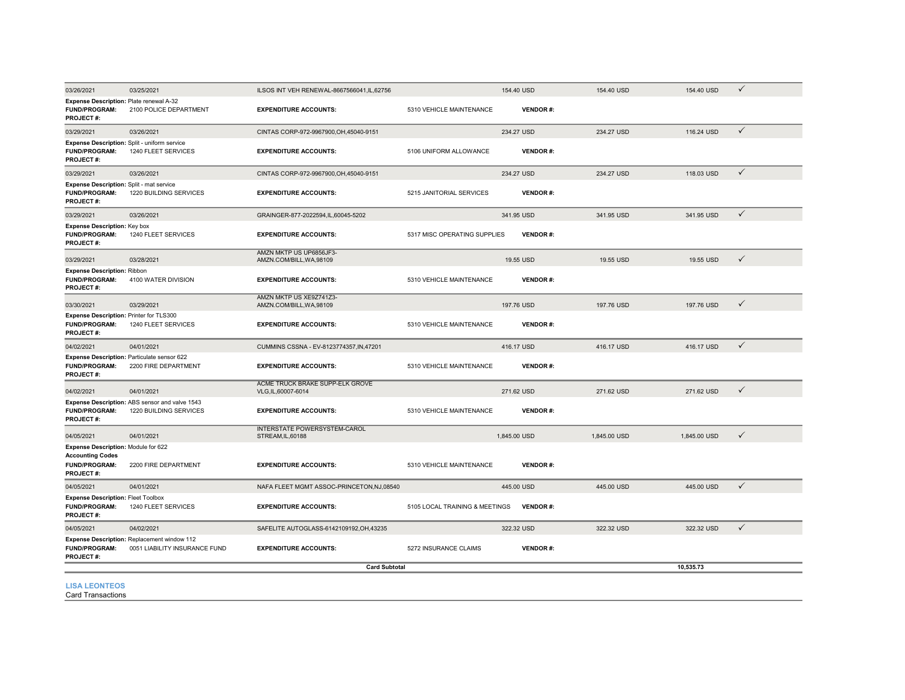| 03/26/2021                                                                                          | 03/25/2021                                                                   | ILSOS INT VEH RENEWAL-8667566041.IL.62756              |                                | 154.40 USD      | 154.40 USD   | 154.40 USD   | $\checkmark$ |
|-----------------------------------------------------------------------------------------------------|------------------------------------------------------------------------------|--------------------------------------------------------|--------------------------------|-----------------|--------------|--------------|--------------|
| Expense Description: Plate renewal A-32<br>FUND/PROGRAM:<br><b>PROJECT#:</b>                        | 2100 POLICE DEPARTMENT                                                       | <b>EXPENDITURE ACCOUNTS:</b>                           | 5310 VEHICLE MAINTENANCE       | <b>VENDOR#:</b> |              |              |              |
| 03/29/2021                                                                                          | 03/26/2021                                                                   | CINTAS CORP-972-9967900, OH, 45040-9151                |                                | 234.27 USD      | 234.27 USD   | 116.24 USD   | $\checkmark$ |
| Expense Description: Split - uniform service<br><b>FUND/PROGRAM:</b><br>PROJECT#:                   | 1240 FLEET SERVICES                                                          | <b>EXPENDITURE ACCOUNTS:</b>                           | 5106 UNIFORM ALLOWANCE         | <b>VENDOR#:</b> |              |              |              |
| 03/29/2021                                                                                          | 03/26/2021                                                                   | CINTAS CORP-972-9967900, OH, 45040-9151                |                                | 234.27 USD      | 234.27 USD   | 118.03 USD   | $\checkmark$ |
| Expense Description: Split - mat service<br>FUND/PROGRAM:<br><b>PROJECT#:</b>                       | 1220 BUILDING SERVICES                                                       | <b>EXPENDITURE ACCOUNTS:</b>                           | 5215 JANITORIAL SERVICES       | <b>VENDOR#:</b> |              |              |              |
| 03/29/2021                                                                                          | 03/26/2021                                                                   | GRAINGER-877-2022594,IL,60045-5202                     |                                | 341.95 USD      | 341.95 USD   | 341.95 USD   | $\checkmark$ |
| <b>Expense Description: Key box</b><br><b>FUND/PROGRAM:</b><br>PROJECT#:                            | 1240 FLEET SERVICES                                                          | <b>EXPENDITURE ACCOUNTS:</b>                           | 5317 MISC OPERATING SUPPLIES   | <b>VENDOR#:</b> |              |              |              |
| 03/29/2021                                                                                          | 03/28/2021                                                                   | AMZN MKTP US UP6856JF3-<br>AMZN.COM/BILL, WA, 98109    |                                | 19.55 USD       | 19.55 USD    | 19.55 USD    | $\checkmark$ |
| <b>Expense Description: Ribbon</b><br><b>FUND/PROGRAM:</b><br>PROJECT#:                             | 4100 WATER DIVISION                                                          | <b>EXPENDITURE ACCOUNTS:</b>                           | 5310 VEHICLE MAINTENANCE       | <b>VENDOR#:</b> |              |              |              |
| 03/30/2021                                                                                          | 03/29/2021                                                                   | AMZN MKTP US XE9Z741Z3-<br>AMZN.COM/BILL, WA, 98109    |                                | 197.76 USD      | 197.76 USD   | 197.76 USD   | $\checkmark$ |
| Expense Description: Printer for TLS300<br><b>FUND/PROGRAM:</b><br><b>PROJECT#:</b>                 | 1240 FLEET SERVICES                                                          | <b>EXPENDITURE ACCOUNTS:</b>                           | 5310 VEHICLE MAINTENANCE       | <b>VENDOR#:</b> |              |              |              |
| 04/02/2021                                                                                          | 04/01/2021                                                                   | CUMMINS CSSNA - EV-8123774357, IN, 47201               |                                | 416.17 USD      | 416.17 USD   | 416.17 USD   | $\checkmark$ |
| Expense Description: Particulate sensor 622<br>FUND/PROGRAM:<br><b>PROJECT#:</b>                    | 2200 FIRE DEPARTMENT                                                         | <b>EXPENDITURE ACCOUNTS:</b>                           | 5310 VEHICLE MAINTENANCE       | <b>VENDOR#:</b> |              |              |              |
| 04/02/2021                                                                                          | 04/01/2021                                                                   | ACME TRUCK BRAKE SUPP-ELK GROVE<br>VLG, IL, 60007-6014 |                                | 271.62 USD      | 271.62 USD   | 271.62 USD   | $\checkmark$ |
| <b>FUND/PROGRAM:</b><br>PROJECT#:                                                                   | Expense Description: ABS sensor and valve 1543<br>1220 BUILDING SERVICES     | <b>EXPENDITURE ACCOUNTS:</b>                           | 5310 VEHICLE MAINTENANCE       | <b>VENDOR#:</b> |              |              |              |
| 04/05/2021                                                                                          | 04/01/2021                                                                   | INTERSTATE POWERSYSTEM-CAROL<br>STREAM, IL, 60188      |                                | 1,845.00 USD    | 1,845.00 USD | 1,845.00 USD | $\checkmark$ |
| Expense Description: Module for 622<br><b>Accounting Codes</b><br><b>FUND/PROGRAM:</b><br>PROJECT#: | 2200 FIRE DEPARTMENT                                                         | <b>EXPENDITURE ACCOUNTS:</b>                           | 5310 VEHICLE MAINTENANCE       | <b>VENDOR#:</b> |              |              |              |
| 04/05/2021                                                                                          | 04/01/2021                                                                   | NAFA FLEET MGMT ASSOC-PRINCETON, NJ, 08540             |                                | 445.00 USD      | 445.00 USD   | 445.00 USD   | $\checkmark$ |
| <b>Expense Description: Fleet Toolbox</b><br><b>FUND/PROGRAM:</b><br>PROJECT#:                      | 1240 FLEET SERVICES                                                          | <b>EXPENDITURE ACCOUNTS:</b>                           | 5105 LOCAL TRAINING & MEETINGS | <b>VENDOR#:</b> |              |              |              |
| 04/05/2021                                                                                          | 04/02/2021                                                                   | SAFELITE AUTOGLASS-6142109192.OH.43235                 |                                | 322.32 USD      | 322.32 USD   | 322.32 USD   | $\checkmark$ |
| <b>FUND/PROGRAM:</b><br><b>PROJECT#:</b>                                                            | Expense Description: Replacement window 112<br>0051 LIABILITY INSURANCE FUND | <b>EXPENDITURE ACCOUNTS:</b>                           | 5272 INSURANCE CLAIMS          | <b>VENDOR#:</b> |              |              |              |
|                                                                                                     |                                                                              | <b>Card Subtotal</b>                                   |                                |                 |              | 10,535.73    |              |
| <b>LISA LEONTEOS</b>                                                                                |                                                                              |                                                        |                                |                 |              |              |              |

Card Transactions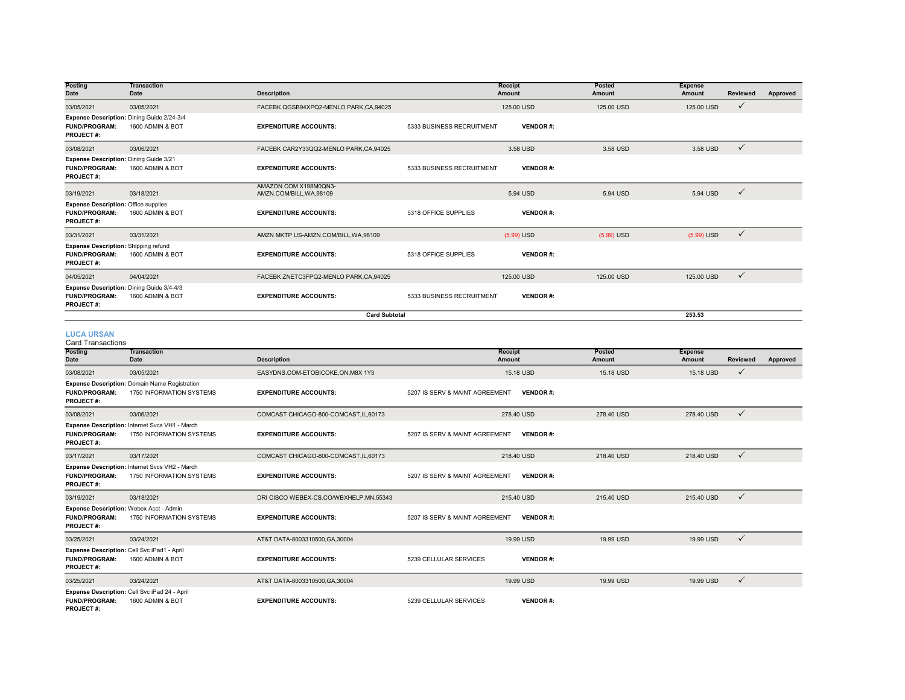| Posting                                                                                 | <b>Transaction</b>                                             |                                                   |                           | Receipt         | Posted       | <b>Expense</b> |                 |          |
|-----------------------------------------------------------------------------------------|----------------------------------------------------------------|---------------------------------------------------|---------------------------|-----------------|--------------|----------------|-----------------|----------|
| <b>Date</b>                                                                             | Date                                                           | <b>Description</b>                                |                           | Amount          | Amount       | Amount         | <b>Reviewed</b> | Approved |
| 03/05/2021                                                                              | 03/05/2021                                                     | FACEBK QGSB94XPQ2-MENLO PARK.CA.94025             |                           | 125,00 USD      | 125,00 USD   | 125,00 USD     | $\checkmark$    |          |
| <b>FUND/PROGRAM:</b><br><b>PROJECT#:</b>                                                | Expense Description: Dining Guide 2/24-3/4<br>1600 ADMIN & BOT | <b>EXPENDITURE ACCOUNTS:</b>                      | 5333 BUSINESS RECRUITMENT | <b>VENDOR#:</b> |              |                |                 |          |
| 03/08/2021                                                                              | 03/06/2021                                                     | FACEBK CAR2Y33QQ2-MENLO PARK,CA,94025             |                           | 3.58 USD        | 3.58 USD     | 3.58 USD       | $\checkmark$    |          |
| Expense Description: Dining Guide 3/21<br><b>FUND/PROGRAM:</b><br><b>PROJECT#:</b>      | 1600 ADMIN & BOT                                               | <b>EXPENDITURE ACCOUNTS:</b>                      | 5333 BUSINESS RECRUITMENT | <b>VENDOR#:</b> |              |                |                 |          |
| 03/19/2021                                                                              | 03/18/2021                                                     | AMAZON.COM X198M0QN3-<br>AMZN.COM/BILL, WA, 98109 |                           | 5.94 USD        | 5.94 USD     | 5.94 USD       | $\checkmark$    |          |
| <b>Expense Description: Office supplies</b><br><b>FUND/PROGRAM:</b><br><b>PROJECT#:</b> | 1600 ADMIN & BOT                                               | <b>EXPENDITURE ACCOUNTS:</b>                      | 5318 OFFICE SUPPLIES      | <b>VENDOR#:</b> |              |                |                 |          |
| 03/31/2021                                                                              | 03/31/2021                                                     | AMZN MKTP US-AMZN.COM/BILL, WA, 98109             |                           | $(5.99)$ USD    | $(5.99)$ USD | $(5.99)$ USD   | $\checkmark$    |          |
| <b>Expense Description: Shipping refund</b><br><b>FUND/PROGRAM:</b><br>PROJECT#:        | 1600 ADMIN & BOT                                               | <b>EXPENDITURE ACCOUNTS:</b>                      | 5318 OFFICE SUPPLIES      | <b>VENDOR#:</b> |              |                |                 |          |
| 04/05/2021                                                                              | 04/04/2021                                                     | FACEBK ZNETC3FPQ2-MENLO PARK,CA,94025             |                           | 125,00 USD      | 125,00 USD   | 125,00 USD     | $\checkmark$    |          |
| Expense Description: Dining Guide 3/4-4/3<br><b>FUND/PROGRAM:</b><br><b>PROJECT#:</b>   | 1600 ADMIN & BOT                                               | <b>EXPENDITURE ACCOUNTS:</b>                      | 5333 BUSINESS RECRUITMENT | <b>VENDOR#:</b> |              |                |                 |          |
|                                                                                         |                                                                | <b>Card Subtotal</b>                              |                           |                 |              | 253.53         |                 |          |

# **LUCA URSAN**

Card Transactions

| varu manoavuono<br>Posting<br>Date       | <b>Transaction</b><br><b>Date</b>                                          | <b>Description</b>                     | Receipt<br>Amount              |                 | Posted<br>Amount | <b>Expense</b><br>Amount | <b>Reviewed</b> | Approved |
|------------------------------------------|----------------------------------------------------------------------------|----------------------------------------|--------------------------------|-----------------|------------------|--------------------------|-----------------|----------|
|                                          |                                                                            |                                        |                                |                 |                  |                          |                 |          |
| 03/08/2021                               | 03/05/2021                                                                 | EASYDNS.COM-ETOBICOKE.ON.M8X 1Y3       | 15.18 USD                      |                 | 15.18 USD        | 15.18 USD                | $\checkmark$    |          |
| <b>FUND/PROGRAM:</b><br><b>PROJECT#:</b> | Expense Description: Domain Name Registration<br>1750 INFORMATION SYSTEMS  | <b>EXPENDITURE ACCOUNTS:</b>           | 5207 IS SERV & MAINT AGREEMENT | <b>VENDOR#:</b> |                  |                          |                 |          |
| 03/08/2021                               | 03/06/2021                                                                 | COMCAST CHICAGO-800-COMCAST.IL.60173   | 278.40 USD                     |                 | 278.40 USD       | 278.40 USD               | $\checkmark$    |          |
| <b>FUND/PROGRAM:</b><br><b>PROJECT#:</b> | Expense Description: Internet Svcs VH1 - March<br>1750 INFORMATION SYSTEMS | <b>EXPENDITURE ACCOUNTS:</b>           | 5207 IS SERV & MAINT AGREEMENT | <b>VENDOR#:</b> |                  |                          |                 |          |
| 03/17/2021                               | 03/17/2021                                                                 | COMCAST CHICAGO-800-COMCAST, IL, 60173 | 218,40 USD                     |                 | 218.40 USD       | 218.40 USD               | $\checkmark$    |          |
| <b>FUND/PROGRAM:</b><br>PROJECT#:        | Expense Description: Internet Svcs VH2 - March<br>1750 INFORMATION SYSTEMS | <b>EXPENDITURE ACCOUNTS:</b>           | 5207 IS SERV & MAINT AGREEMENT | <b>VENDOR#:</b> |                  |                          |                 |          |
| 03/19/2021                               | 03/18/2021                                                                 | DRI CISCO WEBEX-CS.CO/WBXHELP,MN,55343 | 215.40 USD                     |                 | 215.40 USD       | 215.40 USD               | $\checkmark$    |          |
| <b>FUND/PROGRAM:</b><br><b>PROJECT#:</b> | Expense Description: Webex Acct - Admin<br>1750 INFORMATION SYSTEMS        | <b>EXPENDITURE ACCOUNTS:</b>           | 5207 IS SERV & MAINT AGREEMENT | <b>VENDOR#:</b> |                  |                          |                 |          |
| 03/25/2021                               | 03/24/2021                                                                 | AT&T DATA-8003310500, GA, 30004        | 19.99 USD                      |                 | 19.99 USD        | 19.99 USD                | $\checkmark$    |          |
| <b>FUND/PROGRAM:</b><br>PROJECT#:        | Expense Description: Cell Svc iPad1 - April<br>1600 ADMIN & BOT            | <b>EXPENDITURE ACCOUNTS:</b>           | 5239 CELLULAR SERVICES         | <b>VENDOR#:</b> |                  |                          |                 |          |
| 03/25/2021                               | 03/24/2021                                                                 | AT&T DATA-8003310500, GA, 30004        | 19.99 USD                      |                 | 19.99 USD        | 19.99 USD                | $\checkmark$    |          |
| <b>FUND/PROGRAM:</b><br><b>PROJECT#:</b> | Expense Description: Cell Svc iPad 24 - April<br>1600 ADMIN & BOT          | <b>EXPENDITURE ACCOUNTS:</b>           | 5239 CELLULAR SERVICES         | <b>VENDOR#:</b> |                  |                          |                 |          |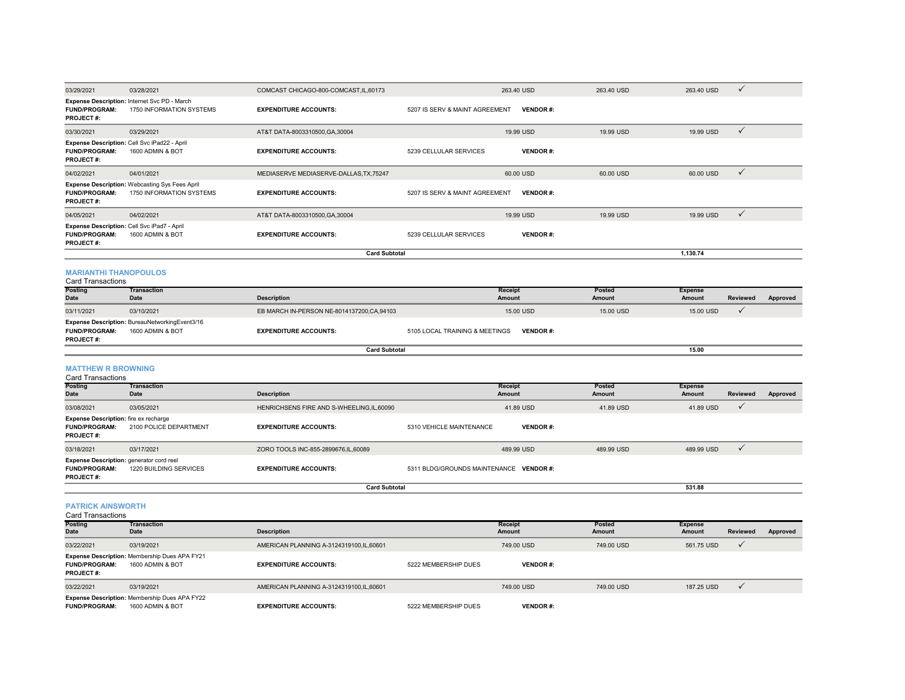| 03/29/2021                                                                           | 03/28/2021                                                                 | COMCAST CHICAGO-800-COMCAST, IL, 60173      |                                         | 263.40 USD               | 263.40 USD       | 263.40 USD               | ✓               |          |
|--------------------------------------------------------------------------------------|----------------------------------------------------------------------------|---------------------------------------------|-----------------------------------------|--------------------------|------------------|--------------------------|-----------------|----------|
| <b>FUND/PROGRAM:</b><br>PROJECT#:                                                    | Expense Description: Internet Svc PD - March<br>1750 INFORMATION SYSTEMS   | <b>EXPENDITURE ACCOUNTS:</b>                | 5207 IS SERV & MAINT AGREEMENT          | <b>VENDOR#:</b>          |                  |                          |                 |          |
| 03/30/2021                                                                           | 03/29/2021                                                                 | AT&T DATA-8003310500, GA, 30004             |                                         | 19.99 USD                | 19.99 USD        | 19.99 USD                | $\checkmark$    |          |
| <b>FUND/PROGRAM:</b><br>PROJECT#:                                                    | Expense Description: Cell Svc iPad22 - April<br>1600 ADMIN & BOT           | <b>EXPENDITURE ACCOUNTS:</b>                | 5239 CELLULAR SERVICES                  | <b>VENDOR#:</b>          |                  |                          |                 |          |
| 04/02/2021                                                                           | 04/01/2021                                                                 | MEDIASERVE MEDIASERVE-DALLAS, TX, 75247     |                                         | 60.00 USD                | 60.00 USD        | 60.00 USD                | $\checkmark$    |          |
| <b>FUND/PROGRAM:</b><br>PROJECT#:                                                    | Expense Description: Webcasting Sys Fees April<br>1750 INFORMATION SYSTEMS | <b>EXPENDITURE ACCOUNTS:</b>                | 5207 IS SERV & MAINT AGREEMENT          | <b>VENDOR#:</b>          |                  |                          |                 |          |
| 04/05/2021                                                                           | 04/02/2021                                                                 | AT&T DATA-8003310500, GA, 30004             |                                         | 19.99 USD                | 19.99 USD        | 19.99 USD                | $\checkmark$    |          |
| <b>FUND/PROGRAM:</b><br><b>PROJECT#:</b>                                             | Expense Description: Cell Svc iPad7 - April<br>1600 ADMIN & BOT            | <b>EXPENDITURE ACCOUNTS:</b>                | 5239 CELLULAR SERVICES                  | <b>VENDOR#:</b>          |                  |                          |                 |          |
|                                                                                      |                                                                            | <b>Card Subtotal</b>                        |                                         |                          |                  | 1,130.74                 |                 |          |
| <b>MARIANTHI THANOPOULOS</b><br><b>Card Transactions</b>                             |                                                                            |                                             |                                         |                          |                  |                          |                 |          |
| <b>Posting</b><br>Date                                                               | <b>Transaction</b><br>Date                                                 | <b>Description</b>                          |                                         | Receipt<br><b>Amount</b> | Posted<br>Amount | <b>Expense</b><br>Amount | <b>Reviewed</b> | Approved |
| 03/11/2021                                                                           | 03/10/2021                                                                 | EB MARCH IN-PERSON NE-8014137200, CA, 94103 |                                         | 15.00 USD                | 15.00 USD        | 15.00 USD                | $\checkmark$    |          |
| <b>FUND/PROGRAM:</b><br><b>PROJECT#:</b>                                             | Expense Description: BureauNetworkingEvent3/16<br>1600 ADMIN & BOT         | <b>EXPENDITURE ACCOUNTS:</b>                | 5105 LOCAL TRAINING & MEETINGS          | <b>VENDOR#:</b>          |                  |                          |                 |          |
|                                                                                      |                                                                            |                                             |                                         |                          |                  |                          |                 |          |
|                                                                                      |                                                                            | <b>Card Subtotal</b>                        |                                         |                          |                  | 15.00                    |                 |          |
| <b>MATTHEW R BROWNING</b><br><b>Card Transactions</b>                                |                                                                            |                                             |                                         |                          |                  |                          |                 |          |
| <b>Posting</b><br><b>Date</b>                                                        | <b>Transaction</b><br>Date                                                 | <b>Description</b>                          |                                         | <b>Receipt</b><br>Amount | Posted<br>Amount | <b>Expense</b><br>Amount | Reviewed        | Approved |
| 03/08/2021                                                                           | 03/05/2021                                                                 | HENRICHSENS FIRE AND S-WHEELING, IL, 60090  |                                         | 41.89 USD                | 41.89 USD        | 41.89 USD                | ✓               |          |
| <b>Expense Description:</b> fire ex recharge<br>FUND/PROGRAM:<br>PROJECT#:           | 2100 POLICE DEPARTMENT                                                     | <b>EXPENDITURE ACCOUNTS:</b>                | 5310 VEHICLE MAINTENANCE                | <b>VENDOR#:</b>          |                  |                          |                 |          |
| 03/18/2021                                                                           | 03/17/2021                                                                 | ZORO TOOLS INC-855-2899676,IL,60089         |                                         | 489.99 USD               | 489.99 USD       | 489.99 USD               | $\checkmark$    |          |
| Expense Description: generator cord reel<br><b>FUND/PROGRAM:</b><br><b>PROJECT#:</b> | 1220 BUILDING SERVICES                                                     | <b>EXPENDITURE ACCOUNTS:</b>                | 5311 BLDG/GROUNDS MAINTENANCE VENDOR #: |                          |                  |                          |                 |          |
|                                                                                      |                                                                            | <b>Card Subtotal</b>                        |                                         |                          |                  | 531.88                   |                 |          |
| <b>PATRICK AINSWORTH</b><br><b>Card Transactions</b>                                 |                                                                            |                                             |                                         |                          |                  |                          |                 |          |
| <b>Posting</b><br><b>Date</b>                                                        | <b>Transaction</b><br>Date                                                 | <b>Description</b>                          |                                         | Receipt<br>Amount        | Posted<br>Amount | <b>Expense</b><br>Amount | <b>Reviewed</b> | Approved |
| 03/22/2021                                                                           | 03/19/2021                                                                 | AMERICAN PLANNING A-3124319100.IL.60601     |                                         | 749.00 USD               | 749.00 USD       | 561.75 USD               | $\checkmark$    |          |
| <b>FUND/PROGRAM:</b><br><b>PROJECT#:</b>                                             | Expense Description: Membership Dues APA FY21<br>1600 ADMIN & BOT          | <b>EXPENDITURE ACCOUNTS:</b>                | 5222 MEMBERSHIP DUES                    | <b>VENDOR#:</b>          |                  |                          |                 |          |
| 03/22/2021                                                                           | 03/19/2021                                                                 | AMERICAN PLANNING A-3124319100.IL.60601     |                                         | 749.00 USD               | 749.00 USD       | 187.25 USD               | $\checkmark$    |          |

**FUND/PROGRAM:** 1600 ADMIN & BOT **EXPENDITURE ACCOUNTS:** 5222 MEMBERSHIP DUES**VENDOR #:**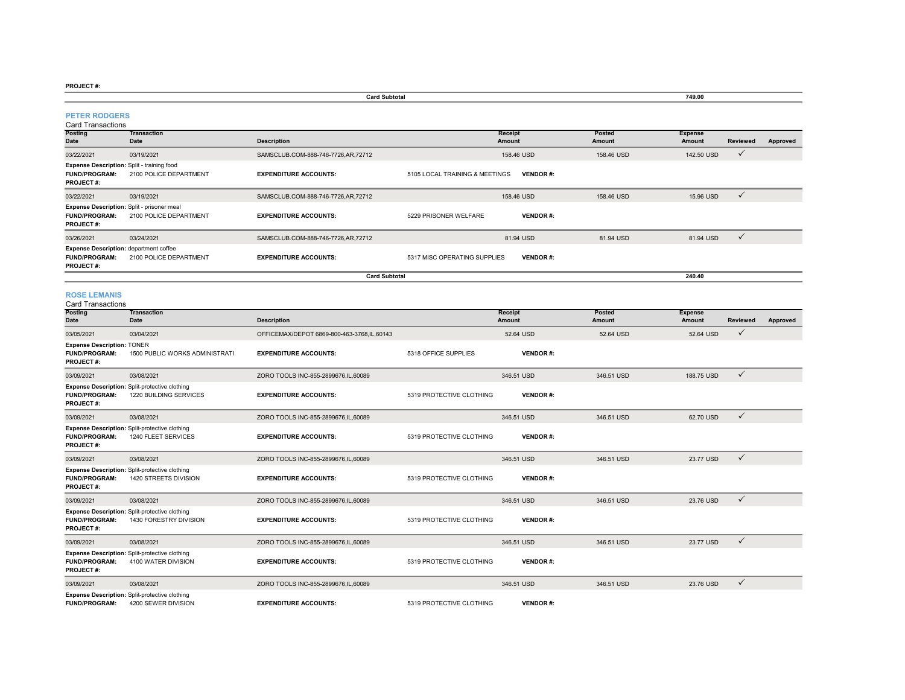|                                                                                           |                                                                          | <b>Card Subtotal</b>                       |                                |                          |                  | 749.00                   |              |          |
|-------------------------------------------------------------------------------------------|--------------------------------------------------------------------------|--------------------------------------------|--------------------------------|--------------------------|------------------|--------------------------|--------------|----------|
| <b>PETER RODGERS</b><br><b>Card Transactions</b>                                          |                                                                          |                                            |                                |                          |                  |                          |              |          |
| Posting<br><b>Date</b>                                                                    | <b>Transaction</b><br>Date                                               | <b>Description</b>                         |                                | <b>Receipt</b><br>Amount | Posted<br>Amount | <b>Expense</b><br>Amount | Reviewed     | Approved |
| 03/22/2021                                                                                | 03/19/2021                                                               | SAMSCLUB.COM-888-746-7726,AR,72712         |                                | 158.46 USD               | 158.46 USD       | 142.50 USD               | $\checkmark$ |          |
| Expense Description: Split - training food<br><b>FUND/PROGRAM:</b><br>PROJECT#:           | 2100 POLICE DEPARTMENT                                                   | <b>EXPENDITURE ACCOUNTS:</b>               | 5105 LOCAL TRAINING & MEETINGS | <b>VENDOR#:</b>          |                  |                          |              |          |
| 03/22/2021                                                                                | 03/19/2021                                                               | SAMSCLUB.COM-888-746-7726,AR,72712         |                                | 158.46 USD               | 158.46 USD       | 15.96 USD                | $\checkmark$ |          |
| Expense Description: Split - prisoner meal<br><b>FUND/PROGRAM:</b><br>PROJECT#:           | 2100 POLICE DEPARTMENT                                                   | <b>EXPENDITURE ACCOUNTS:</b>               | 5229 PRISONER WELFARE          | <b>VENDOR#:</b>          |                  |                          |              |          |
| 03/26/2021                                                                                | 03/24/2021                                                               | SAMSCLUB.COM-888-746-7726,AR,72712         |                                | 81.94 USD                | 81.94 USD        | 81.94 USD                | $\checkmark$ |          |
| <b>Expense Description: department coffee</b><br><b>FUND/PROGRAM:</b><br><b>PROJECT#:</b> | 2100 POLICE DEPARTMENT                                                   | <b>EXPENDITURE ACCOUNTS:</b>               | 5317 MISC OPERATING SUPPLIES   | <b>VENDOR#:</b>          |                  |                          |              |          |
|                                                                                           |                                                                          | <b>Card Subtotal</b>                       |                                |                          |                  | 240.40                   |              |          |
| <b>ROSE LEMANIS</b><br><b>Card Transactions</b>                                           |                                                                          |                                            |                                |                          |                  |                          |              |          |
| Posting<br>Date                                                                           | <b>Transaction</b><br>Date                                               | <b>Description</b>                         |                                | Receipt<br>Amount        | Posted<br>Amount | <b>Expense</b><br>Amount | Reviewed     | Approved |
| 03/05/2021                                                                                | 03/04/2021                                                               | OFFICEMAX/DEPOT 6869-800-463-3768,IL,60143 |                                | 52.64 USD                | 52.64 USD        | 52.64 USD                | $\checkmark$ |          |
| <b>Expense Description: TONER</b><br><b>FUND/PROGRAM:</b><br><b>PROJECT#:</b>             | 1500 PUBLIC WORKS ADMINISTRATI                                           | <b>EXPENDITURE ACCOUNTS:</b>               | 5318 OFFICE SUPPLIES           | <b>VENDOR#:</b>          |                  |                          |              |          |
| 03/09/2021                                                                                | 03/08/2021                                                               | ZORO TOOLS INC-855-2899676.IL.60089        |                                | 346.51 USD               | 346.51 USD       | 188,75 USD               | $\checkmark$ |          |
| <b>FUND/PROGRAM:</b><br><b>PROJECT#:</b>                                                  | Expense Description: Split-protective clothing<br>1220 BUILDING SERVICES | <b>EXPENDITURE ACCOUNTS:</b>               | 5319 PROTECTIVE CLOTHING       | <b>VENDOR#:</b>          |                  |                          |              |          |
| 03/09/2021                                                                                | 03/08/2021                                                               | ZORO TOOLS INC-855-2899676, IL, 60089      |                                | 346.51 USD               | 346.51 USD       | 62.70 USD                | $\checkmark$ |          |
| <b>FUND/PROGRAM:</b><br><b>PROJECT#:</b>                                                  | Expense Description: Split-protective clothing<br>1240 FLEET SERVICES    | <b>EXPENDITURE ACCOUNTS:</b>               | 5319 PROTECTIVE CLOTHING       | <b>VENDOR#:</b>          |                  |                          |              |          |
| 03/09/2021                                                                                | 03/08/2021                                                               | ZORO TOOLS INC-855-2899676.IL.60089        |                                | 346.51 USD               | 346.51 USD       | 23.77 USD                | $\checkmark$ |          |
| <b>FUND/PROGRAM:</b><br><b>PROJECT#:</b>                                                  | Expense Description: Split-protective clothing<br>1420 STREETS DIVISION  | <b>EXPENDITURE ACCOUNTS:</b>               | 5319 PROTECTIVE CLOTHING       | <b>VENDOR#:</b>          |                  |                          |              |          |
| 03/09/2021                                                                                | 03/08/2021                                                               | ZORO TOOLS INC-855-2899676,IL,60089        |                                | 346.51 USD               | 346.51 USD       | 23.76 USD                | $\checkmark$ |          |
| <b>FUND/PROGRAM:</b><br>PROJECT#:                                                         | Expense Description: Split-protective clothing<br>1430 FORESTRY DIVISION | <b>EXPENDITURE ACCOUNTS:</b>               | 5319 PROTECTIVE CLOTHING       | <b>VENDOR#:</b>          |                  |                          |              |          |
| 03/09/2021                                                                                | 03/08/2021                                                               | ZORO TOOLS INC-855-2899676,IL,60089        |                                | 346.51 USD               | 346.51 USD       | 23.77 USD                | $\checkmark$ |          |
| <b>FUND/PROGRAM:</b><br>PROJECT#:                                                         | Expense Description: Split-protective clothing<br>4100 WATER DIVISION    | <b>EXPENDITURE ACCOUNTS:</b>               | 5319 PROTECTIVE CLOTHING       | <b>VENDOR#:</b>          |                  |                          |              |          |
| 03/09/2021                                                                                | 03/08/2021                                                               | ZORO TOOLS INC-855-2899676, IL, 60089      |                                | 346.51 USD               | 346.51 USD       | 23.76 USD                | $\checkmark$ |          |
|                                                                                           | Expense Description: Split-protective clothing                           |                                            |                                |                          |                  |                          |              |          |

**FUND/PROGRAM:** 4200 SEWER DIVISION**EXPENDITURE ACCOUNTS:** 5319 PROTECTIVE CLOTHING **VENDOR #:**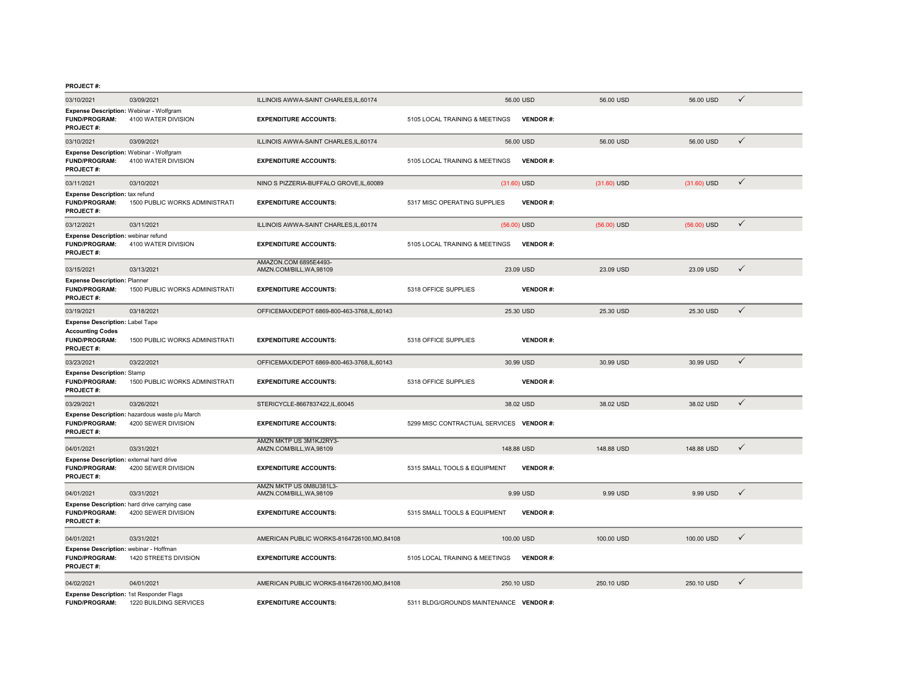| 03/10/2021                                                                                      | 03/09/2021                                                            | ILLINOIS AWWA-SAINT CHARLES, IL, 60174              |                                          | 56.00 USD       | 56.00 USD     | 56.00 USD     | ✓            |
|-------------------------------------------------------------------------------------------------|-----------------------------------------------------------------------|-----------------------------------------------------|------------------------------------------|-----------------|---------------|---------------|--------------|
| Expense Description: Webinar - Wolfgram<br><b>FUND/PROGRAM:</b><br><b>PROJECT#:</b>             | 4100 WATER DIVISION                                                   | <b>EXPENDITURE ACCOUNTS:</b>                        | 5105 LOCAL TRAINING & MEETINGS           | <b>VENDOR#:</b> |               |               |              |
| 03/10/2021                                                                                      | 03/09/2021                                                            | ILLINOIS AWWA-SAINT CHARLES, IL, 60174              |                                          | 56.00 USD       | 56.00 USD     | 56.00 USD     | $\checkmark$ |
| Expense Description: Webinar - Wolfgram<br><b>FUND/PROGRAM:</b><br>PROJECT#:                    | 4100 WATER DIVISION                                                   | <b>EXPENDITURE ACCOUNTS:</b>                        | 5105 LOCAL TRAINING & MEETINGS           | <b>VENDOR#:</b> |               |               |              |
| 03/11/2021                                                                                      | 03/10/2021                                                            | NINO S PIZZERIA-BUFFALO GROVE, IL, 60089            |                                          | $(31.60)$ USD   | $(31.60)$ USD | $(31.60)$ USD | $\checkmark$ |
| <b>Expense Description: tax refund</b><br><b>FUND/PROGRAM:</b><br>PROJECT#:                     | 1500 PUBLIC WORKS ADMINISTRATI                                        | <b>EXPENDITURE ACCOUNTS:</b>                        | 5317 MISC OPERATING SUPPLIES             | <b>VENDOR#:</b> |               |               |              |
| 03/12/2021                                                                                      | 03/11/2021                                                            | ILLINOIS AWWA-SAINT CHARLES, IL, 60174              |                                          | $(56.00)$ USD   | $(56.00)$ USD | $(56.00)$ USD | $\checkmark$ |
| Expense Description: webinar refund<br><b>FUND/PROGRAM:</b><br>PROJECT#:                        | 4100 WATER DIVISION                                                   | <b>EXPENDITURE ACCOUNTS:</b>                        | 5105 LOCAL TRAINING & MEETINGS           | <b>VENDOR#:</b> |               |               |              |
| 03/15/2021                                                                                      | 03/13/2021                                                            | AMAZON.COM 6895E4493-<br>AMZN.COM/BILL, WA, 98109   |                                          | 23.09 USD       | 23.09 USD     | 23.09 USD     | $\checkmark$ |
| <b>Expense Description: Planner</b><br><b>FUND/PROGRAM:</b><br><b>PROJECT#:</b>                 | 1500 PUBLIC WORKS ADMINISTRATI                                        | <b>EXPENDITURE ACCOUNTS:</b>                        | 5318 OFFICE SUPPLIES                     | <b>VENDOR#:</b> |               |               |              |
| 03/19/2021                                                                                      | 03/18/2021                                                            | OFFICEMAX/DEPOT 6869-800-463-3768.IL.60143          |                                          | 25.30 USD       | 25.30 USD     | 25.30 USD     | $\checkmark$ |
| Expense Description: Label Tape<br><b>Accounting Codes</b><br><b>FUND/PROGRAM:</b><br>PROJECT#: | 1500 PUBLIC WORKS ADMINISTRATI                                        | <b>EXPENDITURE ACCOUNTS:</b>                        | 5318 OFFICE SUPPLIES                     | <b>VENDOR#:</b> |               |               |              |
| 03/23/2021                                                                                      | 03/22/2021                                                            | OFFICEMAX/DEPOT 6869-800-463-3768,IL,60143          |                                          | 30.99 USD       | 30.99 USD     | 30.99 USD     | $\checkmark$ |
| <b>Expense Description: Stamp</b><br><b>FUND/PROGRAM:</b><br><b>PROJECT#:</b>                   | 1500 PUBLIC WORKS ADMINISTRATI                                        | <b>EXPENDITURE ACCOUNTS:</b>                        | 5318 OFFICE SUPPLIES                     | <b>VENDOR#:</b> |               |               |              |
| 03/29/2021                                                                                      | 03/26/2021                                                            | STERICYCLE-8667837422,IL,60045                      |                                          | 38.02 USD       | 38.02 USD     | 38.02 USD     | $\checkmark$ |
| <b>FUND/PROGRAM:</b><br>PROJECT#:                                                               | Expense Description: hazardous waste p/u March<br>4200 SEWER DIVISION | <b>EXPENDITURE ACCOUNTS:</b>                        | 5299 MISC CONTRACTUAL SERVICES VENDOR #: |                 |               |               |              |
| 04/01/2021                                                                                      | 03/31/2021                                                            | AMZN MKTP US 3M1KJ2RY3-<br>AMZN.COM/BILL, WA, 98109 |                                          | 148.88 USD      | 148.88 USD    | 148.88 USD    | $\checkmark$ |
| Expense Description: external hard drive<br><b>FUND/PROGRAM:</b><br><b>PROJECT#:</b>            | 4200 SEWER DIVISION                                                   | <b>EXPENDITURE ACCOUNTS:</b>                        | 5315 SMALL TOOLS & EQUIPMENT             | <b>VENDOR#:</b> |               |               |              |
| 04/01/2021                                                                                      | 03/31/2021                                                            | AMZN MKTP US 0M8U381L3-<br>AMZN.COM/BILL.WA.98109   |                                          | 9.99 USD        | 9.99 USD      | 9.99 USD      | $\checkmark$ |
| <b>FUND/PROGRAM:</b><br><b>PROJECT#:</b>                                                        | Expense Description: hard drive carrying case<br>4200 SEWER DIVISION  | <b>EXPENDITURE ACCOUNTS:</b>                        | 5315 SMALL TOOLS & EQUIPMENT             | <b>VENDOR#:</b> |               |               |              |
| 04/01/2021                                                                                      | 03/31/2021                                                            | AMERICAN PUBLIC WORKS-8164726100.MO.84108           |                                          | 100.00 USD      | 100.00 USD    | 100,00 USD    | ✓            |
| Expense Description: webinar - Hoffman<br>FUND/PROGRAM:<br>PROJECT#:                            | 1420 STREETS DIVISION                                                 | <b>EXPENDITURE ACCOUNTS:</b>                        | 5105 LOCAL TRAINING & MEETINGS           | <b>VENDOR#:</b> |               |               |              |
| 04/02/2021                                                                                      | 04/01/2021                                                            | AMERICAN PUBLIC WORKS-8164726100.MO.84108           |                                          | 250.10 USD      | 250.10 USD    | 250.10 USD    | $\checkmark$ |
| Expense Description: 1st Responder Flags<br><b>FUND/PROGRAM:</b>                                | 1220 BUILDING SERVICES                                                | <b>EXPENDITURE ACCOUNTS:</b>                        | 5311 BLDG/GROUNDS MAINTENANCE VENDOR #:  |                 |               |               |              |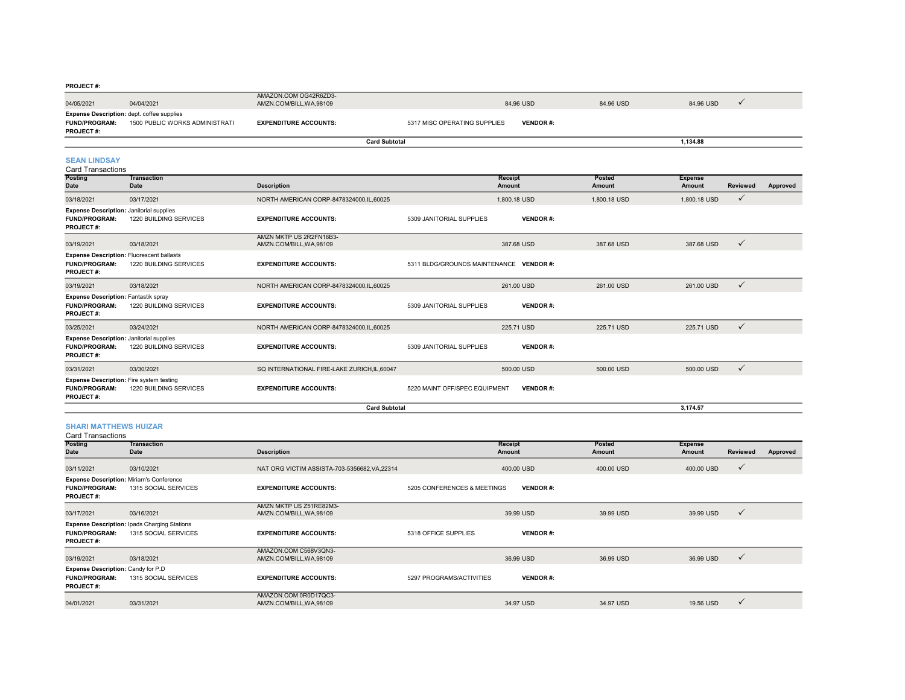| 1.15955177                                                                |                                |                                                   |                              |                 |           |  |
|---------------------------------------------------------------------------|--------------------------------|---------------------------------------------------|------------------------------|-----------------|-----------|--|
| 04/05/2021                                                                | 04/04/2021                     | AMAZON.COM OG42R6ZD3-<br>AMZN.COM/BILL, WA, 98109 | 84.96 USD                    | 84.96 USD       | 84.96 USD |  |
| <b>Expense Description:</b> dept. coffee supplies<br><b>FUND/PROGRAM:</b> | 1500 PUBLIC WORKS ADMINISTRATI | <b>EXPENDITURE ACCOUNTS:</b>                      | 5317 MISC OPERATING SUPPLIES | <b>VENDOR#:</b> |           |  |
| <b>PROJECT#:</b>                                                          |                                |                                                   | <b>Card Subtotal</b>         |                 | 1.134.88  |  |
|                                                                           |                                |                                                   |                              |                 |           |  |

# **SEAN LINDSAY**

Card Transactions

| Posting<br>Date                                                                         | <b>Transaction</b><br>Date | <b>Description</b>                                  |                                         | Receipt<br>Amount | Posted<br>Amount | <b>Expense</b><br>Amount | <b>Reviewed</b> | Approved |
|-----------------------------------------------------------------------------------------|----------------------------|-----------------------------------------------------|-----------------------------------------|-------------------|------------------|--------------------------|-----------------|----------|
| 03/18/2021                                                                              | 03/17/2021                 | NORTH AMERICAN CORP-8478324000,IL,60025             |                                         | 1,800,18 USD      | 1.800.18 USD     | 1,800.18 USD             | $\checkmark$    |          |
| <b>Expense Description: Janitorial supplies</b><br><b>FUND/PROGRAM:</b><br>PROJECT#:    | 1220 BUILDING SERVICES     | <b>EXPENDITURE ACCOUNTS:</b>                        | 5309 JANITORIAL SUPPLIES                | <b>VENDOR#:</b>   |                  |                          |                 |          |
| 03/19/2021                                                                              | 03/18/2021                 | AMZN MKTP US 2R2FN16B3-<br>AMZN.COM/BILL, WA, 98109 |                                         | 387.68 USD        | 387.68 USD       | 387.68 USD               | ✓               |          |
| Expense Description: Fluorescent ballasts<br><b>FUND/PROGRAM:</b><br>PROJECT#:          | 1220 BUILDING SERVICES     | <b>EXPENDITURE ACCOUNTS:</b>                        | 5311 BLDG/GROUNDS MAINTENANCE VENDOR #: |                   |                  |                          |                 |          |
| 03/19/2021                                                                              | 03/18/2021                 | NORTH AMERICAN CORP-8478324000.IL.60025             |                                         | 261.00 USD        | 261.00 USD       | 261.00 USD               | $\checkmark$    |          |
| <b>Expense Description: Fantastik spray</b><br><b>FUND/PROGRAM:</b><br><b>PROJECT#:</b> | 1220 BUILDING SERVICES     | <b>EXPENDITURE ACCOUNTS:</b>                        | 5309 JANITORIAL SUPPLIES                | <b>VENDOR#:</b>   |                  |                          |                 |          |
| 03/25/2021                                                                              | 03/24/2021                 | NORTH AMERICAN CORP-8478324000,IL,60025             |                                         | 225.71 USD        | 225.71 USD       | 225.71 USD               | $\checkmark$    |          |
| <b>Expense Description: Janitorial supplies</b><br><b>FUND/PROGRAM:</b><br>PROJECT#:    | 1220 BUILDING SERVICES     | <b>EXPENDITURE ACCOUNTS:</b>                        | 5309 JANITORIAL SUPPLIES                | <b>VENDOR#:</b>   |                  |                          |                 |          |
| 03/31/2021                                                                              | 03/30/2021                 | SQ INTERNATIONAL FIRE-LAKE ZURICH, IL, 60047        |                                         | 500.00 USD        | 500.00 USD       | 500.00 USD               | $\checkmark$    |          |
| <b>Expense Description:</b> Fire system testing<br><b>FUND/PROGRAM:</b><br>PROJECT#:    | 1220 BUILDING SERVICES     | <b>EXPENDITURE ACCOUNTS:</b>                        | 5220 MAINT OFF/SPEC EQUIPMENT           | <b>VENDOR#:</b>   |                  |                          |                 |          |
|                                                                                         |                            | <b>Card Subtotal</b>                                |                                         |                   |                  | 3.174.57                 |                 |          |

#### **SHARI MATTHEWS HUIZAR**

Card Transactions

| <b>Posting</b>                                                                        | <b>Transaction</b>                                                          |                                                   |                             | <b>Receipt</b>  | <b>Posted</b> | <b>Expense</b> |              |          |
|---------------------------------------------------------------------------------------|-----------------------------------------------------------------------------|---------------------------------------------------|-----------------------------|-----------------|---------------|----------------|--------------|----------|
| Date                                                                                  | Date                                                                        | <b>Description</b>                                |                             | Amount          | Amount        | Amount         | Reviewed     | Approved |
| 03/11/2021                                                                            | 03/10/2021                                                                  | NAT ORG VICTIM ASSISTA-703-5356682.VA.22314       |                             | 400.00 USD      | 400.00 USD    | 400.00 USD     | $\checkmark$ |          |
| <b>FUND/PROGRAM:</b><br><b>PROJECT#:</b>                                              | <b>Expense Description: Miriam's Conference</b><br>1315 SOCIAL SERVICES     | <b>EXPENDITURE ACCOUNTS:</b>                      | 5205 CONFERENCES & MEETINGS | <b>VENDOR#:</b> |               |                |              |          |
|                                                                                       |                                                                             | AMZN MKTP US Z51RE82M3-                           |                             |                 |               |                |              |          |
| 03/17/2021                                                                            | 03/16/2021                                                                  | AMZN.COM/BILL, WA, 98109                          |                             | 39.99 USD       | 39.99 USD     | 39.99 USD      | $\checkmark$ |          |
| <b>FUND/PROGRAM:</b><br><b>PROJECT#:</b>                                              | <b>Expense Description: Ipads Charging Stations</b><br>1315 SOCIAL SERVICES | <b>EXPENDITURE ACCOUNTS:</b>                      | 5318 OFFICE SUPPLIES        | <b>VENDOR#:</b> |               |                |              |          |
| 03/19/2021                                                                            | 03/18/2021                                                                  | AMAZON.COM C568V3QN3-<br>AMZN.COM/BILL, WA, 98109 |                             | 36.99 USD       | 36.99 USD     | 36.99 USD      | $\checkmark$ |          |
| <b>Expense Description: Candy for P.D</b><br><b>FUND/PROGRAM:</b><br><b>PROJECT#:</b> | 1315 SOCIAL SERVICES                                                        | <b>EXPENDITURE ACCOUNTS:</b>                      | 5297 PROGRAMS/ACTIVITIES    | <b>VENDOR#:</b> |               |                |              |          |
| 04/01/2021                                                                            | 03/31/2021                                                                  | AMAZON.COM 0R0D17QC3-<br>AMZN.COM/BILL, WA, 98109 |                             | 34.97 USD       | 34.97 USD     | 19.56 USD      | $\checkmark$ |          |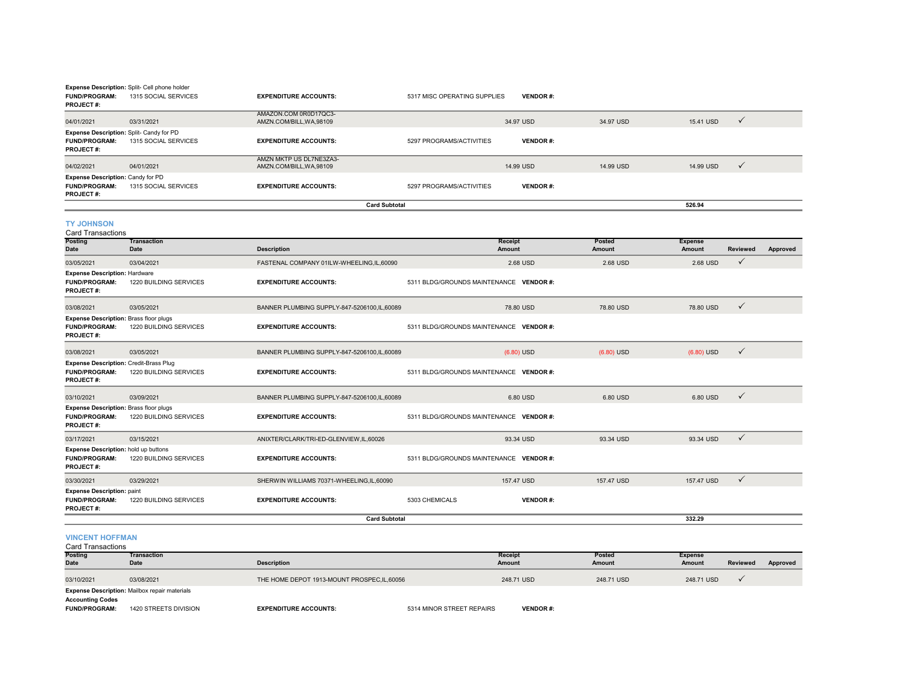| <b>FUND/PROGRAM:</b><br><b>PROJECT#:</b>                                           | Expense Description: Split- Cell phone holder<br>1315 SOCIAL SERVICES | <b>EXPENDITURE ACCOUNTS:</b>                        | 5317 MISC OPERATING SUPPLIES            | <b>VENDOR#:</b> |                  |                          |                 |          |
|------------------------------------------------------------------------------------|-----------------------------------------------------------------------|-----------------------------------------------------|-----------------------------------------|-----------------|------------------|--------------------------|-----------------|----------|
| 04/01/2021                                                                         | 03/31/2021                                                            | AMAZON.COM 0R0D17QC3-<br>AMZN.COM/BILL, WA, 98109   |                                         | 34.97 USD       | 34.97 USD        | 15.41 USD                | $\checkmark$    |          |
| Expense Description: Split- Candy for PD<br>FUND/PROGRAM:<br>PROJECT#:             | 1315 SOCIAL SERVICES                                                  | <b>EXPENDITURE ACCOUNTS:</b>                        | 5297 PROGRAMS/ACTIVITIES                | <b>VENDOR#:</b> |                  |                          |                 |          |
| 04/02/2021                                                                         | 04/01/2021                                                            | AMZN MKTP US DL7NE3ZA3-<br>AMZN.COM/BILL, WA, 98109 |                                         | 14.99 USD       | 14.99 USD        | 14.99 USD                | $\checkmark$    |          |
| Expense Description: Candy for PD<br><b>FUND/PROGRAM:</b><br><b>PROJECT#:</b>      | 1315 SOCIAL SERVICES                                                  | <b>EXPENDITURE ACCOUNTS:</b>                        | 5297 PROGRAMS/ACTIVITIES                | <b>VENDOR#:</b> |                  |                          |                 |          |
|                                                                                    |                                                                       | <b>Card Subtotal</b>                                |                                         |                 |                  | 526.94                   |                 |          |
| <b>TY JOHNSON</b><br><b>Card Transactions</b>                                      |                                                                       |                                                     |                                         |                 |                  |                          |                 |          |
| <b>Posting</b><br>Date                                                             | <b>Transaction</b><br>Date                                            | <b>Description</b>                                  | Receipt<br>Amount                       |                 | Posted<br>Amount | <b>Expense</b><br>Amount | <b>Reviewed</b> | Approved |
| 03/05/2021                                                                         | 03/04/2021                                                            | FASTENAL COMPANY 01ILW-WHEELING,IL,60090            |                                         | 2.68 USD        | 2.68 USD         | 2.68 USD                 | $\checkmark$    |          |
| <b>Expense Description: Hardware</b><br><b>FUND/PROGRAM:</b><br>PROJECT#:          | 1220 BUILDING SERVICES                                                | <b>EXPENDITURE ACCOUNTS:</b>                        | 5311 BLDG/GROUNDS MAINTENANCE VENDOR #: |                 |                  |                          |                 |          |
| 03/08/2021                                                                         | 03/05/2021                                                            | BANNER PLUMBING SUPPLY-847-5206100,IL,60089         |                                         | 78.80 USD       | 78.80 USD        | 78.80 USD                | $\checkmark$    |          |
| Expense Description: Brass floor plugs<br>FUND/PROGRAM:<br><b>PROJECT#:</b>        | 1220 BUILDING SERVICES                                                | <b>EXPENDITURE ACCOUNTS:</b>                        | 5311 BLDG/GROUNDS MAINTENANCE VENDOR #: |                 |                  |                          |                 |          |
| 03/08/2021                                                                         | 03/05/2021                                                            | BANNER PLUMBING SUPPLY-847-5206100,IL,60089         |                                         | $(6.80)$ USD    | $(6.80)$ USD     | $(6.80)$ USD             | $\checkmark$    |          |
| Expense Description: Credit-Brass Plug<br><b>FUND/PROGRAM:</b><br><b>PROJECT#:</b> | 1220 BUILDING SERVICES                                                | <b>EXPENDITURE ACCOUNTS:</b>                        | 5311 BLDG/GROUNDS MAINTENANCE VENDOR #: |                 |                  |                          |                 |          |
| 03/10/2021                                                                         | 03/09/2021                                                            | BANNER PLUMBING SUPPLY-847-5206100,IL,60089         |                                         | 6.80 USD        | 6.80 USD         | 6.80 USD                 | $\checkmark$    |          |
| <b>Expense Description: Brass floor plugs</b><br><b>FUND/PROGRAM:</b><br>PROJECT#: | 1220 BUILDING SERVICES                                                | <b>EXPENDITURE ACCOUNTS:</b>                        | 5311 BLDG/GROUNDS MAINTENANCE VENDOR #: |                 |                  |                          |                 |          |
| 03/17/2021                                                                         | 03/15/2021                                                            | ANIXTER/CLARK/TRI-ED-GLENVIEW.IL.60026              |                                         | 93.34 USD       | 93.34 USD        | 93.34 USD                | $\checkmark$    |          |
| Expense Description: hold up buttons<br>FUND/PROGRAM:<br>PROJECT#:                 | 1220 BUILDING SERVICES                                                | <b>EXPENDITURE ACCOUNTS:</b>                        | 5311 BLDG/GROUNDS MAINTENANCE VENDOR #: |                 |                  |                          |                 |          |
| 03/30/2021                                                                         | 03/29/2021                                                            | SHERWIN WILLIAMS 70371-WHEELING, IL, 60090          |                                         | 157.47 USD      | 157.47 USD       | 157.47 USD               | $\checkmark$    |          |
| <b>Expense Description: paint</b><br>FUND/PROGRAM:<br><b>PROJECT#:</b>             | 1220 BUILDING SERVICES                                                | <b>EXPENDITURE ACCOUNTS:</b>                        | 5303 CHEMICALS                          | <b>VENDOR#:</b> |                  |                          |                 |          |
|                                                                                    |                                                                       | <b>Card Subtotal</b>                                |                                         |                 |                  | 332.29                   |                 |          |
| <b>VINCENT HOFFMAN</b><br><b>Card Transactions</b>                                 |                                                                       |                                                     |                                         |                 |                  |                          |                 |          |
| <b>Posting</b><br><b>Date</b>                                                      | <b>Transaction</b><br>Date                                            | <b>Description</b>                                  | Receipt<br>Amount                       |                 | Posted<br>Amount | <b>Expense</b><br>Amount | <b>Reviewed</b> | Approved |
| 03/10/2021                                                                         | 03/08/2021                                                            | THE HOME DEPOT 1913-MOUNT PROSPEC, IL, 60056        |                                         | 248.71 USD      | 248.71 USD       | 248.71 USD               | ✓               |          |

**Expense Description:** Mailbox repair materials

**Accounting Codes**

**FUND/PROGRAM:** 1420 STREETS DIVISION**EXPENDITURE ACCOUNTS:** 5314 MINOR STREET REPAIRS **VENDOR #:**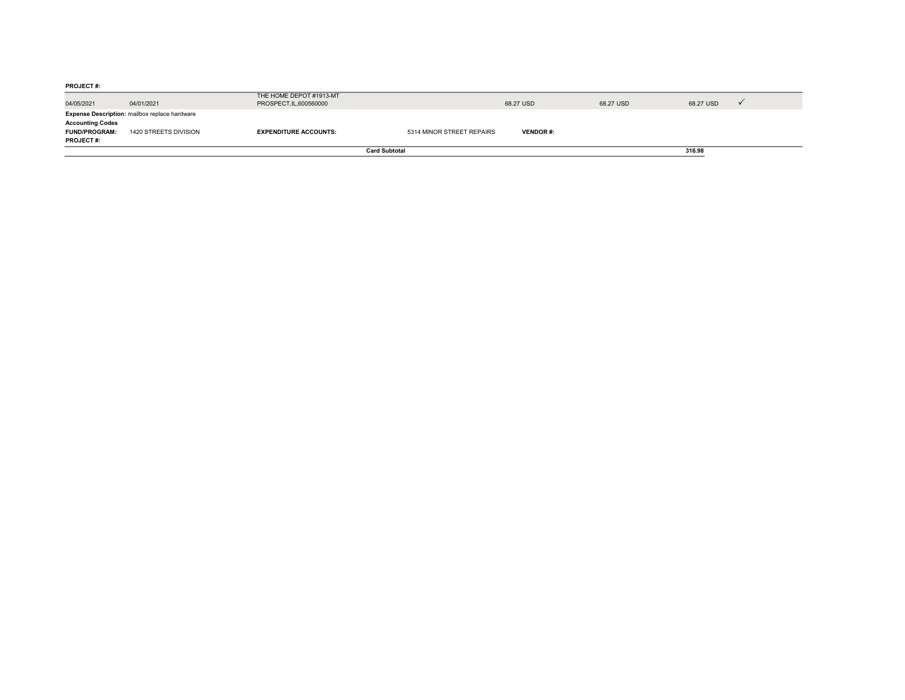**PROJECT #:** 04/05/2021 04/01/2021 THE HOME DEPOT #1913-MT IHE HUME UEPUIR THISI-SHII<br>PROSPECT,IL,600560000 68.27 USD 68.27 USD 68.27 USD 68.27 USD 68.27 USD 68.27 USD 68.27 USD 68.27 USD 68.27 U **Accounting Codes FUND/PROGRAM:** 1420 STREETS DIVISION**PROJECT #: EXPENDITURE ACCOUNTS:** 5314 MINOR STREET REPAIRS **VENDOR #: Expense Description:** mailbox replace hardware **Card Subtotal316.98**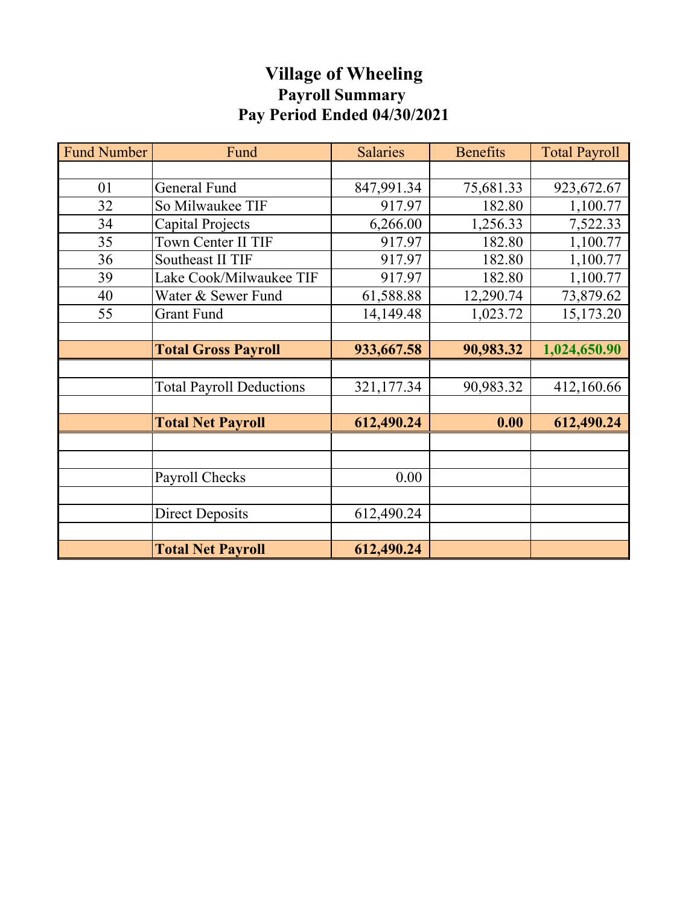# **Village of Wheeling Payroll Summary Pay Period Ended 04/30/2021**

| <b>Fund Number</b> | Fund                            | <b>Salaries</b> | <b>Benefits</b> | <b>Total Payroll</b> |
|--------------------|---------------------------------|-----------------|-----------------|----------------------|
|                    |                                 |                 |                 |                      |
| 01                 | General Fund                    | 847,991.34      | 75,681.33       | 923,672.67           |
| 32                 | So Milwaukee TIF                | 917.97          | 182.80          | 1,100.77             |
| 34                 | Capital Projects                | 6,266.00        | 1,256.33        | 7,522.33             |
| 35                 | Town Center II TIF              | 917.97          | 182.80          | 1,100.77             |
| 36                 | Southeast II TIF                | 917.97          | 182.80          | 1,100.77             |
| 39                 | Lake Cook/Milwaukee TIF         | 917.97          | 182.80          | 1,100.77             |
| 40                 | Water & Sewer Fund              | 61,588.88       | 12,290.74       | 73,879.62            |
| 55                 | <b>Grant Fund</b>               | 14,149.48       | 1,023.72        | 15,173.20            |
|                    |                                 |                 |                 |                      |
|                    | <b>Total Gross Payroll</b>      | 933,667.58      | 90,983.32       | 1,024,650.90         |
|                    |                                 |                 |                 |                      |
|                    | <b>Total Payroll Deductions</b> | 321,177.34      | 90,983.32       | 412,160.66           |
|                    |                                 |                 |                 |                      |
|                    | <b>Total Net Payroll</b>        | 612,490.24      | 0.00            | 612,490.24           |
|                    |                                 |                 |                 |                      |
|                    |                                 |                 |                 |                      |
|                    | Payroll Checks                  | 0.00            |                 |                      |
|                    |                                 |                 |                 |                      |
|                    | <b>Direct Deposits</b>          | 612,490.24      |                 |                      |
|                    |                                 |                 |                 |                      |
|                    | <b>Total Net Payroll</b>        | 612,490.24      |                 |                      |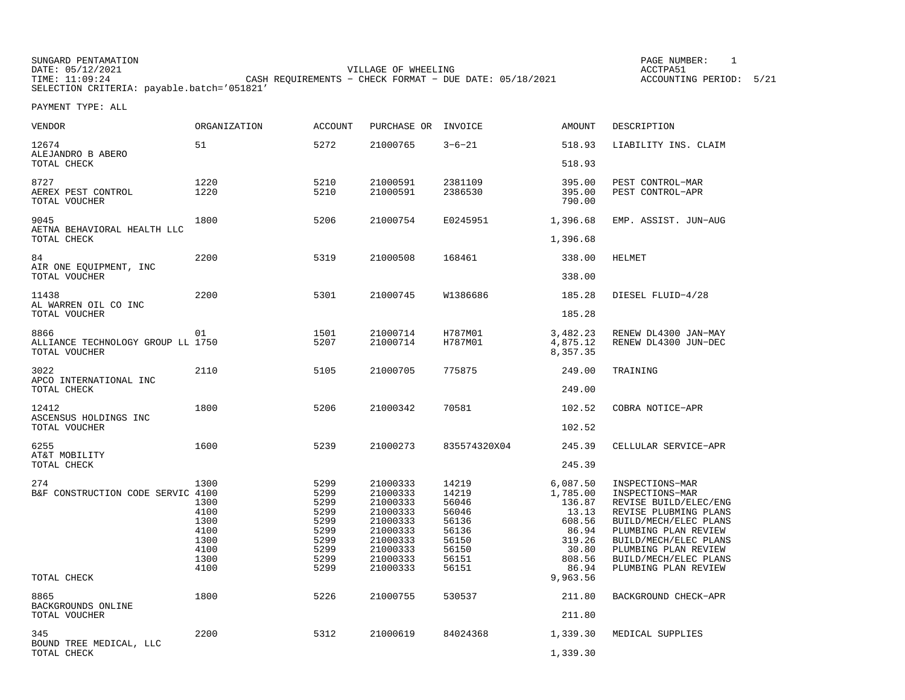SUNGARD PENTAMATION SUNGARD PENTAMATION SUNGARD PAGE NUMBER: 1 DATE: 05/12/2021 VILLAGE OF WHEELING ACCTPA51TIME: 11:09:24 CASH REQUIREMENTS − CHECK FORMAT − DUE DATE: 05/18/2021 ACCOUNTING PERIOD: 5/21SELECTION CRITERIA: payable.batch='051821'

ACCOUNTING PERIOD: 5/21

| VENDOR                                                     | <b>ORGANIZATION</b>                                                  | <b>ACCOUNT</b>                                                               | PURCHASE OR INVOICE                                                                                                  |                                                                                        | <b>AMOUNT</b>                                                                                    | DESCRIPTION                                                                                                                                                                                                                             |
|------------------------------------------------------------|----------------------------------------------------------------------|------------------------------------------------------------------------------|----------------------------------------------------------------------------------------------------------------------|----------------------------------------------------------------------------------------|--------------------------------------------------------------------------------------------------|-----------------------------------------------------------------------------------------------------------------------------------------------------------------------------------------------------------------------------------------|
| 12674<br>ALEJANDRO B ABERO                                 | 51                                                                   | 5272                                                                         | 21000765                                                                                                             | $3 - 6 - 21$                                                                           | 518.93                                                                                           | LIABILITY INS. CLAIM                                                                                                                                                                                                                    |
| TOTAL CHECK                                                |                                                                      |                                                                              |                                                                                                                      |                                                                                        | 518.93                                                                                           |                                                                                                                                                                                                                                         |
| 8727<br>AEREX PEST CONTROL<br>TOTAL VOUCHER                | 1220<br>1220                                                         | 5210<br>5210                                                                 | 21000591<br>21000591                                                                                                 | 2381109<br>2386530                                                                     | 395.00<br>395.00<br>790.00                                                                       | PEST CONTROL-MAR<br>PEST CONTROL-APR                                                                                                                                                                                                    |
| 9045<br>AETNA BEHAVIORAL HEALTH LLC<br>TOTAL CHECK         | 1800                                                                 | 5206                                                                         | 21000754                                                                                                             | E0245951                                                                               | 1,396.68<br>1,396.68                                                                             | EMP. ASSIST. JUN-AUG                                                                                                                                                                                                                    |
|                                                            |                                                                      |                                                                              |                                                                                                                      |                                                                                        |                                                                                                  |                                                                                                                                                                                                                                         |
| 84<br>AIR ONE EQUIPMENT, INC<br>TOTAL VOUCHER              | 2200                                                                 | 5319                                                                         | 21000508                                                                                                             | 168461                                                                                 | 338.00<br>338.00                                                                                 | <b>HELMET</b>                                                                                                                                                                                                                           |
| 11438                                                      | 2200                                                                 | 5301                                                                         | 21000745                                                                                                             | W1386686                                                                               | 185.28                                                                                           | DIESEL FLUID-4/28                                                                                                                                                                                                                       |
| AL WARREN OIL CO INC<br>TOTAL VOUCHER                      |                                                                      |                                                                              |                                                                                                                      |                                                                                        | 185.28                                                                                           |                                                                                                                                                                                                                                         |
| 8866<br>ALLIANCE TECHNOLOGY GROUP LL 1750<br>TOTAL VOUCHER | 01                                                                   | 1501<br>5207                                                                 | 21000714<br>21000714                                                                                                 | H787M01<br>H787M01                                                                     | 3,482.23<br>4,875.12<br>8,357.35                                                                 | RENEW DL4300 JAN-MAY<br>RENEW DL4300 JUN-DEC                                                                                                                                                                                            |
| 3022<br>APCO INTERNATIONAL INC                             | 2110                                                                 | 5105                                                                         | 21000705                                                                                                             | 775875                                                                                 | 249.00                                                                                           | TRAINING                                                                                                                                                                                                                                |
| TOTAL CHECK                                                |                                                                      |                                                                              |                                                                                                                      |                                                                                        | 249.00                                                                                           |                                                                                                                                                                                                                                         |
| 12412<br>ASCENSUS HOLDINGS INC                             | 1800                                                                 | 5206                                                                         | 21000342                                                                                                             | 70581                                                                                  | 102.52                                                                                           | COBRA NOTICE-APR                                                                                                                                                                                                                        |
| TOTAL VOUCHER                                              |                                                                      |                                                                              |                                                                                                                      |                                                                                        | 102.52                                                                                           |                                                                                                                                                                                                                                         |
| 6255<br>AT&T MOBILITY                                      | 1600                                                                 | 5239                                                                         | 21000273                                                                                                             | 835574320X04                                                                           | 245.39                                                                                           | CELLULAR SERVICE-APR                                                                                                                                                                                                                    |
| TOTAL CHECK                                                |                                                                      |                                                                              |                                                                                                                      |                                                                                        | 245.39                                                                                           |                                                                                                                                                                                                                                         |
| 274<br>B&F CONSTRUCTION CODE SERVIC 4100                   | 1300<br>1300<br>4100<br>1300<br>4100<br>1300<br>4100<br>1300<br>4100 | 5299<br>5299<br>5299<br>5299<br>5299<br>5299<br>5299<br>5299<br>5299<br>5299 | 21000333<br>21000333<br>21000333<br>21000333<br>21000333<br>21000333<br>21000333<br>21000333<br>21000333<br>21000333 | 14219<br>14219<br>56046<br>56046<br>56136<br>56136<br>56150<br>56150<br>56151<br>56151 | 6,087.50<br>1,785.00<br>136.87<br>13.13<br>608.56<br>86.94<br>319.26<br>30.80<br>808.56<br>86.94 | INSPECTIONS-MAR<br>INSPECTIONS-MAR<br>REVISE BUILD/ELEC/ENG<br>REVISE PLUBMING PLANS<br>BUILD/MECH/ELEC PLANS<br>PLUMBING PLAN REVIEW<br>BUILD/MECH/ELEC PLANS<br>PLUMBING PLAN REVIEW<br>BUILD/MECH/ELEC PLANS<br>PLUMBING PLAN REVIEW |
| TOTAL CHECK                                                |                                                                      |                                                                              |                                                                                                                      |                                                                                        | 9,963.56                                                                                         |                                                                                                                                                                                                                                         |
| 8865<br>BACKGROUNDS ONLINE<br>TOTAL VOUCHER                | 1800                                                                 | 5226                                                                         | 21000755                                                                                                             | 530537                                                                                 | 211.80<br>211.80                                                                                 | BACKGROUND CHECK-APR                                                                                                                                                                                                                    |
| 345                                                        | 2200                                                                 | 5312                                                                         | 21000619                                                                                                             | 84024368                                                                               | 1,339.30                                                                                         | MEDICAL SUPPLIES                                                                                                                                                                                                                        |
| BOUND TREE MEDICAL, LLC<br>TOTAL CHECK                     |                                                                      |                                                                              |                                                                                                                      |                                                                                        | 1,339.30                                                                                         |                                                                                                                                                                                                                                         |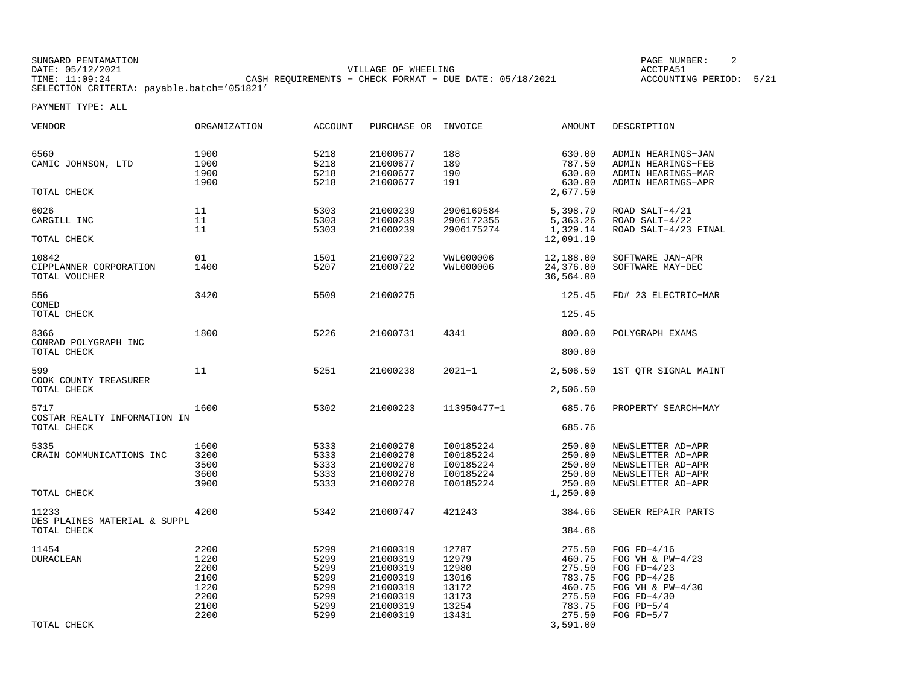SUNGARD PENTAMATION SUNGARD PENTAMATION SUNGARD PAGE NUMBER: 2 <br/>
PAGE NUMBER: 2 <br/>
PAGE NUMBER: 2 <br/>
PAGE NUMBER: 2 <br/>
PAGE NUMBER: 2 <br/>
PAGE NUMBER: 2 <br/>
PAGE NUMBER: 2 <br/>
PAGE NUMBER: 2 <br/>
PAGE N DATE: 05/12/2021 VILLAGE OF WHEELING ACCTPA51CASH REQUIREMENTS - CHECK FORMAT - DUE DATE: 05/18/2021 SELECTION CRITERIA: payable.batch='051821'

ACCOUNTING PERIOD: 5/21

| VENDOR                                           | ORGANIZATION                                                 | ACCOUNT                                                      | PURCHASE OR INVOICE                                                                          |                                                                      | AMOUNT                                                                                   | DESCRIPTION                                                                                                                                |
|--------------------------------------------------|--------------------------------------------------------------|--------------------------------------------------------------|----------------------------------------------------------------------------------------------|----------------------------------------------------------------------|------------------------------------------------------------------------------------------|--------------------------------------------------------------------------------------------------------------------------------------------|
| 6560<br>CAMIC JOHNSON, LTD<br>TOTAL CHECK        | 1900<br>1900<br>1900<br>1900                                 | 5218<br>5218<br>5218<br>5218                                 | 21000677<br>21000677<br>21000677<br>21000677                                                 | 188<br>189<br>190<br>191                                             | 630.00<br>787.50<br>630.00<br>630.00<br>2,677.50                                         | ADMIN HEARINGS-JAN<br>ADMIN HEARINGS-FEB<br>ADMIN HEARINGS-MAR<br>ADMIN HEARINGS-APR                                                       |
|                                                  |                                                              |                                                              |                                                                                              |                                                                      |                                                                                          |                                                                                                                                            |
| 6026<br>CARGILL INC                              | 11<br>11<br>11                                               | 5303<br>5303<br>5303                                         | 21000239<br>21000239<br>21000239                                                             | 2906169584<br>2906172355<br>2906175274                               | 5,398.79<br>5,363.26<br>1,329.14                                                         | ROAD SALT-4/21<br>ROAD SALT-4/22<br>ROAD SALT-4/23 FINAL                                                                                   |
| TOTAL CHECK                                      |                                                              |                                                              |                                                                                              |                                                                      | 12,091.19                                                                                |                                                                                                                                            |
| 10842<br>CIPPLANNER CORPORATION<br>TOTAL VOUCHER | 01<br>1400                                                   | 1501<br>5207                                                 | 21000722<br>21000722                                                                         | VWL000006<br><b>VWL000006</b>                                        | 12,188.00<br>24,376.00<br>36,564.00                                                      | SOFTWARE JAN-APR<br>SOFTWARE MAY-DEC                                                                                                       |
| 556<br>COMED                                     | 3420                                                         | 5509                                                         | 21000275                                                                                     |                                                                      | 125.45                                                                                   | FD# 23 ELECTRIC-MAR                                                                                                                        |
| TOTAL CHECK                                      |                                                              |                                                              |                                                                                              |                                                                      | 125.45                                                                                   |                                                                                                                                            |
| 8366<br>CONRAD POLYGRAPH INC                     | 1800                                                         | 5226                                                         | 21000731                                                                                     | 4341                                                                 | 800.00                                                                                   | POLYGRAPH EXAMS                                                                                                                            |
| TOTAL CHECK                                      |                                                              |                                                              |                                                                                              |                                                                      | 800.00                                                                                   |                                                                                                                                            |
| 599<br>COOK COUNTY TREASURER                     | 11                                                           | 5251                                                         | 21000238                                                                                     | $2021 - 1$                                                           | 2,506.50                                                                                 | 1ST QTR SIGNAL MAINT                                                                                                                       |
| TOTAL CHECK                                      |                                                              |                                                              |                                                                                              |                                                                      | 2,506.50                                                                                 |                                                                                                                                            |
| 5717                                             | 1600                                                         | 5302                                                         | 21000223                                                                                     | 113950477-1                                                          | 685.76                                                                                   | PROPERTY SEARCH-MAY                                                                                                                        |
| COSTAR REALTY INFORMATION IN<br>TOTAL CHECK      |                                                              |                                                              |                                                                                              |                                                                      | 685.76                                                                                   |                                                                                                                                            |
| 5335<br>CRAIN COMMUNICATIONS INC<br>TOTAL CHECK  | 1600<br>3200<br>3500<br>3600<br>3900                         | 5333<br>5333<br>5333<br>5333<br>5333                         | 21000270<br>21000270<br>21000270<br>21000270<br>21000270                                     | I00185224<br>I00185224<br>I00185224<br>I00185224<br>I00185224        | 250.00<br>250.00<br>250.00<br>250.00<br>250.00<br>1,250.00                               | NEWSLETTER AD-APR<br>NEWSLETTER AD-APR<br>NEWSLETTER AD-APR<br>NEWSLETTER AD-APR<br>NEWSLETTER AD-APR                                      |
| 11233                                            | 4200                                                         | 5342                                                         | 21000747                                                                                     | 421243                                                               | 384.66                                                                                   | SEWER REPAIR PARTS                                                                                                                         |
| DES PLAINES MATERIAL & SUPPL<br>TOTAL CHECK      |                                                              |                                                              |                                                                                              |                                                                      | 384.66                                                                                   |                                                                                                                                            |
| 11454<br><b>DURACLEAN</b><br>TOTAL CHECK         | 2200<br>1220<br>2200<br>2100<br>1220<br>2200<br>2100<br>2200 | 5299<br>5299<br>5299<br>5299<br>5299<br>5299<br>5299<br>5299 | 21000319<br>21000319<br>21000319<br>21000319<br>21000319<br>21000319<br>21000319<br>21000319 | 12787<br>12979<br>12980<br>13016<br>13172<br>13173<br>13254<br>13431 | 275.50<br>460.75<br>275.50<br>783.75<br>460.75<br>275.50<br>783.75<br>275.50<br>3,591.00 | FOG $FD-4/16$<br>FOG VH & $PW-4/23$<br>FOG $FD-4/23$<br>FOG $PD-4/26$<br>FOG VH & PW-4/30<br>FOG $FD-4/30$<br>FOG $PD-5/4$<br>FOG $FD-5/7$ |
|                                                  |                                                              |                                                              |                                                                                              |                                                                      |                                                                                          |                                                                                                                                            |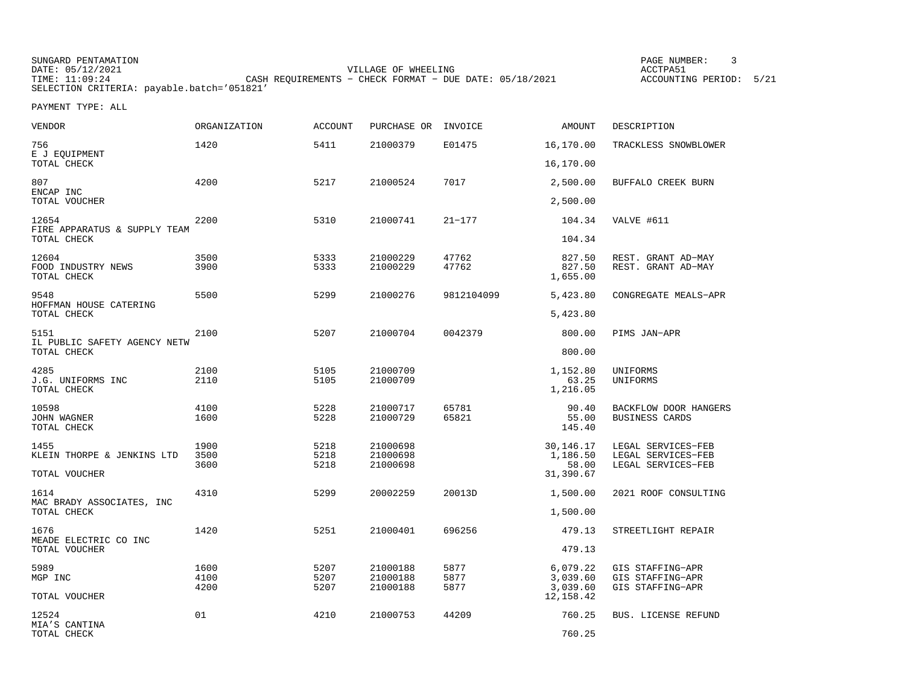SUNGARD PENTAMATION SUNGARD PENTAMATION SUNGARD PAGE NUMBER: 3<br>DATE: 05/12/2021 20021 DATE: 05/12/2021 VILLAGE OF WHEELING ACCTPA51TIMES OF MILLING CHANGERS CORPORATIONS CASH REQUIREMENTS - CHECK FORMAT - DUE DATE: 05/18/2021 SELECTION CRITERIA: payable.batch='051821'

ACCOUNTING PERIOD: 5/21

| <b>VENDOR</b>                              | ORGANIZATION         | <b>ACCOUNT</b>       | PURCHASE OR                      | INVOICE              | AMOUNT                           | DESCRIPTION                                                    |
|--------------------------------------------|----------------------|----------------------|----------------------------------|----------------------|----------------------------------|----------------------------------------------------------------|
| 756<br>E J EQUIPMENT                       | 1420                 | 5411                 | 21000379                         | E01475               | 16,170.00                        | TRACKLESS SNOWBLOWER                                           |
| TOTAL CHECK                                |                      |                      |                                  |                      | 16,170.00                        |                                                                |
| 807<br>ENCAP INC                           | 4200                 | 5217                 | 21000524                         | 7017                 | 2,500.00                         | BUFFALO CREEK BURN                                             |
| TOTAL VOUCHER                              |                      |                      |                                  |                      | 2,500.00                         |                                                                |
| 12654<br>FIRE APPARATUS & SUPPLY TEAM      | 2200                 | 5310                 | 21000741                         | $21 - 177$           | 104.34                           | VALVE #611                                                     |
| TOTAL CHECK                                |                      |                      |                                  |                      | 104.34                           |                                                                |
| 12604<br>FOOD INDUSTRY NEWS<br>TOTAL CHECK | 3500<br>3900         | 5333<br>5333         | 21000229<br>21000229             | 47762<br>47762       | 827.50<br>827.50<br>1,655.00     | REST. GRANT AD-MAY<br>REST. GRANT AD-MAY                       |
| 9548<br>HOFFMAN HOUSE CATERING             | 5500                 | 5299                 | 21000276                         | 9812104099           | 5,423.80                         | CONGREGATE MEALS-APR                                           |
| TOTAL CHECK                                |                      |                      |                                  |                      | 5,423.80                         |                                                                |
| 5151<br>IL PUBLIC SAFETY AGENCY NETW       | 2100                 | 5207                 | 21000704                         | 0042379              | 800.00                           | PIMS JAN-APR                                                   |
| TOTAL CHECK                                |                      |                      |                                  |                      | 800.00                           |                                                                |
| 4285<br>J.G. UNIFORMS INC<br>TOTAL CHECK   | 2100<br>2110         | 5105<br>5105         | 21000709<br>21000709             |                      | 1,152.80<br>63.25<br>1,216.05    | UNIFORMS<br>UNIFORMS                                           |
| 10598<br>JOHN WAGNER<br>TOTAL CHECK        | 4100<br>1600         | 5228<br>5228         | 21000717<br>21000729             | 65781<br>65821       | 90.40<br>55.00<br>145.40         | BACKFLOW DOOR HANGERS<br><b>BUSINESS CARDS</b>                 |
| 1455<br>KLEIN THORPE & JENKINS LTD         | 1900<br>3500<br>3600 | 5218<br>5218<br>5218 | 21000698<br>21000698<br>21000698 |                      | 30,146.17<br>1,186.50<br>58.00   | LEGAL SERVICES-FEB<br>LEGAL SERVICES-FEB<br>LEGAL SERVICES-FEB |
| TOTAL VOUCHER                              |                      |                      |                                  |                      | 31,390.67                        |                                                                |
| 1614<br>MAC BRADY ASSOCIATES, INC          | 4310                 | 5299                 | 20002259                         | 20013D               | 1,500.00                         | 2021 ROOF CONSULTING                                           |
| TOTAL CHECK                                |                      |                      |                                  |                      | 1,500.00                         |                                                                |
| 1676<br>MEADE ELECTRIC CO INC              | 1420                 | 5251                 | 21000401                         | 696256               | 479.13                           | STREETLIGHT REPAIR                                             |
| TOTAL VOUCHER                              |                      |                      |                                  |                      | 479.13                           |                                                                |
| 5989<br>MGP INC                            | 1600<br>4100<br>4200 | 5207<br>5207<br>5207 | 21000188<br>21000188<br>21000188 | 5877<br>5877<br>5877 | 6,079.22<br>3,039.60<br>3,039.60 | GIS STAFFING-APR<br>GIS STAFFING-APR<br>GIS STAFFING-APR       |
| TOTAL VOUCHER                              |                      |                      |                                  |                      | 12, 158.42                       |                                                                |
| 12524<br>MIA'S CANTINA                     | 01                   | 4210                 | 21000753                         | 44209                | 760.25                           | BUS. LICENSE REFUND                                            |
| TOTAL CHECK                                |                      |                      |                                  |                      | 760.25                           |                                                                |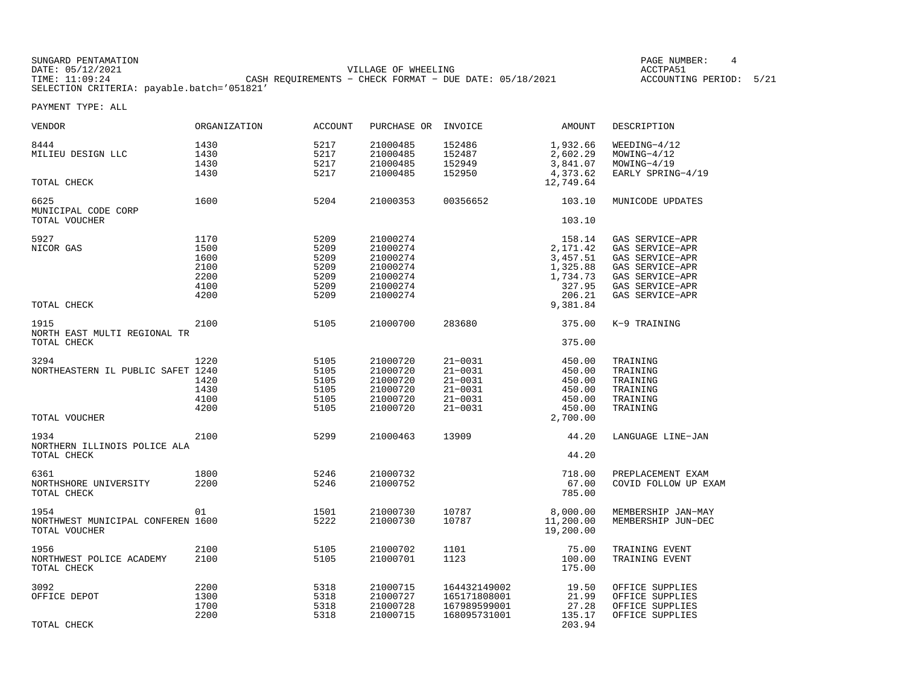SUNGARD PENTAMATION SUNGARD PENTAMATION SUNGARD PAGE NUMBER: 4 DATE: 05/12/2021 VILLAGE OF WHEELING ACCTPA51CASH REQUIREMENTS - CHECK FORMAT - DUE DATE: 05/18/2021 SELECTION CRITERIA: payable.batch='051821'

ACCOUNTING PERIOD: 5/21

| VENDOR                                                     | <b>ORGANIZATION</b>                                  | <b>ACCOUNT</b>                                       | PURCHASE OR                                                                      | INVOICE                                                                                | <b>AMOUNT</b>                                                              | DESCRIPTION                                                                                                                       |
|------------------------------------------------------------|------------------------------------------------------|------------------------------------------------------|----------------------------------------------------------------------------------|----------------------------------------------------------------------------------------|----------------------------------------------------------------------------|-----------------------------------------------------------------------------------------------------------------------------------|
| 8444<br>MILIEU DESIGN LLC                                  | 1430<br>1430<br>1430<br>1430                         | 5217<br>5217<br>5217<br>5217                         | 21000485<br>21000485<br>21000485<br>21000485                                     | 152486<br>152487<br>152949<br>152950                                                   | 1,932.66<br>2,602.29<br>3,841.07<br>4,373.62                               | $WEEDING-4/12$<br>$MOWING-4/12$<br>$MOWING-4/19$<br>EARLY SPRING-4/19                                                             |
| TOTAL CHECK                                                |                                                      |                                                      |                                                                                  |                                                                                        | 12,749.64                                                                  |                                                                                                                                   |
| 6625<br>MUNICIPAL CODE CORP<br>TOTAL VOUCHER               | 1600                                                 | 5204                                                 | 21000353                                                                         | 00356652                                                                               | 103.10<br>103.10                                                           | MUNICODE UPDATES                                                                                                                  |
|                                                            |                                                      |                                                      |                                                                                  |                                                                                        |                                                                            |                                                                                                                                   |
| 5927<br>NICOR GAS                                          | 1170<br>1500<br>1600<br>2100<br>2200<br>4100<br>4200 | 5209<br>5209<br>5209<br>5209<br>5209<br>5209<br>5209 | 21000274<br>21000274<br>21000274<br>21000274<br>21000274<br>21000274<br>21000274 |                                                                                        | 158.14<br>2,171.42<br>3,457.51<br>1,325.88<br>1,734.73<br>327.95<br>206.21 | GAS SERVICE-APR<br>GAS SERVICE-APR<br>GAS SERVICE-APR<br>GAS SERVICE-APR<br>GAS SERVICE-APR<br>GAS SERVICE-APR<br>GAS SERVICE-APR |
| TOTAL CHECK                                                |                                                      |                                                      |                                                                                  |                                                                                        | 9,381.84                                                                   |                                                                                                                                   |
| 1915<br>NORTH EAST MULTI REGIONAL TR                       | 2100                                                 | 5105                                                 | 21000700                                                                         | 283680                                                                                 | 375.00                                                                     | K-9 TRAINING                                                                                                                      |
| TOTAL CHECK                                                |                                                      |                                                      |                                                                                  |                                                                                        | 375.00                                                                     |                                                                                                                                   |
| 3294<br>NORTHEASTERN IL PUBLIC SAFET 1240                  | 1220<br>1420<br>1430<br>4100<br>4200                 | 5105<br>5105<br>5105<br>5105<br>5105<br>5105         | 21000720<br>21000720<br>21000720<br>21000720<br>21000720<br>21000720             | $21 - 0031$<br>$21 - 0031$<br>$21 - 0031$<br>$21 - 0031$<br>$21 - 0031$<br>$21 - 0031$ | 450.00<br>450.00<br>450.00<br>450.00<br>450.00<br>450.00                   | TRAINING<br>TRAINING<br>TRAINING<br>TRAINING<br>TRAINING<br>TRAINING                                                              |
| TOTAL VOUCHER                                              |                                                      |                                                      |                                                                                  |                                                                                        | 2,700.00                                                                   |                                                                                                                                   |
| 1934<br>NORTHERN ILLINOIS POLICE ALA<br>TOTAL CHECK        | 2100                                                 | 5299                                                 | 21000463                                                                         | 13909                                                                                  | 44.20<br>44.20                                                             | LANGUAGE LINE-JAN                                                                                                                 |
| 6361<br>NORTHSHORE UNIVERSITY<br>TOTAL CHECK               | 1800<br>2200                                         | 5246<br>5246                                         | 21000732<br>21000752                                                             |                                                                                        | 718.00<br>67.00<br>785.00                                                  | PREPLACEMENT EXAM<br>COVID FOLLOW UP EXAM                                                                                         |
| 1954<br>NORTHWEST MUNICIPAL CONFEREN 1600<br>TOTAL VOUCHER | 01                                                   | 1501<br>5222                                         | 21000730<br>21000730                                                             | 10787<br>10787                                                                         | 8,000.00<br>11,200.00<br>19,200.00                                         | MEMBERSHIP JAN-MAY<br>MEMBERSHIP JUN-DEC                                                                                          |
| 1956<br>NORTHWEST POLICE ACADEMY<br>TOTAL CHECK            | 2100<br>2100                                         | 5105<br>5105                                         | 21000702<br>21000701                                                             | 1101<br>1123                                                                           | 75.00<br>100.00<br>175.00                                                  | TRAINING EVENT<br>TRAINING EVENT                                                                                                  |
| 3092<br>OFFICE DEPOT<br>TOTAL CHECK                        | 2200<br>1300<br>1700<br>2200                         | 5318<br>5318<br>5318<br>5318                         | 21000715<br>21000727<br>21000728<br>21000715                                     | 164432149002<br>165171808001<br>167989599001<br>168095731001                           | 19.50<br>21.99<br>27.28<br>135.17<br>203.94                                | OFFICE SUPPLIES<br>OFFICE SUPPLIES<br>OFFICE SUPPLIES<br>OFFICE SUPPLIES                                                          |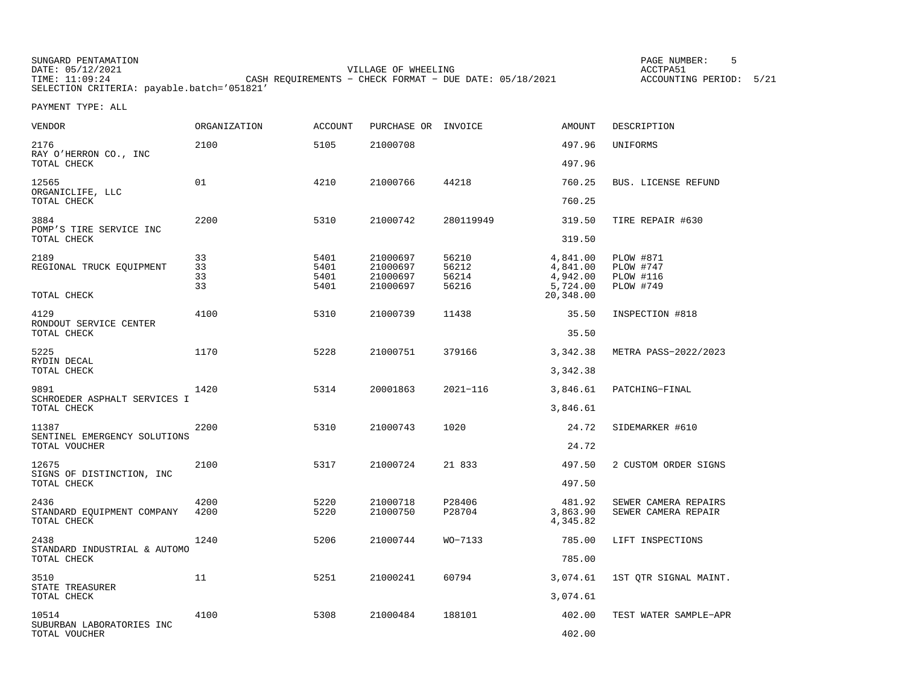SUNGARD PENTAMATION SUNGARD PENTAMATION SUNGARD PAGE NUMBER: 5 SERIES AND PAGE NUMBER: 5 SERIES ACCTPASS SUNG<br>PATE: 05/12/2021 DATE: 05/12/2021 VILLAGE OF WHEELING ACCTPA51TIMES OF MILLING CHANGERS CORPORAT - CHECK FORMAT - DUE DATE: 05/18/2021 SELECTION CRITERIA: payable.batch='051821'

ACCOUNTING PERIOD: 5/21

| VENDOR                                            | ORGANIZATION         | <b>ACCOUNT</b>               | PURCHASE OR INVOICE                          |                                  | AMOUNT                                                    | DESCRIPTION                                                                  |
|---------------------------------------------------|----------------------|------------------------------|----------------------------------------------|----------------------------------|-----------------------------------------------------------|------------------------------------------------------------------------------|
| 2176<br>RAY O'HERRON CO., INC                     | 2100                 | 5105                         | 21000708                                     |                                  | 497.96                                                    | UNIFORMS                                                                     |
| TOTAL CHECK                                       |                      |                              |                                              |                                  | 497.96                                                    |                                                                              |
| 12565<br>ORGANICLIFE, LLC                         | 01                   | 4210                         | 21000766                                     | 44218                            | 760.25                                                    | <b>BUS. LICENSE REFUND</b>                                                   |
| TOTAL CHECK                                       |                      |                              |                                              |                                  | 760.25                                                    |                                                                              |
| 3884<br>POMP'S TIRE SERVICE INC                   | 2200                 | 5310                         | 21000742                                     | 280119949                        | 319.50                                                    | TIRE REPAIR #630                                                             |
| TOTAL CHECK                                       |                      |                              |                                              |                                  | 319.50                                                    |                                                                              |
| 2189<br>REGIONAL TRUCK EQUIPMENT<br>TOTAL CHECK   | 33<br>33<br>33<br>33 | 5401<br>5401<br>5401<br>5401 | 21000697<br>21000697<br>21000697<br>21000697 | 56210<br>56212<br>56214<br>56216 | 4,841.00<br>4,841.00<br>4,942.00<br>5,724.00<br>20,348.00 | <b>PLOW #871</b><br><b>PLOW #747</b><br><b>PLOW #116</b><br><b>PLOW #749</b> |
| 4129                                              | 4100                 | 5310                         | 21000739                                     | 11438                            | 35.50                                                     | INSPECTION #818                                                              |
| RONDOUT SERVICE CENTER<br>TOTAL CHECK             |                      |                              |                                              |                                  | 35.50                                                     |                                                                              |
| 5225                                              | 1170                 | 5228                         | 21000751                                     | 379166                           | 3,342.38                                                  | METRA PASS-2022/2023                                                         |
| RYDIN DECAL<br>TOTAL CHECK                        |                      |                              |                                              |                                  | 3,342.38                                                  |                                                                              |
| 9891                                              | 1420                 | 5314                         | 20001863                                     | $2021 - 116$                     | 3,846.61                                                  | PATCHING-FINAL                                                               |
| SCHROEDER ASPHALT SERVICES I<br>TOTAL CHECK       |                      |                              |                                              |                                  | 3,846.61                                                  |                                                                              |
| 11387                                             | 2200                 | 5310                         | 21000743                                     | 1020                             | 24.72                                                     | SIDEMARKER #610                                                              |
| SENTINEL EMERGENCY SOLUTIONS<br>TOTAL VOUCHER     |                      |                              |                                              |                                  | 24.72                                                     |                                                                              |
| 12675                                             | 2100                 | 5317                         | 21000724                                     | 21 833                           | 497.50                                                    | 2 CUSTOM ORDER SIGNS                                                         |
| SIGNS OF DISTINCTION, INC<br>TOTAL CHECK          |                      |                              |                                              |                                  | 497.50                                                    |                                                                              |
| 2436<br>STANDARD EQUIPMENT COMPANY<br>TOTAL CHECK | 4200<br>4200         | 5220<br>5220                 | 21000718<br>21000750                         | P28406<br>P28704                 | 481.92<br>3,863.90<br>4,345.82                            | SEWER CAMERA REPAIRS<br>SEWER CAMERA REPAIR                                  |
| 2438<br>STANDARD INDUSTRIAL & AUTOMO              | 1240                 | 5206                         | 21000744                                     | WO-7133                          | 785.00                                                    | LIFT INSPECTIONS                                                             |
| TOTAL CHECK                                       |                      |                              |                                              |                                  | 785.00                                                    |                                                                              |
| 3510<br>STATE TREASURER                           | 11                   | 5251                         | 21000241                                     | 60794                            | 3,074.61                                                  | 1ST QTR SIGNAL MAINT.                                                        |
| TOTAL CHECK                                       |                      |                              |                                              |                                  | 3,074.61                                                  |                                                                              |
| 10514<br>SUBURBAN LABORATORIES INC                | 4100                 | 5308                         | 21000484                                     | 188101                           | 402.00                                                    | TEST WATER SAMPLE-APR                                                        |
| TOTAL VOUCHER                                     |                      |                              |                                              |                                  | 402.00                                                    |                                                                              |